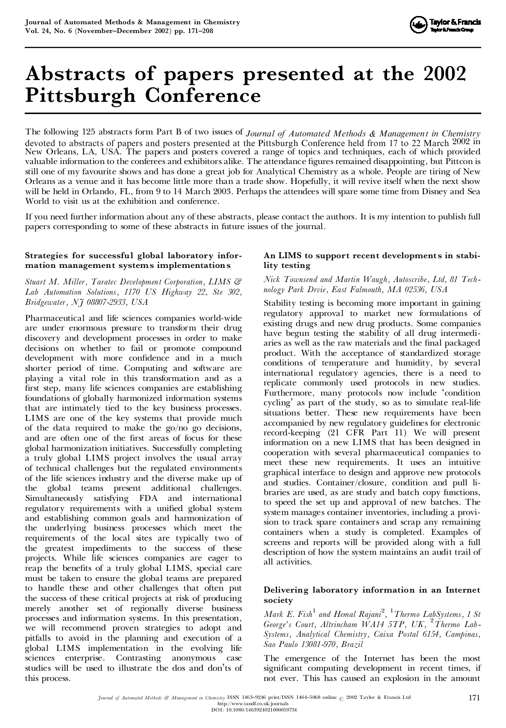

# **Abstracts of papers presented at the 2002 Pittsburgh Conference**

The following 125 abstracts form Part B of two issues of *Journal of Automated Methods & Management in Chemistry* devoted to abstracts of papers and posters presented at the Pittsburgh Conference held from 17 to 22 March 2002 in New Orleans, LA, USA. The papers and posters covered a range of topics and techniques, each of which provided valuable information to the conferees and exhibitors alike. The attendance figures remained disappointing, but Pittcon is still one of my favourite shows and has done a great job for Analytical Chemistry as a whole. People are tiring of New Orleans as a venue and it has become little more than a trade show. Hopefully, it will revive itself when the next show will be held in Orlando, FL, from 9 to 14 March 2003. Perhaps the attendees will spare some time from Disney and Sea World to visit us at the exhibition and conference.

If you need further information about any of these abstracts, please contact the authors. It is my intention to publish full papers corresponding to some of these abstracts in future issues of the journal.

# **Strategies for successful global laboratory infor mation management systems implementations**

*Stuart M. Miller, Taratec Development Corporation, LIMS & Lab Automation Solutions, 1170 US Highway 22, Ste 302, Bridgewater, NJ 08807-2933, USA*

Pharmaceutical and life sciences companies world-wide are under enormous pressure to transform their drug discovery and development processes in order to make decisions on whether to fail or promote compound development with more confidence and in a much shorter period of time. Computing and software are playing a vital role in this transformation and as a first step, many life sciences companies are establishing foundations of globally harmonized information systems that are intimately tied to the key business processes. LIMS are one of the key systems that provide much of the data required to make the go/no go decisions, and are often one of the first areas of focus for these global harmonization initiatives. Successfully completing a truly global LIMS project involves the usual array of technical challenges but the regulated environments of the life sciences industry and the diverse make up of the global teams present additional challenges. Simultaneously satisfying FDA and international regulatory requirements with a unified global system and establishing common goals and harmonization of the underlying business processes which meet the requirements of the local sites are typically two of the greatest impediments to the success of these projects. While life sciences companies are eager to reap the benefits of a truly global LIMS, special care must be taken to ensure the global teams are prepared to handle these and other challenges that often put the success of these critical projects at risk of producing merely another set of regionally diverse business processes and information systems. In this presentation, we will recommend proven strategies to adopt and pitfalls to avoid in the planning and execution of a global LIMS implementation in the evolving life sciences enterprise. Contrasting anonymous case studies will be used to illustrate the dos and don'ts of this process.

## **An LIMS to support recent developments in stability testing**

#### *Nick Townsend and Martin Waugh, Autoscribe, Ltd, 81 Tech nology Park Drvie, East Falmouth, MA 02536, USA*

Stability testing is becoming more important in gaining regulatory approval to market new formulations of existing drugs and new drug products. Some companies have begun testing the stability of all drug intermedi aries as well as the raw materials and the final packaged product. With the acceptance of standardized storage conditions of temperature and humidity, by several international regulatory agencies, there is a need to replicate commonly used protocols in new studies. Furthermore, many protocols now include 'condition cycling' as part of the study, so as to simulate real-life situations better. These new requirements have been accompanied by new regulatory guidelines for electronic record-keeping (21 CFR Part 11) We will present information on a new LIMS that has been designed in cooperation with several pharmaceutical companies to meet these new requirements. It uses an intuitive graphical interface to design and approve new protocols and studies. Container/closure, condition and pull li braries are used, as are study and batch copy functions, to speed the set up and approval of new batches. The system manages container inventories, including a provision to track spare containers and scrap any remaining containers when a study is completed. Examples of screens and reports will be provided along with a full description of how the system maintains an audit trail of all activities.

# **Delivering laboratory information in an Internet society**

*Mark E. Fish*<sup>1</sup> *and Hemal Rajani*<sup>2</sup> *,* <sup>1</sup>*Thermo LabSystems, 1 St George's Court, Altrincham WA14 5TP, UK,* <sup>2</sup>*Thermo Lab-Systems, Analytical Chemistry, Caixa Postal 6154, Campinas, Sao Paulo 13081-970, Brazil*

The emergence of the Internet has been the most significant computing development in recent times, if not ever. This has caused an explosion in the amount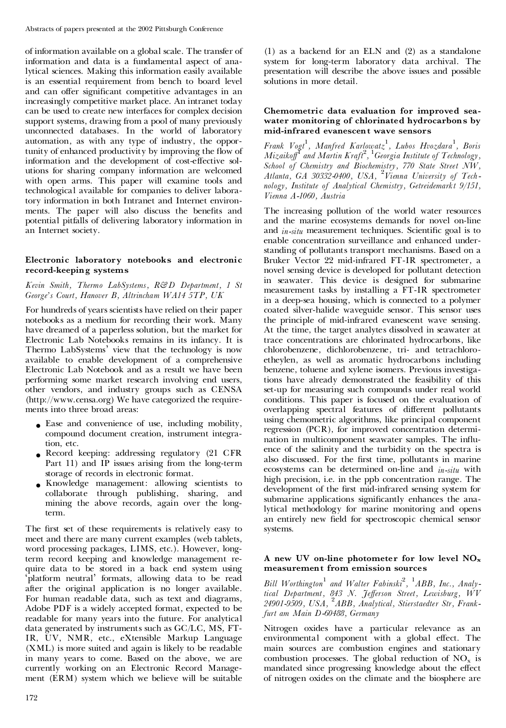of information available on a global scale. The transfer of information and data is a fundamental aspect of analytical sciences. Making this information easily available is an essential requirement from bench to board level and can offer significant competitive advantages in an increasingly competitive market place. An intranet today can be used to create new interfaces for complex decision support systems, drawing from a pool of many previously unconnected databases. In the world of laboratory automation, as with any type of industry, the opportunity of enhanced productivity by improving the flow of information and the development of cost-effective solutions for sharing company information are welcomed with open arms. This paper will examine tools and technological available for companies to deliver laboratory information in both Intranet and Internet environ ments. The paper will also discuss the benefits and potential pitfalls of delivering laboratory information in an Internet society.

#### **Electronic laboratory notebooks and electronic record-keeping systems**

#### *Kevin Smith, Thermo LabSystems, R&D Department, 1 St George's Court, Hanover B, Altrincham WA14 5TP, UK*

For hundreds of years scientists have relied on their paper notebooks as a medium for recording their work. Many have dreamed of a paperless solution, but the market for Electronic Lab Notebooks remains in its infancy. It is Thermo LabSystems' view that the technology is now available to enable development of a comprehensive Electronic Lab Notebook and as a result we have been performing some market research involving end users, other vendors, and industry groups such as CENSA (http://www.censa.org) We have categorized the require ments into three broad areas:

- . Ease and convenience of use, including mobility, compound document creation, instrument integration, etc.
- . Record keeping: addressing regulatory (21 CFR Part 11) and IP issues arising from the long-term storage of records in electronic format.
- . Knowledge management: allowing scientists to collaborate through publishing, sharing, and mining the above records, again over the longterm.

The first set of these requirements is relatively easy to meet and there are many current examples (web tablets, word processing packages, LIMS, etc.). However, longterm record keeping and knowledge management re quire data to be stored in a back end system using ` platform neutral' formats, allowing data to be read after the original application is no longer available. For human readable data, such as text and diagrams, Adobe PDF is a widely accepted format, expected to be readable for many years into the future. For analytical data generated by instruments such as GC/LC, MS, FT- IR, UV, NMR, etc., eXtensible Markup Language (XML) is more suited and again is likely to be readable in many years to come. Based on the above, we are currently working on an Electronic Record Manage ment (ERM) system which we believe will be suitable

(1) as a backend for an ELN and (2) as a standalone system for long-term laboratory data archival. The presentation will describe the above issues and possible solutions in more detail.

#### **Chemometric data evaluation for improved sea water monitoring of chlorinated hydrocarbons by mid-infrared evanescent wave sensors**

*Frank Vogt*<sup>1</sup> *, Manfred Karlowatz* 1 *, Lubos Hvozdara* 1 *, Boris Mizaiko¡*<sup>1</sup> *and Martin Kraft*<sup>2</sup> *,* <sup>1</sup>*Georgia Institute of Technology, School of Chemistry and Biochemistry, 770 State Street NW, Atlanta, GA 30332-0400, USA,* <sup>2</sup>*Vienna University of Tech nology, Institute of Analytical Chemistry, Getreidemarkt 9/151, Vienna A-1060, Austria*

The increasing pollution of the world water resources and the marine ecosystems demands for novel on-line and *in-situ* measurement techniques. Scientific goal is to enable concentration surveillance and enhanced understanding of pollutants transport mechanisms. Based on a Bruker Vector 22 mid-infrared FT-IR spectrometer, a novel sensing device is developed for pollutant detection in seawater. This device is designed for submarine measurement tasks by installing a FT-IR spectrometer in a deep-sea housing, which is connected to a polymer coated silver-halide waveguide sensor. This sensor uses the principle of mid-infrared evanescent wave sensing. At the time, the target analytes dissolved in seawater at trace concentrations are chlorinated hydrocarbons, like chlorobenzene, dichlorobenzene, tri- and tetrachloro etheylen, as well as aromatic hydrocarbons including benzene, toluene and xylene isomers. Previous investigations have already demonstrated the feasibility of this set-up for measuring such compounds under real world conditions. This paper is focused on the evaluation of overlapping spectral features of different pollutants using chemometric algorithms, like principal component regression (PCR), for improved concentration determi nation in multicomponent seawater samples. The influence of the salinity and the turbidity on the spectra is also discussed. For the first time, pollutants in marine ecosystems can be determined on-line and *in-situ* with high precision, i.e. in the ppb concentration range. The development of the first mid-infrared sensing system for submarine applications significantly enhances the analytical methodology for marine monitoring and opens an entirely new field for spectroscopic chemical sensor systems.

## **A new UV on-line photometer for low level NOx measurement from emission sources**

*Bill Worthington* <sup>1</sup> *and Walter Fabinski*<sup>2</sup> *,* <sup>1</sup>*ABB, Inc., Analytical Department, 843 N. Je¡erson Street, Lewisburg, WV 24901-9509, USA,* <sup>2</sup>*ABB, Analytical, Stierstaedter Str, Frankfurt am Main D-60488, Germany*

Nitrogen oxides have a particular relevance as an environmental component with a global effect. The main sources are combustion engines and stationary combustion processes. The global reduction of  $NO<sub>x</sub>$  is mandated since progressing knowledge about the effect of nitrogen oxides on the climate and the biosphere are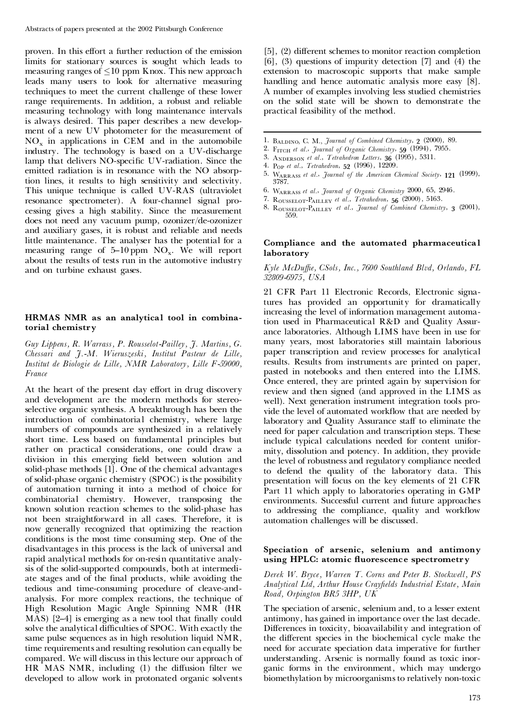proven. In this effort a further reduction of the emission limits for stationary sources is sought which leads to measuring ranges of  $\leq 10$  ppm Knox. This new approach leads many users to look for alternative measuring techniques to meet the current challenge of these lower range requirements. In addition, a robust and reliable measuring technology with long maintenance intervals is always desired. This paper describes a new develop ment of a new UV photometer for the measurement of  $NO<sub>x</sub>$  in applications in CEM and in the automobile industry. The technology is based on a UV-discharge lamp that delivers NO-specific UV-radiation. Since the emitted radiation is in resonance with the NO absorption lines, it results to high sensitivity and selectivity. This unique technique is called UV-RAS (ultraviolet resonance spectrometer). A four-channel signal pro cessing gives a high stability. Since the measurement does not need any vacuum pump, ozonizer/de-ozonizer and auxiliary gases, it is robust and reliable and needs little maintenance. The analyser has the potential for a measuring range of 5–10 ppm  $\rm NO_x$ . We will report about the results of tests run in the automotive industry and on turbine exhaust gases.

## **HRMAS NMR as an analytical tool in combina torial chemistry**

*Guy Lippens, R. Warrass, P. Rousselot-Pailley, J. Martins, G. Chessari and J.-M. Wieruszeski, Institut Pasteur de Lille, Institut de Biologie de Lille, NMR Laboratory, Lille F-59000, France*

At the heart of the present day effort in drug discovery and development are the modern methods for stereoselective organic synthesis. A breakthrough has been the introduction of combinatorial chemistry, where large numbers of compounds are synthesized in a relatively short time. Less based on fundamental principles but rather on practical considerations, one could draw a division in this emerging field between solution and solid-phase methods [1]. One of the chemical advantages of solid-phase organic chemistry (SPOC) is the possibility of automation turning it into a method of choice for combinatorial chemistry. However, transposing the known solution reaction schemes to the solid-phase has not been straightforward in all cases. Therefore, it is now generally recognized that optimizing the reaction conditions is the most time consuming step. One of the disadvantages in this process is the lack of universal and rapid analytical methods for on-resin quantitative analysis of the solid-supported compounds, both at intermedi ate stages and of the final products, while avoiding the tedious and time-consuming procedure of cleave-and analysis. For more complex reactions, the technique of High Resolution Magic Angle Spinning NMR (HR MAS)  $[2-4]$  is emerging as a new tool that finally could solve the analytical difficulties of SPOC. With exactly the same pulse sequences as in high resolution liquid NMR, time requirements and resulting resolution can equally be compared. We will discuss in this lecture our approach of  $HR$  MAS NMR, including  $(1)$  the diffusion filter we developed to allow work in protonated organic solvents

 $[5]$ ,  $(2)$  different schemes to monitor reaction completion [6], (3) questions of impurity detection [7] and (4) the extension to macroscopic supports that make sample handling and hence automatic analysis more easy [8]. A number of examples involving less studied chemistries on the solid state will be shown to demonstrate the practical feasibility of the method.

- 1. Baldino, C. M., *Journal of Combined Chemistry*, **2** (2000), 89.
- 
- 
- 
- 3.  $A_{NDERSON}$  et al., *Tetrahedron Letters*,  $36$  (1995), 5311.<br>4.  $P_{OP}$  et al., *Tetrahedron*, 52 (1996), 12209.<br>5.  $W_{ARRASS}$  et al., *Journal of the American Chemical Society*, 121 (1999), 3787.<br>6. WARRASS et al., Journal of Organic Chemistry 2000, 65, 2946.
- 
- 
- 7. ROUSSELOT-PAILLEY et al., Tetrahedron, 56 (2000), 5163.<br>8. ROUSSELOT-PAILLEY et al., Journal of Combined Chemistry, 3 (2001), 559.

#### **Compliance and the automated pharmaceutical laboratory**

#### *Kyle McDu¤e, CSols, Inc., 7600 Southland Blvd, Orlando, FL 32809-6975, USA*

21 CFR Part 11 Electronic Records, Electronic signatures has provided an opportunity for dramatically increasing the level of information management automation used in Pharmaceutical R&D and Quality Assur ance laboratories. Although LIMS have been in use for many years, most laboratories still maintain laborious paper transcription and review processes for analytical results. Results from instruments are printed on paper, pasted in notebooks and then entered into the LIMS. Once entered, they are printed again by supervision for review and then signed (and approved in the LIMS as well). Next generation instrument integration tools pro vide the level of automated workflow that are needed by laboratory and Quality Assurance staff to eliminate the need for paper calculation and transcription steps. These include typical calculations needed for content unifor mity, dissolution and potency. In addition, they provide the level of robustness and regulatory compliance needed to defend the quality of the laboratory data. This presentation will focus on the key elements of 21 CFR Part 11 which apply to laboratories operating in GMP environments. Successful current and future approaches to addressing the compliance, quality and workflow automation challenges will be discussed.

#### **Speciation of arsenic, selenium and antimony using HPLC: atomic uorescence spectrometry**

*Derek W. Bryce, Warren T. Corns and Peter B. Stockwell, PS Analytical Ltd, Arthur House Cray¢elds Industrial Estate, Main Road, Orpington BR5 3HP, UK*

The speciation of arsenic, selenium and, to a lesser extent antimony, has gained in importance over the last decade. Differences in toxicity, bioavailability and integration of the different species in the biochemical cycle make the need for accurate speciation data imperative for further understanding. Arsenic is normally found as toxic inor ganic forms in the environment, which may undergo biomethylation by microorganisms to relatively non-toxic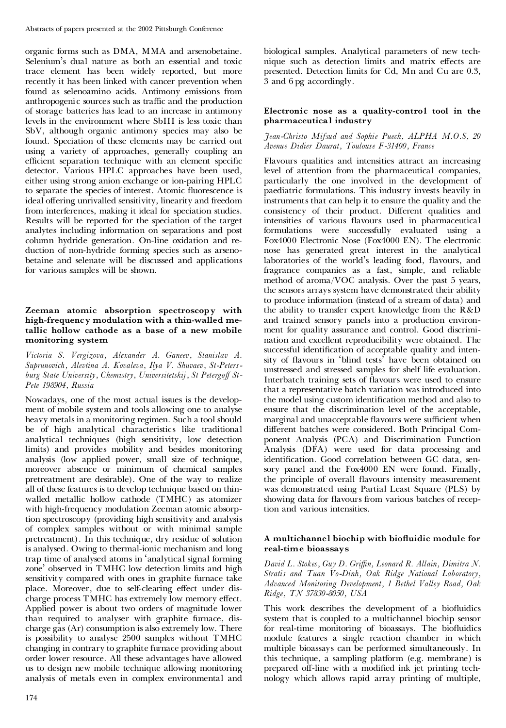organic forms such as DMA, MMA and arsenobetaine. Selenium's dual nature as both an essential and toxic trace element has been widely reported, but more recently it has been linked with cancer prevention when found as selenoamino acids. Antimony emissions from anthropogenic sources such as traffic and the production of storage batteries has lead to an increase in antimony levels in the environment where SbIII is less toxic than SbV, although organic antimony species may also be found. Speciation of these elements may be carried out using a variety of approaches, generally coupling an efficient separation technique with an element specific detector. Various HPLC approaches have been used, either using strong anion exchange or ion-pairing HPLC to separate the species of interest. Atomic fluorescence is ideal offering unrivalled sensitivity, linearity and freedom from interferences, making it ideal for speciation studies. Results will be reported for the speciation of the target analytes including information on separations and post column hydride generation. On-line oxidation and re duction of non-hydride forming species such as arseno betaine and selenate will be discussed and applications for various samples will be shown.

# **Zeeman atomic absorption spectroscopy with high-frequency modulation with a thin-walled me tallic hollow cathode as a base of a new mobile monitoring system**

*Victoria S. Vergizova, Alexander A. Ganeev, Stanislav A. Suprunovich, Alevtina A. Kovaleva, Ilya V. Shuvaev, St-Peters burg State University, Chemistry, Universitetskij, St Petergo¡ St- Pete 198904, Russia*

Nowadays, one of the most actual issues is the develop ment of mobile system and tools allowing one to analyse heavy metals in a monitoring regimen. Such a tool should be of high analytical characteristics like traditional analytical techniques (high sensitivity, low detection limits) and provides mobility and besides monitoring analysis (low applied power, small size of technique, moreover absence or minimum of chemical samples pretreatment are desirable). One of the way to realize all of these features is to develop technique based on thin walled metallic hollow cathode (TMHC) as atomizer with high-frequency modulation Zeeman atomic absorption spectroscopy (providing high sensitivity and analysis of complex samples without or with minimal sample pretreatment). In this technique, dry residue of solution is analysed. Owing to thermal-ionic mechanism and long trap time of analysed atoms in 'analytical signal forming zone' observed in TMHC low detection limits and high sensitivity compared with ones in graphite furnace take place. Moreover, due to self-clearing effect under discharge process TMHC has extremely low memory effect. Applied power is about two orders of magnitude lower than required to analyser with graphite furnace, dis charge gas (Ar) consumption is also extremely low. There is possibility to analyse 2500 samples without TMHC changing in contrary to graphite furnace providing about order lower resource. All these advantages have allowed us to design new mobile technique allowing monitoring analysis of metals even in complex environmental and

biological samples. Analytical parameters of new tech nique such as detection limits and matrix effects are presented. Detection limits for Cd, Mn and Cu are 0.3, 3 and 6 pg accordingly.

# **Electronic nose as a quality-control tool in the pharmaceutical industry**

# *Jean-Christo Mifsud and Sophie Puech, ALPHA M.O.S, 20 Avenue Didier Daurat, Toulouse F-31400, France*

Flavours qualities and intensities attract an increasing level of attention from the pharmaceutical companies, particularly the one involved in the development of paediatric formulations. This industry invests heavily in instruments that can help it to ensure the quality and the consistency of their product. Different qualities and intensities of various flavours used in pharmaceutical formulations were successfully evaluated using a Fox4000 Electronic Nose (Fox4000 EN). The electronic nose has generated great interest in the analytical laboratories of the world's leading food, flavours, and fragrance companies as a fast, simple, and reliable method of aroma/VOC analysis. Over the past 5 years, the sensors arrays system have demonstrated their ability to produce information (instead of a stream of data) and the ability to transfer expert knowledge from the R&D and trained sensory panels into a production environ ment for quality assurance and control. Good discrimi nation and excellent reproducibility were obtained. The successful identification of acceptable quality and intensity of flavours in 'blind tests' have been obtained on unstressed and stressed samples for shelf life evaluation. Interbatch training sets of flavours were used to ensure that a representative batch variation was introduced into the model using custom identification method and also to ensure that the discrimination level of the acceptable, marginal and unacceptable flavours were sufficient when different batches were considered. Both Principal Component Analysis (PCA) and Discrimination Function Analysis (DFA) were used for data processing and identification. Good correlation between GC data, sensory panel and the Fox4000 EN were found. Finally, the principle of overall flavours intensity measurement was demonstrated using Partial Least Square (PLS) by showing data for flavours from various batches of reception and various intensities.

# **A multichannel biochip with biouidic module for real-time bioassays**

*David L. Stokes, Guy D. Gri¤n, Leonard R. Allain, Dimitra N. Stratis and Tuan Vo-Dinh, Oak Ridge National Laboratory, Advanced Monitoring Development, 1 Bethel Valley Road, Oak Ridge, TN 37830-8050, USA*

This work describes the development of a biofluidics system that is coupled to a multichannel biochip sensor for real-time monitoring of bioassays. The biofluidics module features a single reaction chamber in which multiple bioassays can be performed simultaneously. In this technique, a sampling platform (e.g. membrane) is prepared off-line with a modified ink jet printing technology which allows rapid array printing of multiple,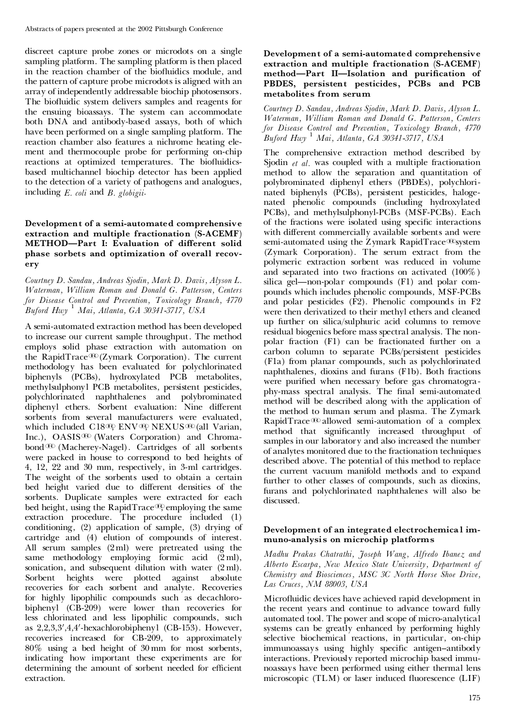discreet capture probe zones or microdots on a single sampling platform. The sampling platform is then placed in the reaction chamber of the biofluidics module, and the pattern of capture probe microdots is aligned with an array of independently addressable biochip photosensors. The biofluidic system delivers samples and reagents for the ensuing bioassays. The system can accommodate both DNA and antibody-based assays, both of which have been performed on a single sampling platform. The reaction chamber also features a nichrome heating ele ment and thermocouple probe for performing on-chip reactions at optimized temperatures. The biofluidicsbased multichannel biochip detector has been applied to the detection of a variety of pathogens and analogues, including *E. coli* and *B. globigii*.

# **Development of a semi-automated comprehensive extraction and multiple fractionation (S-ACEMF) METHOD—Part I: Evaluation of di´erent solid phase sorbets and optimization of overall recov ery**

*Courtney D. Sandau, Andreas Sjodin, Mark D. Davis, Alyson L. Waterman, William Roman and Donald G. Patterson, Centers for Disease Control and Prevention, Toxicology Branch, 4770 Buford Hwy* <sup>1</sup> *Mai, Atlanta, GA 30341-3717, USA*

A semi-automated extraction method has been developed to increase our current sample throughput. The method employs solid phase extraction with automation on the RapidTrace<sup>®</sup>(Zymark Corporation). The current methodology has been evaluated for polychlorinated biphenyls (PCBs), hydroxylated PCB metabolites, methylsulphonyl PCB metabolites, persistent pesticides, polychlorinated naphthalenes and polybrominated diphenyl ethers. Sorbent evaluation: Nine different sorbents from several manufacturers were evaluated, which included  $C18\overline{Q}$ , ENV $\overline{Q}$ , NEXUS $\overline{Q}$  (all Varian, Inc.), OASIS<sup>®</sup> (Waters Corporation) and Chromabond<sup>®</sup> (Macherey-Nagel). Cartridges of all sorbents were packed in house to correspond to bed heights of 4, 12, 22 and 30 mm, respectively, in 3-ml cartridges. The weight of the sorbents used to obtain a certain bed height varied due to different densities of the sorbents. Duplicate samples were extracted for each bed height, using the RapidTrace $\mathcal{B}$  employing the same extraction procedure. The procedure included (1) conditioning, (2) application of sample, (3) drying of cartridge and (4) elution of compounds of interest. All serum samples (2 ml) were pretreated using the same methodology employing formic acid (2 ml), sonication, and subsequent dilution with water  $(2 \text{ ml})$ . Sorbent heights were plotted against absolute recoveries for each sorbent and analyte. Recoveries for highly lipophilic compounds such as decachloro biphenyl (CB-209) were lower than recoveries for less chlorinated and less lipophilic compounds, such as  $2,2,3,3',4,4'$ -hexachlorobiphenyl (CB-153). However, recoveries increased for CB-209, to approximately 80% using a bed height of 30 mm for most sorbents, indicating how important these experiments are for determining the amount of sorbent needed for efficient extraction.

#### **Development of a semi-automated comprehensive extraction and multiple fractionation (S-ACEMF) method—Part II—Isolation and purication of PBDES, persistent pesticides, PCBs and PCB metabolites from serum**

*Courtney D. Sandau, Andreas Sjodin, Mark D. Davis, Alyson L. Waterman, William Roman and Donald G. Patterson, Centers for Disease Control and Prevention, Toxicology Branch, 4770 Buford Hwy* <sup>1</sup> *Mai, Atlanta, GA 30341-3717, USA*

The comprehensive extraction method described by Sjodin *et al.* was coupled with a multiple fractionation method to allow the separation and quantitation of polybrominated diphenyl ethers (PBDEs), polychlori nated biphenyls (PCBs), persistent pesticides, haloge nated phenolic compounds (including hydroxylated PCBs), and methylsulphonyl-PCBs (MSF-PCBs). Each of the fractions were isolated using specific interactions with different commercially available sorbents and were semi-automated using the Zymark RapidTrace $\mathcal{B}$ system (Zymark Corporation). The serum extract from the polymeric extraction sorbent was reduced in volume and separated into two fractions on activated (100%) silica gel—non-polar compounds  $(F1)$  and polar compounds which includes phenolic compounds, MSF-PCBs and polar pesticides (F2). Phenolic compounds in F2 were then derivatized to their methyl ethers and cleaned up further on silica/sulphuric acid columns to remove residual biogenics before mass spectral analysis. The non polar fraction (F1) can be fractionated further on a carbon column to separate PCBs/persistent pesticides (F1a) from planar compounds, such as polychlorinated naphthalenes, dioxins and furans (F1b). Both fractions were purified when necessary before gas chromatography-mass spectral analysis. The final semi-automated method will be described along with the application of the method to human serum and plasma. The Zymark RapidTrace<sup>®</sup> allowed semi-automation of a complex method that significantly increased throughput of samples in our laboratory and also increased the number of analytes monitored due to the fractionation techniques described above. The potential of this method to replace the current vacuum manifold methods and to expand further to other classes of compounds, such as dioxins, furans and polychlorinated naphthalenes will also be discussed.

# **Development of an integrated electrochemica l im muno-analysis on microchip platforms**

*Madhu Prakas Chatrathi, Joseph Wang, Alfredo Ibanez and Alberto Escarpa, New Mexico State University, Department of Chemistry and Biosciences, MSC 3C North Horse Shoe Drive, Las Cruces, NM 88003, USA*

Microfluidic devices have achieved rapid development in the recent years and continue to advance toward fully automated tool. The power and scope of micro-analytical systems can be greatly enhanced by performing highly selective biochemical reactions, in particular, on-chip immunoassays using highly specific antigen-antibody interactions. Previously reported microchip based immu noassays have been performed using either thermal lens microscopic  $(TLM)$  or laser induced fluorescence  $(LIF)$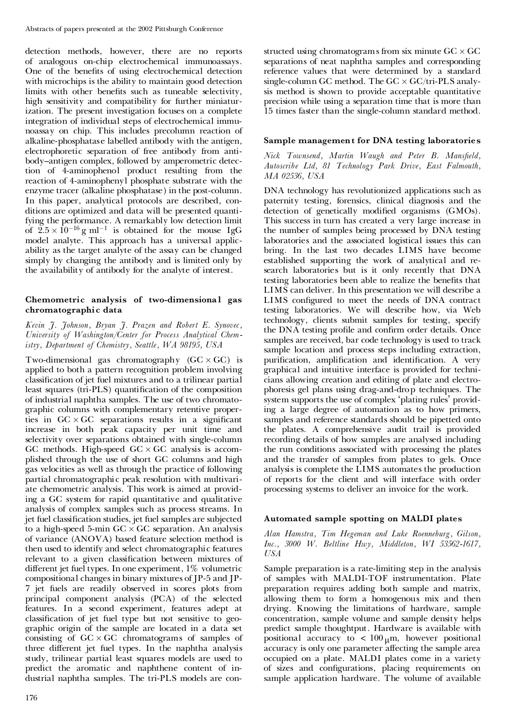detection methods, however, there are no reports of analogous on-chip electrochemical immunoassays. One of the benefits of using electrochemical detection with microchips is the ability to maintain good detection limits with other benefits such as tuneable selectivity, high sensitivity and compatibility for further miniaturization. The present investigation focuses on a complete integration of individual steps of electrochemical immu noassay on chip. This includes precolumn reaction of alkaline-phosphatas e labelled antibody with the antigen, electrophoretic separation of free antibody from anti body-antigen complex, followed by amperometric detection of 4-aminophenol product resulting from the reaction of 4-aminophenyl phosphate substrate with the enzyme tracer (alkaline phosphatase) in the post-column. In this paper, analytical protocols are described, con ditions are optimized and data will be presented quantifying the performance. A remarkably low detection limit of  $2.5 \times 10^{-16}$  g ml<sup>-1</sup> is obtained for the mouse IgG model analyte. This approach has a universal applic ability as the target analyte of the assay can be changed simply by changing the antibody and is limited only by the availability of antibody for the analyte of interest.

# **Chemometric analysis of two-dimensiona l gas chromatographic data**

*Kevin J. Johnson, Bryan J. Prazen and Robert E. Synovec, University of Washington/Center for Process Analytical Chemistry, Department of Chemistry, Seattle, WA 98195, USA*

Two-dimensional gas chromatography  $(GC \times GC)$  is applied to both a pattern recognition problem involving classification of jet fuel mixtures and to a trilinear partial least squares (tri-PLS) quantification of the composition of industrial naphtha samples. The use of two chromato graphic columns with complementary retentive properties in  $GC \times GC$  separations results in a significant increase in both peak capacity per unit time and selectivity over separations obtained with single-column GC methods. High-speed  $GC \times GC$  analysis is accom-<br>plished through the use of short GC columns and high gas velocities as well as through the practice of following partial chromatographi c peak resolution with multivari ate chemometric analysis. This work is aimed at providing a GC system for rapid quantitative and qualitative analysis of complex samples such as process streams. In jet fuel classification studies, jet fuel samples are subjected to a high-speed 5-min  $GC \times GC$  separation. An analysis of variance (ANOVA) based feature selection method is then used to identify and select chromatographi c features relevant to a given classification between mixtures of different jet fuel types. In one experiment,  $1\%$  volumetric compositional changes in binary mixtures of JP-5 and JP- 7 jet fuels are readily observed in scores plots from principal component analysis (PCA) of the selected features. In a second experiment, features adept at classification of jet fuel type but not sensitive to geographic origin of the sample are located in a data set consisting of  $GC \times GC$  chromatograms of samples of three different jet fuel types. In the naphtha analysis study, trilinear partial least squares models are used to predict the aromatic and naphthene content of in dustrial naphtha samples. The tri-PLS models are con-

176

structed using chromatograms from six minute  $GC \times GC$ separations of neat naphtha samples and corresponding reference values that were determined by a standard single-column GC method. The  $GC \times GC/tri\text{-}PLS$  analysis method is shown to provide acceptable quantitative precision while using a separation time that is more than 15 times faster than the single-column standard method.

#### **Sample management for DNA testing laboratories**

*Nick Townsend, Martin Waugh and Peter B. Mans¢eld, Autoscribe Ltd, 81 Technology Park Drive, East Falmouth, MA 02536, USA*

DNA technology has revolutionized applications such as paternity testing, forensics, clinical diagnosis and the detection of genetically modified organisms (GMOs). This success in turn has created a very large increase in the number of samples being processed by DNA testing laboratories and the associated logistical issues this can bring. In the last two decades LIMS have become established supporting the work of analytical and research laboratories but is it only recently that DNA testing laboratories been able to realize the benefits that LIMS can deliver. In this presentation we will describe a LIMS configured to meet the needs of DNA contract testing laboratories. We will describe how, via Web technology, clients submit samples for testing, specify the DNA testing profile and confirm order details. Once samples are received, bar code technology is used to track sample location and process steps including extraction, purification, amplification and identification. A very graphical and intuitive interface is provided for techni cians allowing creation and editing of plate and electro phoresis gel plans using drag-and-drop techniques. The system supports the use of complex `plating rules' providing a large degree of automation as to how primers, samples and reference standards should be pipetted onto the plates. A comprehensive audit trail is provided recording details of how samples are analysed including the run conditions associated with processing the plates and the transfer of samples from plates to gels. Once analysis is complete the LIMS automates the production of reports for the client and will interface with order processing systems to deliver an invoice for the work.

#### **Automated sample spotting on MALDI plates**

*Alan Hamstra, Tim Hegeman and Luke Roenneburg, Gilson, Inc., 3000 W. Beltline Hwy, Middleton, WI 53562-1617, USA*

Sample preparation is a rate-limiting step in the analysis of samples with MALDI-TOF instrumentation. Plate preparation requires adding both sample and matrix, allowing them to form a homogenous mix and then drying. Knowing the limitations of hardware, sample concentration, sample volume and sample density helps predict sample thoughtput. Hardware is available with positional accuracy to  $< 100 \mu m$ , however positional accuracy is only one parameter affecting the sample area occupied on a plate. MALDI plates come in a variety of sizes and configurations, placing requirements on sample application hardware. The volume of available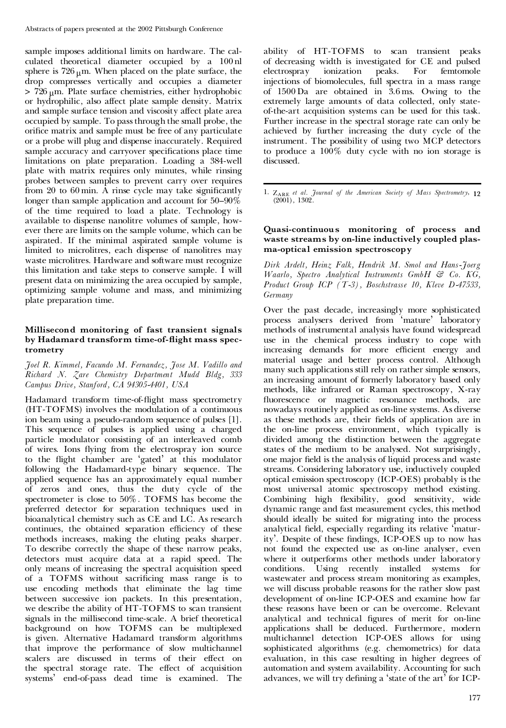sample imposes additional limits on hardware. The cal culated theoretical diameter occupied by a 100 nl sphere is  $726 \mu m$ . When placed on the plate surface, the drop compresses vertically and occupies a diameter  $> 726 \mu m$ . Plate surface chemistries, either hydrophobic or hydrophilic, also affect plate sample density. Matrix and sample surface tension and viscosity affect plate area occupied by sample. To pass through the small probe, the orifice matrix and sample must be free of any particulate or a probe will plug and dispense inaccurately. Required sample accuracy and carryover specifications place time limitations on plate preparation. Loading a 384-well plate with matrix requires only minutes, while rinsing probes between samples to prevent carry over requires from  $20$  to  $60$  min. A rinse cycle may take significantly longer than sample application and account for  $50-90\%$ of the time required to load a plate. Technology is available to dispense nanolitre volumes of sample, how ever there are limits on the sample volume, which can be aspirated. If the minimal aspirated sample volume is limited to microlitres, each dispense of nanolitres may waste microlitres. Hardware and software must recognize this limitation and take steps to conserve sample. I will present data on minimizing the area occupied by sample, optimizing sample volume and mass, and minimizing plate preparation time.

# **Millisecond monitoring of fast transient signals by Hadamard transform time-of-ight mass spec trometry**

#### *Joel R. Kimmel, Facundo M. Fernandez, Jose M. Vadillo and Richard N. Zare Chemistry Department Mudd Bldg, 333 Campus Drive, Stanford, CA 94305-4401, USA*

Hadamard transform time-of-flight mass spectrometry (HT-TOFMS) involves the modulation of a continuous ion beam using a pseudo-random sequence of pulses [1]. This sequence of pulses is applied using a charged particle modulator consisting of an interleaved comb of wires. Ions flying from the electrospray ion source to the flight chamber are 'gated' at this modulator following the Hadamard-type binary sequence. The applied sequence has an approximately equal number of zeros and ones, thus the duty cycle of the spectrometer is close to 50%. TOFMS has become the preferred detector for separation techniques used in bioanalytical chemistry such as CE and LC. As research continues, the obtained separation efficiency of these methods increases, making the eluting peaks sharper. To describe correctly the shape of these narrow peaks, detectors must acquire data at a rapid speed. The only means of increasing the spectral acquisition speed of a TOFMS without sacrificing mass range is to use encoding methods that eliminate the lag time between successive ion packets. In this presentation, we describe the ability of HT-TOFMS to scan transient signals in the millisecond time-scale. A brief theoretical background on how TOFMS can be multiplexed is given. Alternative Hadamard transform algorithms that improve the performance of slow multichannel scalers are discussed in terms of their effect on the spectral storage rate. The effect of acquisition systems' end-of-pass dead time is examined. The

ability of HT-TOFMS to scan transient peaks of decreasing width is investigated for CE and pulsed electrospray ionization peaks. For femtomole injections of biomolecules, full spectra in a mass range of 1500 Da are obtained in 3.6 ms. Owing to the extremely large amounts of data collected, only state of-the-art acquisition systems can be used for this task. Further increase in the spectral storage rate can only be achieved by further increasing the duty cycle of the instrument. The possibility of using two MCP detectors to produce a 100% duty cycle with no ion storage is discussed.

1. Zare *et al. Journal of the American Society of Mass Spectrometry*, **12** (2001), 1302.

## **Quasi-continuous monitoring of process and waste streams by on-line inductively coupled plas ma-optical emission spectroscopy**

*Dirk Ardelt, Heinz Falk, Hendrik M. Smol and Hans-Joerg Waarlo, Spectro Analytical Instruments GmbH & Co. KG, Product Group ICP (T-3), Boschstrasse 10, Kleve D-47533, Germany*

Over the past decade, increasingly more sophisticated process analysers derived from `mature' laboratory methods of instrumental analysis have found widespread use in the chemical process industry to cope with increasing demands for more efficient energy and material usage and better process control. Although many such applications still rely on rather simple sensors, an increasing amount of formerly laboratory based only methods, like infrared or Raman spectroscopy, X-ray fluorescence or magnetic resonance methods, are nowadays routinely applied as on-line systems. As diverse as these methods are, their fields of application are in the on-line process environment, which typically is divided among the distinction between the aggregate states of the medium to be analysed. Not surprisingly, one major field is the analysis of liquid process and waste streams. Considering laboratory use, inductively coupled optical emission spectroscopy (ICP-OES) probably is the most universal atomic spectroscopy method existing. Combining high flexibility, good sensitivity, wide dynamic range and fast measurement cycles, this method should ideally be suited for migrating into the process analytical field, especially regarding its relative 'maturity'. Despite of these findings, ICP-OES up to now has not found the expected use as on-line analyser, even where it outperforms other methods under laboratory conditions. Using recently installed systems for wastewater and process stream monitoring as examples, we will discuss probable reasons for the rather slow past development of on-line ICP-OES and examine how far these reasons have been or can be overcome. Relevant analytical and technical figures of merit for on-line applications shall be deduced. Furthermore, modern multichannel detection ICP-OES allows for using sophisticated algorithms (e.g. chemometrics) for data evaluation, in this case resulting in higher degrees of automation and system availability. Accounting for such advances, we will try defining a 'state of the art' for ICP-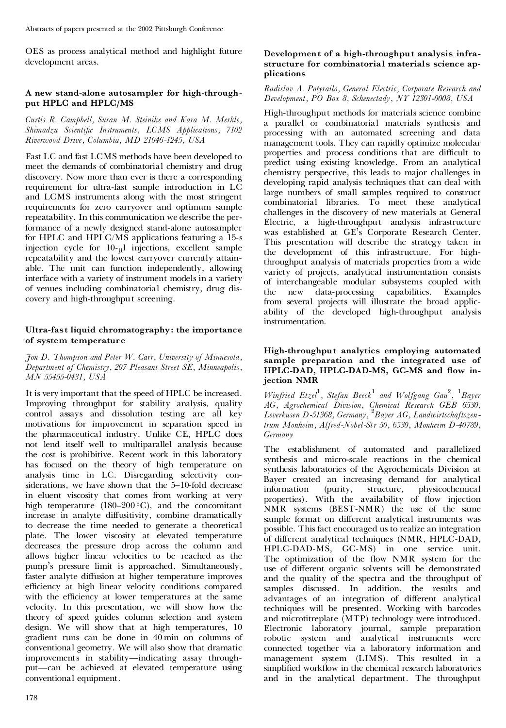OES as process analytical method and highlight future development areas.

# **A new stand-alone autosampler for high-through put HPLC and HPLC/MS**

*Curtis R. Campbell, Susan M. Steinike and Kara M. Merkle, Shimadzu Scienti¢c Instruments, LCMS Applications, 7102 Riverwood Drive, Columbia, MD 21046-1245, USA*

Fast LC and fast LCMS methods have been developed to meet the demands of combinatorial chemistry and drug discovery. Now more than ever is there a corresponding requirement for ultra-fast sample introduction in LC and LCMS instruments along with the most stringent requirements for zero carryover and optimum sample repeatability. In this communication we describe the performance of a newly designed stand-alone autosampler for HPLC and HPLC/MS applications featuring a 15-s injection cycle for  $10-<sub>u</sub>l$  injections, excellent sample repeatability and the lowest carryover currently attain able. The unit can function independently, allowing interface with a variety of instrument models in a variety of venues including combinatorial chemistry, drug dis covery and high-throughput screening.

# **Ultra-fast liquid chromatography: the importance of system temperature**

*Jon D. Thompson and Peter W. Carr, University of Minnesota, Department of Chemistry, 207 Pleasant Street SE, Minneapolis, MN 55455-0431, USA*

It is very important that the speed of HPLC be increased. Improving throughput for stability analysis, quality control assays and dissolution testing are all key motivations for improvement in separation speed in the pharmaceutical industry. Unlike CE, HPLC does not lend itself well to multiparallel analysis because the cost is prohibitive. Recent work in this laboratory has focused on the theory of high temperature on analysis time in LC. Disregarding selectivity considerations, we have shown that the 5-10-fold decrease in eluent viscosity that comes from working at very high temperature (180-200 $\,^{\circ}$ C), and the concomitant increase in analyte diffusitivity, combine dramatically to decrease the time needed to generate a theoretical plate. The lower viscosity at elevated temperature decreases the pressure drop across the column and allows higher linear velocities to be reached as the pump's pressure limit is approached. Simultaneously, faster analyte diffusion at higher temperature improves efficiency at high linear velocity conditions compared with the efficiency at lower temperatures at the same velocity. In this presentation, we will show how the theory of speed guides column selection and system design. We will show that at high temperatures, 10 gradient runs can be done in 40 min on columns of conventional geometry. We will also show that dramatic improvements in stability—indicating assay throughput—can be achieved at elevated temperature using conventional equipment.

# **Development of a high-throughput analysis infra structure for combinatorial materials science ap plications**

# *Radislav A. Potyrailo, General Electric, Corporate Research and Development, PO Box 8, Schenectady, NY 12301-0008, USA*

High-throughput methods for materials science combine a parallel or combinatorial materials synthesis and processing with an automated screening and data management tools. They can rapidly optimize molecular properties and process conditions that are difficult to predict using existing knowledge. From an analytical chemistry perspective, this leads to major challenges in developing rapid analysis techniques that can deal with large numbers of small samples required to construct combinatorial libraries. To meet these analytical challenges in the discovery of new materials at General Electric, a high-throughput analysis infrastructure was established at GE's Corporate Research Center. This presentation will describe the strategy taken in the development of this infrastructure. For highthroughput analysis of materials properties from a wide variety of projects, analytical instrumentation consists of interchangeable modular subsystems coupled with<br>the new data-processing capabilities. Examples data-processing capabilities. Examples from several projects will illustrate the broad applic ability of the developed high-throughput analysis instrumentation.

# **High-throughput analytics employing automated sample preparation and the integrated use of** HPLC-DAD, HPLC-DAD-MS, GC-MS and flow in**jection NMR**

*Winfried Etzel*<sup>1</sup> *, Stefan Beeck* <sup>1</sup> *and Wolfgang Gau* 2 *,* <sup>1</sup>*Bayer AG, Agrochemical Division, Chemical Research GEB 6530, Leverkusen D-51368, Germany,* <sup>2</sup>*Bayer AG, Landwirtschaftszentrum Monheim, Alfred-Nobel-Str 50, 6530, Monheim D-40789, Germany*

The establishment of automated and parallelized synthesis and micro-scale reactions in the chemical synthesis laboratories of the Agrochemicals Division at Bayer created an increasing demand for analytical information (purity, structure, physicochemical properties). With the availability of flow injection NMR systems (BEST-NMR) the use of the same sample format on different analytical instruments was possible. This fact encouraged us to realize an integration of different analytical techniques (NMR, HPLC-DAD, HPLC-DAD-MS, GC-MS) in one service unit. The optimization of the flow NMR system for the use of different organic solvents will be demonstrated and the quality of the spectra and the throughput of samples discussed. In addition, the results and advantages of an integration of different analytical techniques will be presented. Working with barcodes and microtitreplate (MTP) technology were introduced. Electronic laboratory journal, sample preparation robotic system and analytical instruments were connected together via a laboratory information and management system (LIMS). This resulted in a simplified workflow in the chemical research laboratories and in the analytical department. The throughput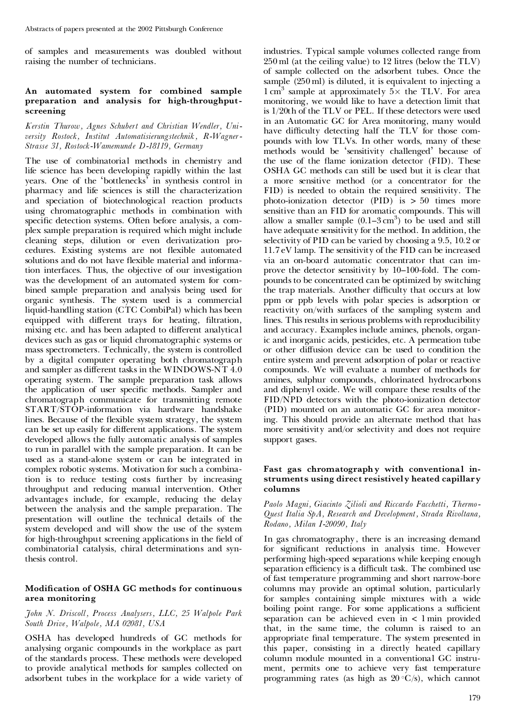of samples and measurements was doubled without raising the number of technicians.

#### **An automated system for combined sample preparation and analysis for high-throughput screening**

*Kerstin Thurow, Agnes Schubert and Christian Wendler, Uni versity Rostock, Institut Automatisierungstechnik, R-Wagner- Strasse 31, Rostock-Wamemunde D-18119, Germany*

The use of combinatorial methods in chemistry and life science has been developing rapidly within the last years. One of the 'bottlenecks' in synthesis control in pharmacy and life sciences is still the characterization and speciation of biotechnological reaction products using chromatographic methods in combination with specific detection systems. Often before analysis, a complex sample preparation is required which might include cleaning steps, dilution or even derivatization pro cedures. Existing systems are not flexible automated solutions and do not have flexible material and information interfaces. Thus, the objective of our investigation was the development of an automated system for com bined sample preparation and analysis being used for organic synthesis. The system used is a commercial liquid-handling station (CTC CombiPal) which has been equipped with different trays for heating, filtration, mixing etc. and has been adapted to different analytical devices such as gas or liquid chromatographic systems or mass spectrometers. Technically, the system is controlled by a digital computer operating both chromatograph and sampler as different tasks in the WINDOWS-NT 4.0 operating system. The sample preparation task allows the application of user specific methods. Sampler and chromatograph communicate for transmitting remote START/STOP-information via hardware handshake lines. Because of the flexible system strategy, the system can be set up easily for different applications. The system developed allows the fully automatic analysis of samples to run in parallel with the sample preparation. It can be used as a stand-alone system or can be integrated in complex robotic systems. Motivation for such a combination is to reduce testing costs further by increasing throughput and reducing manual intervention. Other advantages include, for example, reducing the delay between the analysis and the sample preparation. The presentation will outline the technical details of the system developed and will show the use of the system for high-throughput screening applications in the field of combinatorial catalysis, chiral determinations and synthesis control.

#### **Modication of OSHA GC methods for continuous area monitoring**

#### *John N. Driscoll, Process Analysers, LLC, 25 Walpole Park South Drive, Walpole, MA 02081, USA*

OSHA has developed hundreds of GC methods for analysing organic compounds in the workplace as part of the standards process. These methods were developed to provide analytical methods for samples collected on adsorbent tubes in the workplace for a wide variety of industries. Typical sample volumes collected range from 250 ml (at the ceiling value) to 12 litres (below the TLV) of sample collected on the adsorbent tubes. Once the sample (250 ml) is diluted, it is equivalent to injecting a 1 cm<sup>3</sup> sample at approximately  $5 \times$  the TLV. For area monitoring, we would like to have a detection limit that is 1/20th of the TLV or PEL. If these detectors were used in an Automatic GC for Area monitoring, many would have difficulty detecting half the TLV for those compounds with low TLVs. In other words, many of these methods would be `sensitivity challenged' because of the use of the flame ionization detector (FID). These OSHA GC methods can still be used but it is clear that a more sensitive method (or a concentrator for the FID) is needed to obtain the required sensitivity. The photo-ionization detector (PID) is > 50 times more sensitive than an FID for aromatic compounds. This will allow a smaller sample  $(0.1-3 \text{ cm}^3)$  to be used and still have adequate sensitivity for the method. In addition, the selectivity of PID can be varied by choosing a 9.5, 10.2 or 11.7 eV lamp. The sensitivity of the FID can be increased via an on-board automatic concentrator that can im prove the detector sensitivity by 10–100-fold. The compounds to be concentrated can be optimized by switching the trap materials. Another difficulty that occurs at low ppm or ppb levels with polar species is adsorption or reactivity on/with surfaces of the sampling system and lines. This results in serious problems with reproducibility and accuracy. Examples include amines, phenols, organic and inorganic acids, pesticides, etc. A permeation tube or other diffusion device can be used to condition the entire system and prevent adsorption of polar or reactive compounds. We will evaluate a number of methods for amines, sulphur compounds, chlorinated hydrocarbons and diphenyl oxide. We will compare these results of the FID/NPD detectors with the photo-ionization detector (PID) mounted on an automatic GC for area monitoring. This should provide an alternate method that has more sensitivity and/or selectivity and does not require support gases.

#### **Fast gas chromatography with conventional in struments using direct resistively heated capillary columns**

*Paolo Magni, Giacinto Zilioli and Riccardo Facchetti, Thermo- Quest Italia SpA, Research and Development, Strada Rivoltana, Rodano, Milan I-20090, Italy*

In gas chromatography , there is an increasing demand for significant reductions in analysis time. However performing high-speed separations while keeping enough separation efficiency is a difficult task. The combined use of fast temperature programming and short narrow-bore columns may provide an optimal solution, particularly for samples containing simple mixtures with a wide boiling point range. For some applications a sufficient separation can be achieved even in < 1 min provided that, in the same time, the column is raised to an appropriate final temperature. The system presented in this paper, consisting in a directly heated capillary column module mounted in a conventional GC instru ment, permits one to achieve very fast temperature programming rates (as high as  $20 °C/s$ ), which cannot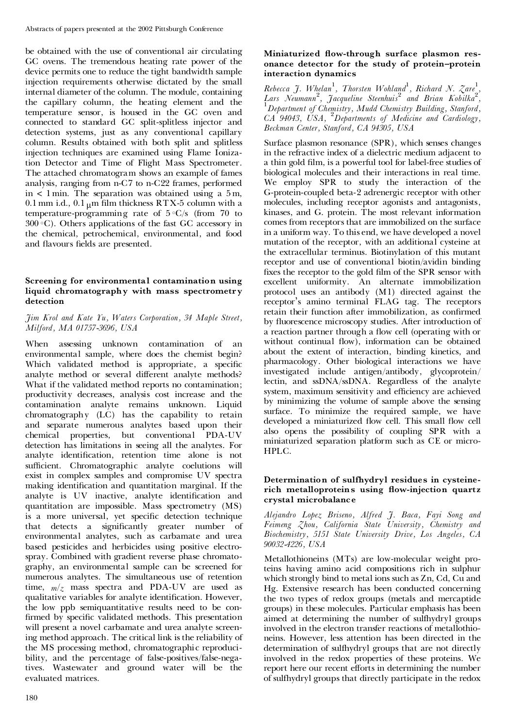be obtained with the use of conventional air circulating GC ovens. The tremendous heating rate power of the device permits one to reduce the tight bandwidth sample injection requirements otherwise dictated by the small internal diameter of the column. The module, containing the capillary column, the heating element and the temperature sensor, is housed in the GC oven and connected to standard GC split-splitless injector and detection systems, just as any conventional capillary column. Results obtained with both split and splitless injection techniques are examined using Flame Ionization Detector and Time of Flight Mass Spectrometer. The attached chromatogram shows an example of fames analysis, ranging from n-C7 to n-C22 frames, performed in  $\lt$  1 min. The separation was obtained using a 5 m, 0.1 mm i.d., 0.1  $_{\text{µ}}$ m film thickness RTX-5 column with a temperature-programming rate of  $5°C/s$  (from 70 to  $300 °C$ ). Others applications of the fast GC accessory in the chemical, petrochemical, environmental, and food and flavours fields are presented.

# **Screening for environmental contamination using liquid chromatography with mass spectrometry detection**

## *Jim Krol and Kate Yu, Waters Corporation, 34 Maple Street, Milford, MA 01757-3696, USA*

When assessing unknown contamination of an environmental sample, where does the chemist begin? Which validated method is appropriate, a specific analyte method or several different analyte methods? What if the validated method reports no contamination; productivity decreases, analysis cost increase and the contamination analyte remains unknown. Liquid chromatography (LC) has the capability to retain and separate numerous analytes based upon their chemical properties, but conventional PDA-UV detection has limitations in seeing all the analytes. For analyte identification, retention time alone is not sufficient. Chromatographic analyte coelutions will exist in complex samples and compromise UV spectra making identification and quantitation marginal. If the analyte is UV inactive, analyte identification and quantitation are impossible. Mass spectrometry (MS) is a more universal, yet specific detection technique that detects a significantly greater number of environmental analytes, such as carbamate and urea based pesticides and herbicides using positive electrospray. Combined with gradient reverse phase chromato graphy, an environmental sample can be screened for numerous analytes. The simultaneous use of retention time,  $m/z$  mass spectra and PDA-UV are used as qualitative variables for analyte identification. However, the low ppb semiquantitative results need to be con firmed by specific validated methods. This presentation will present a novel carbamate and urea analyte screening method approach. The critical link is the reliability of the MS processing method, chromatographic reproducibility, and the percentage of false-positives/false-negatives. Wastewater and ground water will be the evaluated matrices.

## **Miniaturized ow-through surface plasmon res onance detector for the study of protein–protein interaction dynamics**

*Rebecca J. Whelan* 1 *, Thorsten Wohland* 1 *, Richard N. Zare* 1 *,* Lars Neumann<sup>2</sup>, Jacqueline Steenhuis<sup>2</sup> and Brian Kobilka<sup>2</sup>,<br><sup>1</sup>Department of Chemistry, Mudd Chemistry Building, Stanford, *CA 94043, USA,* <sup>2</sup>*Departments of Medicine and Cardiology, Beckman Center, Stanford, CA 94305, USA*

Surface plasmon resonance (SPR), which senses changes in the refractive index of a dielectric medium adjacent to a thin gold film, is a powerful tool for label-free studies of biological molecules and their interactions in real time. We employ SPR to study the interaction of the G-protein-coupled beta-2 adrenergic receptor with other molecules, including receptor agonists and antagonists, kinases, and G. protein. The most relevant information comes from receptors that are immobilized on the surface in a uniform way. To this end, we have developed a novel mutation of the receptor, with an additional cysteine at the extracellular terminus. Biotinylation of this mutant receptor and use of conventional biotin/avidin binding fixes the receptor to the gold film of the SPR sensor with excellent uniformity. An alternate immobilization protocol uses an antibody (M1) directed against the receptor's amino terminal FLAG tag. The receptors retain their function after immobilization, as confirmed by fluorescence microscopy studies. After introduction of a reaction partner through a flow cell (operating with or without continual flow), information can be obtained about the extent of interaction, binding kinetics, and pharmacology. Other biological interactions we have investigated include antigen/antibody, glycoprotein/ lectin, and ssDNA/ssDNA. Regardless of the analyte system, maximum sensitivity and efficiency are achieved by minimizing the volume of sample above the sensing surface. To minimize the required sample, we have developed a miniaturized flow cell. This small flow cell also opens the possibility of coupling SPR with a miniaturized separation platform such as CE or micro- HPLC.

## **Determination of sulfhydryl residues in cysteine**  $rich$  **metalloproteins** using flow-injection quartz **crystal microbalance**

*Alejandro Lopez Briseno, Alfred J. Baca, Fayi Song and Feimeng Zhou, California State University, Chemistry and Biochemistry, 5151 State University Drive, Los Angeles, CA 90032-4226, USA*

Metallothioneins (MTs) are low-molecular weight proteins having amino acid compositions rich in sulphur which strongly bind to metal ions such as Zn, Cd, Cu and Hg. Extensive research has been conducted concerning the two types of redox groups (metals and mercaptide groups) in these molecules. Particular emphasis has been aimed at determining the number of sulfhydryl groups involved in the electron transfer reactions of metallothio neins. However, less attention has been directed in the determination of sulfhydryl groups that are not directly involved in the redox properties of these proteins. We report here our recent efforts in determining the number of sulfhydryl groups that directly participate in the redox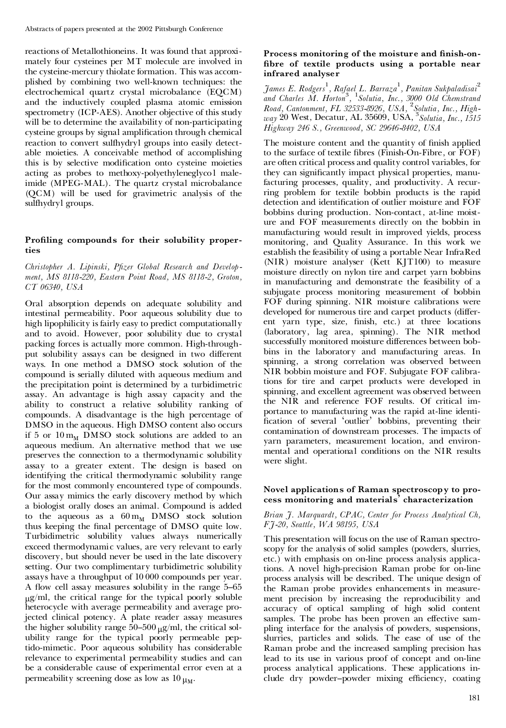reactions of Metallothioneins. It was found that approxi mately four cysteines per MT molecule are involved in the cysteine-mercury thiolate formation. This was accom plished by combining two well-known techniques: the electrochemical quartz crystal microbalance (EQCM) and the inductively coupled plasma atomic emission spectrometry (ICP-AES). Another objective of this study will be to determine the availability of non-participating cysteine groups by signal amplification through chemical reaction to convert sulfhydryl groups into easily detect able moieties. A conceivable method of accomplishing this is by selective modification onto cysteine moieties acting as probes to methoxy-polyethyleneglyco l maleimide (MPEG-MAL). The quartz crystal microbalance (QCM) will be used for gravimetric analysis of the sulfhydryl groups.

# **Proling compounds for their solubility proper ties**

## *Christopher A. Lipinski, P¢zer Global Research and Develop ment, MS 8118-220, Eastern Point Road, MS 8118-2, Groton, CT 06340, USA*

Oral absorption depends on adequate solubility and intestinal permeability. Poor aqueous solubility due to high lipophilicity is fairly easy to predict computationally and to avoid. However, poor solubility due to crystal packing forces is actually more common. High-through put solubility assays can be designed in two different ways. In one method a DMSO stock solution of the compound is serially diluted with aqueous medium and the precipitation point is determined by a turbidimetric assay. An advantage is high assay capacity and the ability to construct a relative solubility ranking of compounds. A disadvantage is the high percentage of DMSO in the aqueous. High DMSO content also occurs if 5 or  $10 \, \text{m}_M$  DMSO stock solutions are added to an aqueous medium. An alternative method that we use preserves the connection to a thermodynamic solubility assay to a greater extent. The design is based on identifying the critical thermodynamic solubility range for the most commonly encountered type of compounds. Our assay mimics the early discovery method by which a biologist orally doses an animal. Compound is added to the aqueous as a  $60 \, \text{m}_M$  DMSO stock solution thus keeping the final percentage of DMSO quite low. Turbidimetric solubility values always numerically exceed thermodynamic values, are very relevant to early discovery, but should never be used in the late discovery setting. Our two complimentary turbidimetric solubility assays have a throughput of 10 000 compounds per year. A flow cell assay measures solubility in the range 5-65 <sup>m</sup>g/ml, the critical range for the typical poorly soluble heterocycle with average permeability and average projected clinical potency. A plate reader assay measures the higher solubility range  $50-500 \mu\text{g/ml}$ , the critical solubility range for the typical poorly permeable peptido-mimetic. Poor aqueous solubility has considerable relevance to experimental permeability studies and can be a considerable cause of experimental error even at a permeability screening dose as low as  $10 \mu_M$ .

# **Process monitoring of the moisture and nish-on bre of textile products using a portable near infrared analyser**

*James E. Rodgers* 1 *, Rafael L. Barraza* 1 *, Panitan Sukpaladisai*<sup>2</sup> *and Charles M. Horton* 3 *,* <sup>1</sup>*Solutia, Inc., 3000 Old Chemstrand Road, Cantonment, FL 32533-8926, USA,* <sup>2</sup>*Solutia, Inc., High way* 20 West, Decatur, AL 35609, USA, <sup>3</sup>*Solutia, Inc., 1515 Highway 246 S., Greenwood, SC 29646-8402, USA*

The moisture content and the quantity of finish applied to the surface of textile fibres (Finish-On-Fibre, or FOF) are often critical process and quality control variables, for they can significantly impact physical properties, manufacturing processes, quality, and productivity. A recur ring problem for textile bobbin products is the rapid detection and identification of outlier moisture and FOF bobbins during production. Non-contact, at-line moist ure and FOF measurements directly on the bobbin in manufacturing would result in improved yields, process monitoring, and Quality Assurance. In this work we establish the feasibility of using a portable Near InfraRed (NIR) moisture analyser (Kett KJT100) to measure moisture directly on nylon tire and carpet yarn bobbins in manufacturing and demonstrate the feasibility of a subjugate process monitoring measurement of bobbin FOF during spinning. NIR moisture calibrations were developed for numerous tire and carpet products (different yarn type, size, finish, etc.) at three locations (laboratory, lag area, spinning). The NIR method successfully monitored moisture differences between bobbins in the laboratory and manufacturing areas. In spinning, a strong correlation was observed between NIR bobbin moisture and FOF. Subjugate FOF calibrations for tire and carpet products were developed in spinning, and excellent agreement was observed between the NIR and reference FOF results. Of critical im portance to manufacturing was the rapid at-line identi fication of several `outlier' bobbins, preventing their contamination of downstream processes. The impacts of yarn parameters, measurement location, and environ mental and operational conditions on the NIR results were slight.

# **Novel applications of Raman spectroscopy to pro cess monitoring and materials' characterization**

#### *Brian J. Marquardt, CPAC, Center for Process Analytical Ch, FJ-20, Seattle, WA 98195, USA*

This presentation will focus on the use of Raman spectroscopy for the analysis of solid samples (powders, slurries, etc.) with emphasis on on-line process analysis applications. A novel high-precision Raman probe for on-line process analysis will be described. The unique design of the Raman probe provides enhancements in measure ment precision by increasing the reproducibility and accuracy of optical sampling of high solid content samples. The probe has been proven an effective sampling interface for the analysis of powders, suspensions, slurries, particles and solids. The ease of use of the Raman probe and the increased sampling precision has lead to its use in various proof of concept and on-line process analytical applications. These applications in clude dry powder-powder mixing efficiency, coating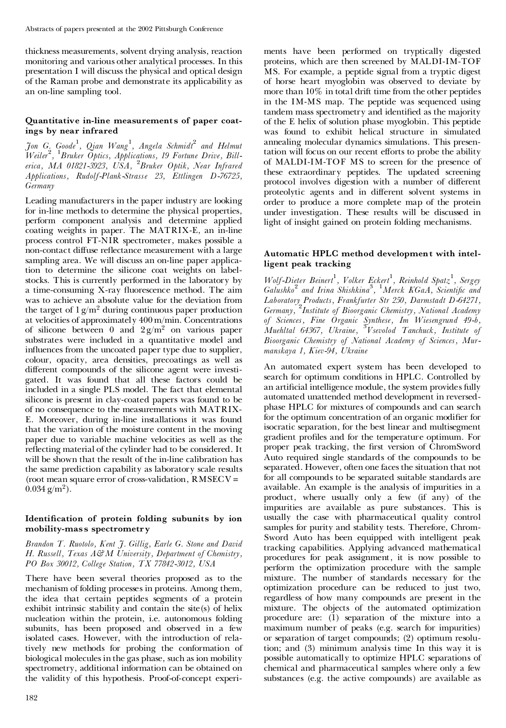thickness measurements, solvent drying analysis, reaction monitoring and various other analytical processes. In this presentation I will discuss the physical and optical design of the Raman probe and demonstrate its applicability as an on-line sampling tool.

# **Quantitative in-line measurements of paper coatings by near infrared**

*Jon G. Goode*<sup>1</sup> *, Qian Wang*<sup>1</sup> *, Angela Schmidt*<sup>2</sup> *and Helmut Weiler*<sup>2</sup> *,* <sup>1</sup>*Bruker Optics, Applications, 19 Fortune Drive, Billerica, MA 01821-3923, USA,* <sup>2</sup>*Bruker Optik, Near Infrared Applications, Rudolf-Plank-Strasse 23, Ettlingen D-76725, Germany*

Leading manufacturers in the paper industry are looking for in-line methods to determine the physical properties, perform component analysis and determine applied coating weights in paper. The MATRIX-E, an in-line process control FT-NIR spectrometer, makes possible a non-contact diffuse reflectance measurement with a large sampling area. We will discuss an on-line paper application to determine the silicone coat weights on labelstocks. This is currently performed in the laboratory by a time-consuming X-ray fluorescence method. The aim was to achieve an absolute value for the deviation from the target of  $1 g/m^2$  during continuous paper production at velocities of approximately 400 m/min. Concentrations of silicone between 0 and  $2 g/m^2$  on various paper substrates were included in a quantitative model and influences from the uncoated paper type due to supplier, colour, opacity, area densities, precoatings as well as different compounds of the silicone agent were investigated. It was found that all these factors could be included in a single PLS model. The fact that elemental silicone is present in clay-coated papers was found to be of no consequence to the measurements with MATRIX- E. Moreover, during in-line installations it was found that the variation of the moisture content in the moving paper due to variable machine velocities as well as the reflecting material of the cylinder had to be considered. It will be shown that the result of the in-line calibration has the same prediction capability as laboratory scale results (root mean square error of cross-validation, RMSECV =  $0.034$  g/m<sup>2</sup>).

# **Identication of protein folding subunits by ion mobility-mass spectrometry**

*Brandon T. Ruotolo, Kent J. Gillig, Earle G. Stone and David H. Russell, Texas A&M University, Department of Chemistry, PO Box 30012, College Station, TX 77842-3012, USA*

There have been several theories proposed as to the mechanism of folding processes in proteins. Among them, the idea that certain peptides segments of a protein exhibit intrinsic stability and contain the site(s) of helix nucleation within the protein, i.e. autonomous folding subunits, has been proposed and observed in a few isolated cases. However, with the introduction of relatively new methods for probing the conformation of biological molecules in the gas phase, such as ion mobility spectrometry, additional information can be obtained on the validity of this hypothesis. Proof-of-concept experiments have been performed on tryptically digested proteins, which are then screened by MALDI-IM-TOF MS. For example, a peptide signal from a tryptic digest of horse heart myoglobin was observed to deviate by more than 10% in total drift time from the other peptides in the IM-MS map. The peptide was sequenced using tandem mass spectrometry and identified as the majority of the E helix of solution phase myoglobin. This peptide was found to exhibit helical structure in simulated annealing molecular dynamics simulations. This presentation will focus on our recent efforts to probe the ability of MALDI-IM-TOF MS to screen for the presence of these extraordinary peptides. The updated screening protocol involves digestion with a number of different proteolytic agents and in different solvent systems in order to produce a more complete map of the protein under investigation. These results will be discussed in light of insight gained on protein folding mechanisms.

# **Automatic HPLC method development with intelligent peak tracking**

*Wolf-Dieter Beinert*<sup>1</sup> *, Volker Eckert*<sup>1</sup> *, Reinhold Spatz* 1 *, Sergey Galushko*<sup>2</sup> *and Irina Shishkina* 3 *,* <sup>1</sup>*Merck KGaA, Scienti¢c and Laboratory Products, Frankfurter Str 250, Darmstadt D-64271, Germany,* <sup>2</sup>*Institute of Bioorganic Chemistry, National Academy of Sciences, Fine Organic Synthese, Im Wiesengrund 49-b, Muehltal 64367, Ukraine,* <sup>3</sup>*Vsevolod Tanchuck, Institute of Bioorganic Chemistry of National Academy of Sciences, Mur manskaya 1, Kiev-94, Ukraine*

An automated expert system has been developed to search for optimum conditions in HPLC. Controlled by an artificial intelligence module, the system provides fully automated unattended method development in reversed phase HPLC for mixtures of compounds and can search for the optimum concentration of an organic modifier for isocratic separation, for the best linear and multisegment gradient profiles and for the temperature optimum. For proper peak tracking, the first version of ChromSword Auto required single standards of the compounds to be separated. However, often one faces the situation that not for all compounds to be separated suitable standards are available. An example is the analysis of impurities in a product, where usually only a few (if any) of the impurities are available as pure substances. This is usually the case with pharmaceutical quality control samples for purity and stability tests. Therefore, Chrom- Sword Auto has been equipped with intelligent peak tracking capabilities. Applying advanced mathematical procedures for peak assignment, it is now possible to perform the optimization procedure with the sample mixture. The number of standards necessary for the optimization procedure can be reduced to just two, regardless of how many compounds are present in the mixture. The objects of the automated optimization procedure are: (1) separation of the mixture into a maximum number of peaks (e.g. search for impurities) or separation of target compounds; (2) optimum resolution; and (3) minimum analysis time In this way it is possible automatically to optimize HPLC separations of chemical and pharmaceutical samples where only a few substances (e.g. the active compounds) are available as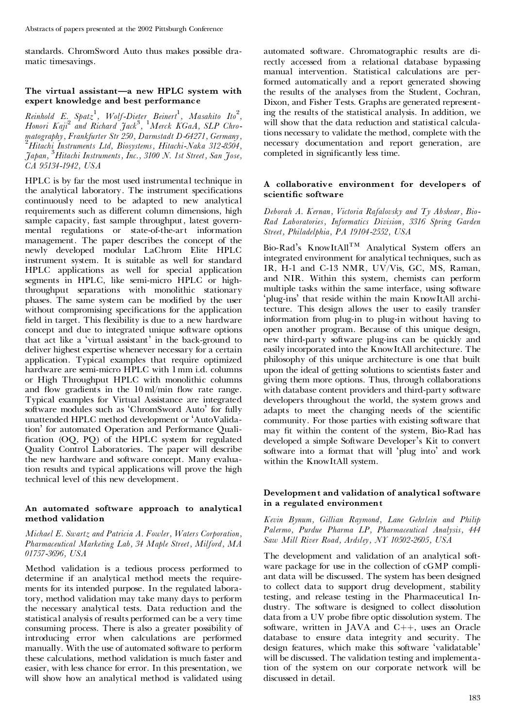standards. ChromSword Auto thus makes possible dra matic timesavings.

## **The virtual assistant—a new HPLC system with expert knowledge and best performance**

*Reinhold E. Spatz* 1 *, Wolf-Dieter Beinert*<sup>1</sup> *, Masahito Ito* 2 *, Honori Kaji*<sup>2</sup> *and Richard Jack* 3 *,* <sup>1</sup>*Merck KGaA, SLP Chro matography, Frankfurter Str 250, Darmstadt D-64271, Germany,* <sup>2</sup>*Hitachi Instruments Ltd, Biosystems, Hitachi-Naka 312-8504, Japan,* <sup>3</sup>*Hitachi Instruments, Inc., 3100 N. 1st Street, San Jose, CA 95134-1942, USA*

HPLC is by far the most used instrumental technique in the analytical laboratory. The instrument specifications continuously need to be adapted to new analytical requirements such as different column dimensions, high sample capacity, fast sample throughput, latest govern mental regulations or state-of-the-art information management. The paper describes the concept of the newly developed modular LaChrom Elite HPLC instrument system. It is suitable as well for standard HPLC applications as well for special application segments in HPLC, like semi-micro HPLC or highthroughput separations with monolithic stationary phases. The same system can be modified by the user without compromising specifications for the application field in target. This flexibility is due to a new hardware concept and due to integrated unique software options that act like a `virtual assistant' in the back-ground to deliver highest expertise whenever necessary for a certain application. Typical examples that require optimized hardware are semi-micro HPLC with 1 mm i.d. columns or High Throughput HPLC with monolithic columns and flow gradients in the  $10 \,\mathrm{ml/min}$  flow rate range. Typical examples for Virtual Assistance are integrated software modules such as 'ChromSword Auto' for fully unattended HPLC method development or `AutoValidation' for automated Operation and Performance Quali fication (OQ, PQ) of the HPLC system for regulated Quality Control Laboratories. The paper will describe the new hardware and software concept. Many evaluation results and typical applications will prove the high technical level of this new development.

# **An automated software approach to analytical method validation**

*Michael E. Swartz and Patricia A. Fowler, Waters Corporation, Pharmaceutical Marketing Lab, 34 Maple Street, Milford, MA 01757-3696, USA*

Method validation is a tedious process performed to determine if an analytical method meets the require ments for its intended purpose. In the regulated laboratory, method validation may take many days to perform the necessary analytical tests. Data reduction and the statistical analysis of results performed can be a very time consuming process. There is also a greater possibility of introducing error when calculations are performed manually. With the use of automated software to perform these calculations, method validation is much faster and easier, with less chance for error. In this presentation, we will show how an analytical method is validated using

automated software. Chromatographic results are di rectly accessed from a relational database bypassing manual intervention. Statistical calculations are performed automatically and a report generated showing the results of the analyses from the Student, Cochran, Dixon, and Fisher Tests. Graphs are generated representing the results of the statistical analysis. In addition, we will show that the data reduction and statistical calculations necessary to validate the method, complete with the necessary documentation and report generation, are completed in significantly less time.

## **A collaborative environment for developers of scientic software**

*Deborah A. Kernan, Victoria Rafalovsky and Ty Abshear, Bio- Rad Laboratories, Informatics Division, 3316 Spring Garden Street, Philadelphia, PA 19104-2552, USA*

Bio-Rad's KnowItAll<sup>TM</sup> Analytical System offers an integrated environment for analytical techniques, such as IR, H-1 and C-13 NMR, UV/Vis, GC, MS, Raman, and NIR. Within this system, chemists can perform multiple tasks within the same interface, using software `plug-ins' that reside within the main KnowItAll architecture. This design allows the user to easily transfer information from plug-in to plug-in without having to open another program. Because of this unique design, new third-party software plug-ins can be quickly and easily incorporated into the KnowItAll architecture. The philosophy of this unique architecture is one that built upon the ideal of getting solutions to scientists faster and giving them more options. Thus, through collaborations with database content providers and third-party software developers throughout the world, the system grows and adapts to meet the changing needs of the scientific community. For those parties with existing software that may fit within the content of the system, Bio-Rad has developed a simple Software Developer's Kit to convert software into a format that will 'plug into' and work within the KnowItAll system.

#### **Development and validation of analytical software in a regulated environment**

*Kevin Bynum, Gillian Raymond, Lane Gehrlein and Philip Palermo, Purdue Pharma LP, Pharmaceutical Analysis, 444 Saw Mill River Road, Ardsley, NY 10502-2605, USA*

The development and validation of an analytical soft ware package for use in the collection of cGMP compli ant data will be discussed. The system has been designed to collect data to support drug development, stability testing, and release testing in the Pharmaceutical In dustry. The software is designed to collect dissolution data from a UV probe fibre optic dissolution system. The software, written in JAVA and  $C++$ , uses an Oracle database to ensure data integrity and security. The design features, which make this software `validatable' will be discussed. The validation testing and implementation of the system on our corporate network will be discussed in detail.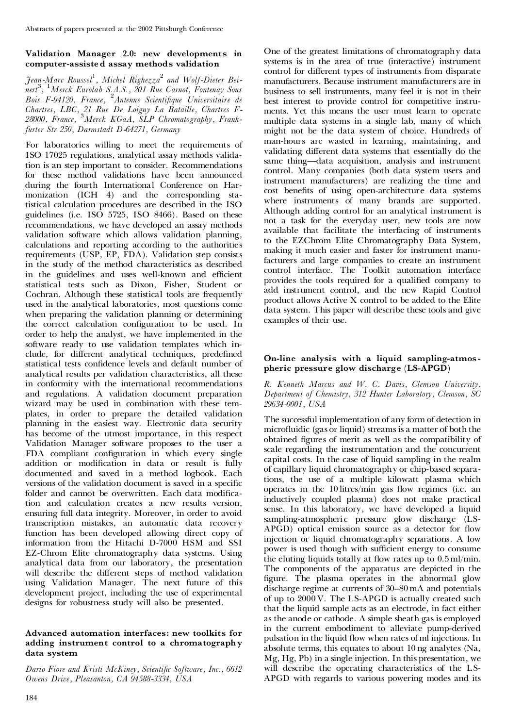# **Validation Manager 2.0: new developments in computer-assiste d assay methods validation**

*Jean-Marc Roussel*<sup>1</sup> *, Michel Righezza* <sup>2</sup> *and Wolf-Dieter Bei nert*<sup>3</sup> *,* <sup>1</sup>*Merck Eurolab S.A.S., 201 Rue Carnot, Fontenay Sous Bois F-94120, France,* <sup>2</sup>*Antenne Scienti¢que Universitaire de Chartres, LBC, 21 Rue De Loigny La Bataille, Chartres F-28000, France,* <sup>3</sup>*Merck KGaA, SLP Chromatography, Frankfurter Str 250, Darmstadt D-64271, Germany*

For laboratories willing to meet the requirements of ISO 17025 regulations, analytical assay methods validation is an step important to consider. Recommendations for these method validations have been announced during the fourth International Conference on Har monization (ICH 4) and the corresponding statistical calculation procedures are described in the ISO guidelines (i.e. ISO 5725, ISO 8466). Based on these recommendations, we have developed an assay methods validation software which allows validation planning, calculations and reporting according to the authorities requirements (USP, EP, FDA). Validation step consists in the study of the method characteristics as described in the guidelines and uses well-known and efficient statistical tests such as Dixon, Fisher, Student or Cochran. Although these statistical tools are frequently used in the analytical laboratories, most questions come when preparing the validation planning or determining the correct calculation configuration to be used. In order to help the analyst, we have implemented in the software ready to use validation templates which in clude, for different analytical techniques, predefined statistical tests confidence levels and default number of analytical results per validation characteristics, all these in conformity with the international recommendations and regulations. A validation document preparation wizard may be used in combination with these tem plates, in order to prepare the detailed validation planning in the easiest way. Electronic data security has become of the utmost importance, in this respect Validation Manager software proposes to the user a FDA compliant configuration in which every single addition or modification in data or result is fully documented and saved in a method logbook. Each versions of the validation document is saved in a specific folder and cannot be overwritten. Each data modification and calculation creates a new results version, ensuring full data integrity. Moreover, in order to avoid transcription mistakes, an automatic data recovery function has been developed allowing direct copy of information from the Hitachi D-7000 HSM and SSI EZ-Chrom Elite chromatography data systems. Using analytical data from our laboratory, the presentation will describe the different steps of method validation using Validation Manager. The next future of this development project, including the use of experimental designs for robustness study will also be presented.

#### **Advanced automation interfaces: new toolkits for adding instrument control to a chromatography data system**

*Dario Fiore and Kristi McKiney, Scienti¢c Software, Inc., 6612 Owens Drive, Pleasanton, CA 94588-3334, USA*

One of the greatest limitations of chromatography data systems is in the area of true (interactive) instrument control for different types of instruments from disparate manufacturers. Because instrument manufacturers are in business to sell instruments, many feel it is not in their best interest to provide control for competitive instru ments. Yet this means the user must learn to operate multiple data systems in a single lab, many of which might not be the data system of choice. Hundreds of man-hours are wasted in learning, maintaining, and validating different data systems that essentially do the same thing-data acquisition, analysis and instrument control. Many companies (both data system users and instrument manufacturers) are realizing the time and cost benefits of using open-architecture data systems where instruments of many brands are supported. Although adding control for an analytical instrument is not a task for the everyday user, new tools are now available that facilitate the interfacing of instruments to the EZChrom Elite Chromatography Data System, making it much easier and faster for instrument manufacturers and large companies to create an instrument control interface. The Toolkit automation interface provides the tools required for a qualified company to add instrument control, and the new Rapid Control product allows Active X control to be added to the Elite data system. This paper will describe these tools and give examples of their use.

## **On-line analysis with a liquid sampling-atmos pheric pressure glow discharge (LS-APGD)**

*R. Kenneth Marcus and W. C. Davis, Clemson University, Department of Chemistry, 312 Hunter Laboratory, Clemson, SC 29634-0001, USA*

The successful implementation of any form of detection in microfluidic (gas or liquid) streams is a matter of both the obtained figures of merit as well as the compatibility of scale regarding the instrumentation and the concurrent capital costs. In the case of liquid sampling in the realm of capillary liquid chromatography or chip-based separations, the use of a multiple kilowatt plasma which operates in the 10 litres/min gas flow regimes (i.e. an inductively coupled plasma) does not make practical sense. In this laboratory, we have developed a liquid sampling-atmospheric pressure glow discharge (LS- $APGD$ ) optical emission source as a detector for flow injection or liquid chromatography separations. A low power is used though with sufficient energy to consume the eluting liquids totally at flow rates up to  $0.5$  ml/min. The components of the apparatus are depicted in the figure. The plasma operates in the abnormal glow discharge regime at currents of 30–80 mA and potentials of up to 2000 V. The LS-APGD is actually created such that the liquid sample acts as an electrode, in fact either as the anode or cathode. A simple sheath gas is employed in the current embodiment to alleviate pump-derived pulsation in the liquid flow when rates of ml injections. In absolute terms, this equates to about 10 ng analytes (Na, Mg, Hg, Pb) in a single injection. In this presentation, we will describe the operating characteristics of the LS- APGD with regards to various powering modes and its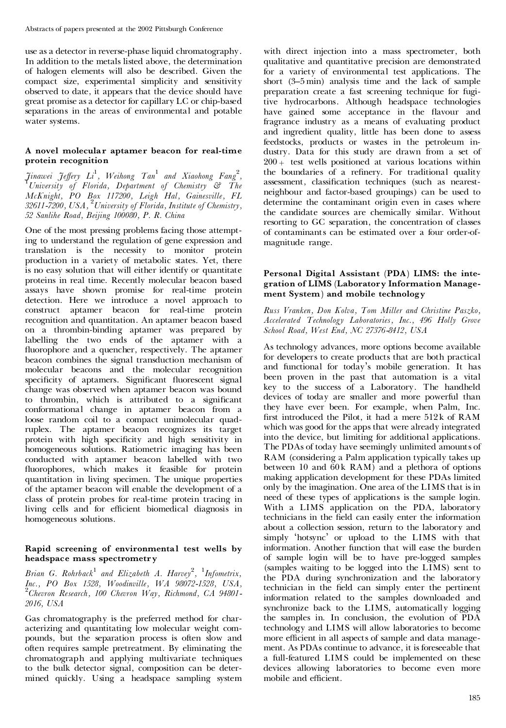use as a detector in reverse-phase liquid chromatography. In addition to the metals listed above, the determination of halogen elements will also be described. Given the compact size, experimental simplicity and sensitivity observed to date, it appears that the device should have great promise as a detector for capillary LC or chip-based separations in the areas of environmental and potable water systems.

#### **A novel molecular aptamer beacon for real-time protein recognition**

Jinawei Jeffery Li<sup>1</sup>, Weihong Tan<sup>1</sup> and Xiaohong Fang<sup>2</sup>,<br><sup>1</sup>University of Florida, Department of Chemistry & The *McKnight, PO Box 117200, Leigh Hal, Gainesville, FL 32611-7200, USA,* <sup>2</sup>*University of Florida, Institute of Chemistry, 52 Sanlihe Road, Beijing 100080, P. R. China*

One of the most pressing problems facing those attempting to understand the regulation of gene expression and translation is the necessity to monitor protein production in a variety of metabolic states. Yet, there is no easy solution that will either identify or quantitate proteins in real time. Recently molecular beacon based assays have shown promise for real-time protein detection. Here we introduce a novel approach to construct aptamer beacon for real-time protein recognition and quantitation. An aptamer beacon based on a thrombin-binding aptamer was prepared by labelling the two ends of the aptamer with a fluorophore and a quencher, respectively. The aptamer beacon combines the signal transduction mechanism of molecular beacons and the molecular recognition specificity of aptamers. Significant fluorescent signal change was observed when aptamer beacon was bound to thrombin, which is attributed to a significant conformational change in aptamer beacon from a loose random coil to a compact unimolecular quad ruplex. The aptamer beacon recognizes its target protein with high specificity and high sensitivity in homogeneous solutions. Ratiometric imaging has been conducted with aptamer beacon labelled with two fluorophores, which makes it feasible for protein quantitation in living specimen. The unique properties of the aptamer beacon will enable the development of a class of protein probes for real-time protein tracing in living cells and for efficient biomedical diagnosis in homogeneous solutions.

# **Rapid screening of environmental test wells by headspace mass spectrometry**

*Brian G. Rohrback* <sup>1</sup> *and Elizabeth A. Harvey* 2 *,* <sup>1</sup>*Infometrix, Inc., PO Box 1528, Woodinville, WA 98072-1528, USA,* <sup>2</sup>*Chevron Research, <sup>100</sup> Chevron Way, Richmond, CA 94801- 2016, USA*

Gas chromatography is the preferred method for char acterizing and quantitating low molecular weight com pounds, but the separation process is often slow and often requires sample pretreatment. By eliminating the chromatograph and applying multivariate techniques to the bulk detector signal, composition can be deter mined quickly. Using a headspace sampling system with direct injection into a mass spectrometer, both qualitative and quantitative precision are demonstrated for a variety of environmental test applications. The short  $(3-5 \text{ min})$  analysis time and the lack of sample preparation create a fast screening technique for fugitive hydrocarbons. Although headspace technologies have gained some acceptance in the flavour and fragrance industry as a means of evaluating product and ingredient quality, little has been done to assess feedstocks, products or wastes in the petroleum in dustry. Data for this study are drawn from a set of  $200 +$  test wells positioned at various locations within the boundaries of a refinery. For traditional quality assessment, classification techniques (such as nearestneighbour and factor-based groupings) can be used to determine the contaminant origin even in cases where the candidate sources are chemically similar. Without resorting to GC separation, the concentration of classes of contaminants can be estimated over a four order-of magnitude range.

## **Personal Digital Assistant (PDA) LIMS: the inte gration of LIMS (Laboratory Information Manage ment System) and mobile technology**

*Russ Vranken, Don Kolva, Tom Miller and Christine Paszko, Accelerated Technology Laboratories, Inc., 496 Holly Grove School Road, West End, NC 27376-8412, USA*

As technology advances, more options become available for developers to create products that are both practical and functional for today's mobile generation. It has been proven in the past that automation is a vital key to the success of a Laboratory. The handheld devices of today are smaller and more powerful than they have ever been. For example, when Palm, Inc. first introduced the Pilot, it had a mere  $512k$  of RAM which was good for the apps that were already integrated into the device, but limiting for additional applications. The PDAs of today have seemingly unlimited amounts of RAM (considering a Palm application typically takes up between  $10$  and  $60k$  RAM) and a plethora of options making application development for these PDAs limited only by the imagination. One area of the LIMS that is in need of these types of applications is the sample login. With a LIMS application on the PDA, laboratory technicians in the field can easily enter the information about a collection session, return to the laboratory and simply `hotsync' or upload to the LIMS with that information. Another function that will ease the burden of sample login will be to have pre-logged samples (samples waiting to be logged into the LIMS) sent to the PDA during synchronization and the laboratory technician in the field can simply enter the pertinent information related to the samples downloaded and synchronize back to the LIMS, automatically logging the samples in. In conclusion, the evolution of PDA technology and LIMS will allow laboratories to become more efficient in all aspects of sample and data management. As PDAs continue to advance, it is foreseeable that a full-featured LIMS could be implemented on these devices allowing laboratories to become even more mobile and efficient.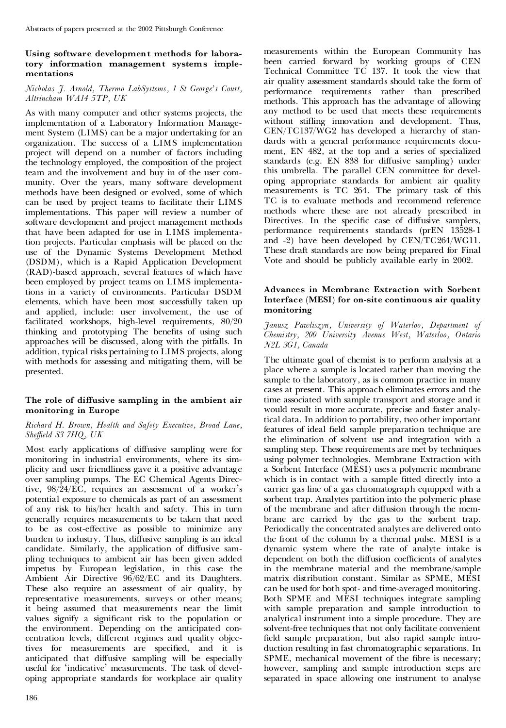# **Using software development methods for labora tory information management systems imple mentations**

# *Nicholas J. Arnold, Thermo LabSystems, 1 St George's Court, Altrincham WA14 5TP, UK*

As with many computer and other systems projects, the implementation of a Laboratory Information Manage ment System (LIMS) can be a major undertaking for an organization. The success of a LIMS implementation project will depend on a number of factors including the technology employed, the composition of the project team and the involvement and buy in of the user com munity. Over the years, many software development methods have been designed or evolved, some of which can be used by project teams to facilitate their LIMS implementations. This paper will review a number of software development and project management methods that have been adapted for use in LIMS implementation projects. Particular emphasis will be placed on the use of the Dynamic Systems Development Method (DSDM), which is a Rapid Application Development (RAD)-based approach, several features of which have been employed by project teams on LIMS implementations in a variety of environments. Particular DSDM elements, which have been most successfully taken up and applied, include: user involvement, the use of facilitated workshops, high-level requirements, 80/20 thinking and prototyping The benefits of using such approaches will be discussed, along with the pitfalls. In addition, typical risks pertaining to LIMS projects, along with methods for assessing and mitigating them, will be presented.

# **The role of di´usive sampling in the ambient air monitoring in Europe**

# *Richard H. Brown, Health and Safety Executive, Broad Lane, She¤eld S3 7HQ, UK*

Most early applications of diffusive sampling were for monitoring in industrial environments, where its sim plicity and user friendliness gave it a positive advantage over sampling pumps. The EC Chemical Agents Directive, 98/24/EC, requires an assessment of a worker's potential exposure to chemicals as part of an assessment of any risk to his/her health and safety. This in turn generally requires measurements to be taken that need to be as cost-effective as possible to minimize any burden to industry. Thus, diffusive sampling is an ideal candidate. Similarly, the application of diffusive sampling techniques to ambient air has been given added impetus by European legislation, in this case the Ambient Air Directive 96/62/EC and its Daughters. These also require an assessment of air quality, by representative measurements, surveys or other means; it being assumed that measurements near the limit values signify a significant risk to the population or the environment. Depending on the anticipated con centration levels, different regimes and quality objectives for measurements are specified, and it is anticipated that diffusive sampling will be especially useful for `indicative' measurements. The task of devel oping appropriate standards for workplace air quality

measurements within the European Community has been carried forward by working groups of CEN Technical Committee TC 137. It took the view that air quality assessment standards should take the form of performance requirements rather than prescribed methods. This approach has the advantage of allowing any method to be used that meets these requirements without stifling innovation and development. Thus, CEN/TC137/WG2 has developed a hierarchy of stan dards with a general performance requirements docu ment, EN 482, at the top and a series of specialized standards (e.g. EN 838 for diffusive sampling) under this umbrella. The parallel CEN committee for devel oping appropriate standards for ambient air quality measurements is TC 264. The primary task of this TC is to evaluate methods and recommend reference methods where these are not already prescribed in Directives. In the specific case of diffusive samplers, performance requirements standards (prEN 13528-1 and -2) have been developed by CEN/TC264/WG11. These draft standards are now being prepared for Final Vote and should be publicly available early in 2002.

# **Advances in Membrane Extraction with Sorbent Interface (MESI) for on-site continuous air quality monitoring**

*Janusz Pawliszyn, University of Waterloo, Department of Chemistry, 200 University Avenue West, Waterloo, Ontario N2L 3G1, Canada*

The ultimate goal of chemist is to perform analysis at a place where a sample is located rather than moving the sample to the laboratory, as is common practice in many cases at present. This approach eliminates errors and the time associated with sample transport and storage and it would result in more accurate, precise and faster analytical data. In addition to portability, two other important features of ideal field sample preparation technique are the elimination of solvent use and integration with a sampling step. These requirements are met by techniques using polymer technologies. Membrane Extraction with a Sorbent Interface (MESI) uses a polymeric membrane which is in contact with a sample fitted directly into a carrier gas line of a gas chromatograph equipped with a sorbent trap. Analytes partition into the polymeric phase of the membrane and after diffusion through the membrane are carried by the gas to the sorbent trap. Periodically the concentrated analytes are delivered onto the front of the column by a thermal pulse. MESI is a dynamic system where the rate of analyte intake is dependent on both the diffusion coefficients of analytes in the membrane material and the membrane/sample matrix distribution constant. Similar as SPME, MESI can be used for both spot- and time-averaged monitoring. Both SPME and MESI techniques integrate sampling with sample preparation and sample introduction to analytical instrument into a simple procedure. They are solvent-free techniques that not only facilitate convenient field sample preparation, but also rapid sample introduction resulting in fast chromatographic separations. In SPME, mechanical movement of the fibre is necessary; however, sampling and sample introduction steps are separated in space allowing one instrument to analyse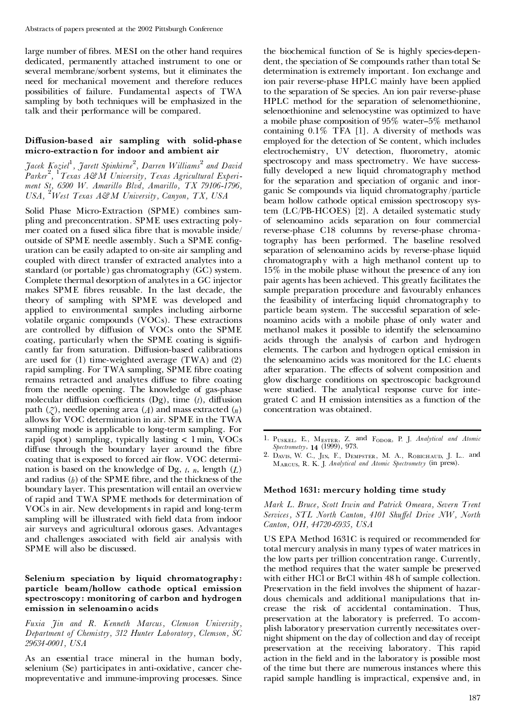large number of fibres. MESI on the other hand requires dedicated, permanently attached instrument to one or several membrane/sorbent systems, but it eliminates the need for mechanical movement and therefore reduces possibilities of failure. Fundamental aspects of TWA sampling by both techniques will be emphasized in the talk and their performance will be compared.

#### $Diffusion-based$  air sampling with solid-phase **micro-extraction for indoor and ambient air**

*Jacek Koziel*<sup>1</sup> *, Jarett Spinhirne* 2 *, Darren Williams* <sup>2</sup> *and David Parker*<sup>2</sup> *,* <sup>1</sup>*Texas A&M University, Texas Agricultural Experi ment St, 6500 W. Amarillo Blvd, Amarillo, TX 79106-1796, USA,* <sup>2</sup>*West Texas A&M University, Canyon, TX, USA*

Solid Phase Micro-Extraction (SPME) combines sam pling and preconcentration. SPME uses extracting poly mer coated on a fused silica fibre that is movable inside/ outside of SPME needle assembly. Such a SPME configuration can be easily adapted to on-site air sampling and coupled with direct transfer of extracted analytes into a standard (or portable) gas chromatography (GC) system. Complete thermal desorption of analytes in a GC injector makes SPME fibres reusable. In the last decade, the theory of sampling with SPME was developed and applied to environmental samples including airborne volatile organic compounds (VOCs). These extractions are controlled by diffusion of VOCs onto the SPME coating, particularly when the SPME coating is significantly far from saturation. Diffusion-based calibrations are used for (1) time-weighted average (TWA) and (2) rapid sampling. For TWA sampling, SPME fibre coating remains retracted and analytes diffuse to fibre coating from the needle opening. The knowledge of gas-phase molecular diffusion coefficients  $(Dg)$ , time  $(t)$ , diffusion path  $(2)$ , needle opening area  $(A)$  and mass extracted  $(n)$ allows for VOC determination in air. SPME in the TWA sampling mode is applicable to long-term sampling. For rapid (spot) sampling, typically lasting < 1 min, VOCs diffuse through the boundary layer around the fibre coating that is exposed to forced air flow. VOC determination is based on the knowledge of Dg, *t*, *n*, length (*L*) and radius  $(b)$  of the SPME fibre, and the thickness of the boundary layer. This presentation will entail an overview of rapid and TWA SPME methods for determination of VOCs in air. New developments in rapid and long-term sampling will be illustrated with field data from indoor air surveys and agricultural odorous gases. Advantages and challenges associated with field air analysis with SPME will also be discussed.

#### **Selenium speciation by liquid chromatography: particle beam/hollow cathode optical emission spectroscopy: monitoring of carbon and hydrogen emission in selenoamino acids**

*Fuxia Jin and R. Kenneth Marcus, Clemson University, Department of Chemistry, 312 Hunter Laboratory, Clemson, SC 29634-0001, USA*

As an essential trace mineral in the human body, selenium (Se) participates in anti-oxidative, cancer che mopreventative and immune-improving processes. Since the biochemical function of Se is highly species-depen dent, the speciation of Se compounds rather than total Se determination is extremely important. Ion exchange and ion pair reverse-phase HPLC mainly have been applied to the separation of Se species. An ion pair reverse-phase HPLC method for the separation of selenomethionine, selenoethionine and selenocystine was optimized to have a mobile phase composition of 95% water-5% methanol containing 0.1% TFA [1]. A diversity of methods was employed for the detection of Se content, which includes electrochemistry, UV detection, fluorometry, atomic spectroscopy and mass spectrometry. We have successfully developed a new liquid chromatography method for the separation and speciation of organic and inor ganic Se compounds via liquid chromatography /particle beam hollow cathode optical emission spectroscopy system (LC/PB-HCOES) [2]. A detailed systematic study of selenoamino acids separation on four commercial reverse-phase C18 columns by reverse-phase chromatography has been performed. The baseline resolved separation of selenoamino acids by reverse-phase liquid chromatography with a high methanol content up to 15% in the mobile phase without the presence of any ion pair agents has been achieved. This greatly facilitates the sample preparation procedure and favourably enhances the feasibility of interfacing liquid chromatography to particle beam system. The successful separation of sele noamino acids with a mobile phase of only water and methanol makes it possible to identify the selenoamino acids through the analysis of carbon and hydrogen elements. The carbon and hydrogen optical emission in the selenoamino acids was monitored for the LC eluents after separation. The effects of solvent composition and glow discharge conditions on spectroscopic background were studied. The analytical response curve for inte grated C and H emission intensities as a function of the concentration was obtained.

Marcus, R. K. J. *Analytical and Atomic Spectrometry* (in press).

#### **Method 1631: mercury holding time study**

*Mark L. Bruce, Scott Irwin and Patrick Omeara, Severn Trent Services, STL North Canton, 4101 Shu¡el Drive NW, North Canton, OH, 44720-6935, USA*

US EPA Method 1631C is required or recommended for total mercury analysis in many types of water matrices in the low parts per trillion concentration range. Currently, the method requires that the water sample be preserved with either HCl or BrCl within 48 h of sample collection. Preservation in the field involves the shipment of hazardous chemicals and additional manipulations that in crease the risk of accidental contamination. Thus, preservation at the laboratory is preferred. To accom plish laboratory preservation currently necessitates over night shipment on the day of collection and day of receipt preservation at the receiving laboratory. This rapid action in the field and in the laboratory is possible most of the time but there are numerous instances where this rapid sample handling is impractical, expensive and, in

<sup>1.</sup> <sup>P</sup>uskel, E., <sup>M</sup>ester, Z. and <sup>F</sup>odor, P. J. *Analytical and Atomic Spectrometry*, **<sup>14</sup>** (1999), 973. 2. <sup>D</sup>avis, W. C., <sup>J</sup>in, F., <sup>D</sup>empster, M. A., <sup>R</sup>obichaud, J. L.. and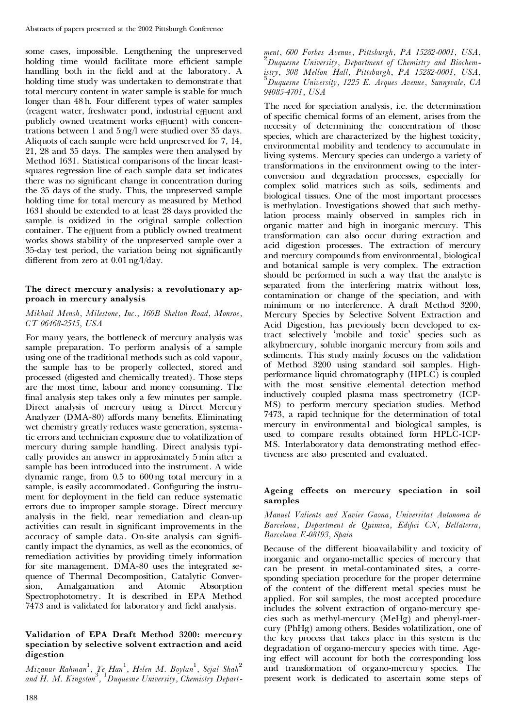some cases, impossible. Lengthening the unpreserved holding time would facilitate more efficient sample handling both in the field and at the laboratory. A holding time study was undertaken to demonstrate that total mercury content in water sample is stable for much longer than 48 h. Four different types of water samples (reagent water, freshwater pond, industrial effluent and publicly owned treatment works effluent) with concentrations between 1 and 5 ng/l were studied over 35 days. Aliquots of each sample were held unpreserved for 7, 14, 21, 28 and 35 days. The samples were then analysed by Method 1631. Statistical comparisons of the linear leastsquares regression line of each sample data set indicates there was no significant change in concentration during the 35 days of the study. Thus, the unpreserved sample holding time for total mercury as measured by Method 1631 should be extended to at least 28 days provided the sample is oxidized in the original sample collection container. The e<sub>ffl</sub>uent from a publicly owned treatment works shows stability of the unpreserved sample over a 35-day test period, the variation being not significantly different from zero at  $0.01$  ng/l/day.

#### **The direct mercury analysis: a revolutionary ap proach in mercury analysis**

#### *Mikhail Mensh, Milestone, Inc., 160B Shelton Road, Monroe, CT 06468-2545, USA*

For many years, the bottleneck of mercury analysis was sample preparation. To perform analysis of a sample using one of the traditional methods such as cold vapour, the sample has to be properly collected, stored and processed (digested and chemically treated). Those steps are the most time, labour and money consuming. The final analysis step takes only a few minutes per sample. Direct analysis of mercury using a Direct Mercury Analyzer (DMA-80) affords many benefits. Eliminating wet chemistry greatly reduces waste generation, systematic errors and technician exposure due to volatilization of mercury during sample handling. Direct analysis typi cally provides an answer in approximately 5 min after a sample has been introduced into the instrument. A wide dynamic range, from 0.5 to 600 ng total mercury in a sample, is easily accommodated. Configuring the instrument for deployment in the field can reduce systematic errors due to improper sample storage. Direct mercury analysis in the field, near remediation and clean-up activities can result in significant improvements in the accuracy of sample data. On-site analysis can significantly impact the dynamics, as well as the economics, of remediation activities by providing timely information for site management. DMA-80 uses the integrated se quence of Thermal Decomposition, Catalytic Conversion, Amalgamation and Atomic Absorption Spectrophotometry. It is described in EPA Method 7473 and is validated for laboratory and field analysis.

#### **Validation of EPA Draft Method 3200: mercury speciation by selective solvent extraction and acid digestion**

*Mizanur Rahman* 1 *, Ye Han*<sup>1</sup> *, Helen M. Boylan* 1 *, Sejal Shah*<sup>2</sup> *and H. M. Kingston* 3 *,* <sup>1</sup>*Duquesne University, Chemistry Depart-* *ment, <sup>600</sup> Forbes Avenue, Pittsburgh, PA 15282-0001, USA,* <sup>2</sup>*Duquesne University, Department of Chemistry and Biochem-* ${}^{3}$ Duquesne University, 1225 E. Arques Avenue, Sunnyvale, CA *94085-4701, USA*

The need for speciation analysis, i.e. the determination of specific chemical forms of an element, arises from the necessity of determining the concentration of those species, which are characterized by the highest toxicity, environmental mobility and tendency to accumulate in living systems. Mercury species can undergo a variety of transformations in the environment owing to the inter conversion and degradation processes, especially for complex solid matrices such as soils, sediments and biological tissues. One of the most important processes is methylation. Investigations showed that such methylation process mainly observed in samples rich in organic matter and high in inorganic mercury. This transformation can also occur during extraction and acid digestion processes. The extraction of mercury and mercury compounds from environmental, biological and botanical sample is very complex. The extraction should be performed in such a way that the analyte is separated from the interfering matrix without loss, contamination or change of the speciation, and with minimum or no interference. A draft Method 3200, Mercury Species by Selective Solvent Extraction and Acid Digestion, has previously been developed to extract selectively `mobile and toxic' species such as alkylmercury, soluble inorganic mercury from soils and sediments. This study mainly focuses on the validation of Method 3200 using standard soil samples. High performance liquid chromatography (HPLC) is coupled with the most sensitive elemental detection method inductively coupled plasma mass spectrometry (ICP- MS) to perform mercury speciation studies. Method 7473, a rapid technique for the determination of total mercury in environmental and biological samples, is used to compare results obtained form HPLC-ICP- MS. Interlaboratory data demonstrating method effectiveness are also presented and evaluated.

#### Ageing effects on mercury speciation in soil **samples**

#### *Manuel Valiente and Xavier Gaona, Universitat Autonoma de Barcelona, Department de Quimica, Edi¢ci CN, Bellaterra, Barcelona E-08193, Spain*

Because of the different bioavailability and toxicity of inorganic and organo-metallic species of mercury that can be present in metal-contaminated sites, a corresponding speciation procedure for the proper determine of the content of the different metal species must be applied. For soil samples, the most accepted procedure includes the solvent extraction of organo-mercury spe cies such as methyl-mercury (MeHg) and phenyl-mer cury (PhHg) among others. Besides volatilization, one of the key process that takes place in this system is the degradation of organo-mercury species with time. Ageing effect will account for both the corresponding loss and transformation of organo-mercury species. The present work is dedicated to ascertain some steps of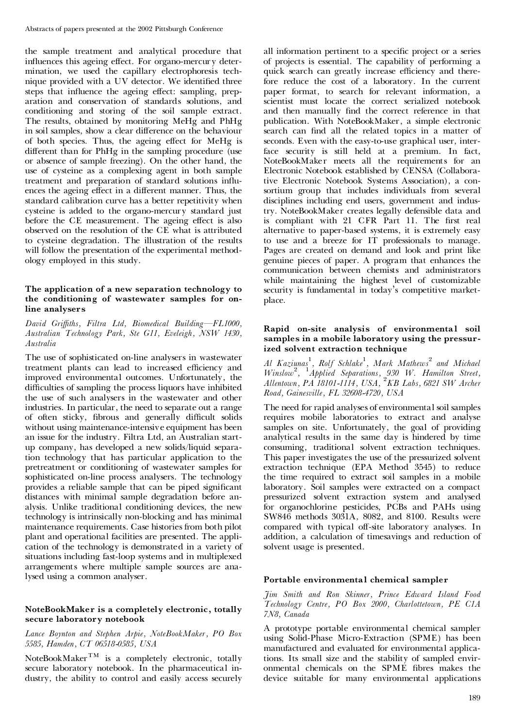the sample treatment and analytical procedure that influences this ageing effect. For organo-mercury determination, we used the capillary electrophoresis tech nique provided with a UV detector. We identified three steps that influence the ageing effect: sampling, preparation and conservation of standards solutions, and conditioning and storing of the soil sample extract. The results, obtained by monitoring MeHg and PhHg in soil samples, show a clear difference on the behaviour of both species. Thus, the ageing effect for MeHg is different than for PhHg in the sampling procedure (use or absence of sample freezing). On the other hand, the use of cysteine as a complexing agent in both sample treatment and preparation of standard solutions influences the ageing effect in a different manner. Thus, the standard calibration curve has a better repetitivity when cysteine is added to the organo-mercury standard just before the CE measurement. The ageing effect is also observed on the resolution of the CE what is attributed to cysteine degradation. The illustration of the results will follow the presentation of the experimental method ology employed in this study.

#### **The application of a new separation technology to the conditioning of wastewater samples for online analysers**

*David Griffiths, Filtra Ltd, Biomedical Building*-FL1000, *Australian Technology Park, Ste G11, Eveleigh, NSW 1430, Australia*

The use of sophisticated on-line analysers in wastewater treatment plants can lead to increased efficiency and improved environmental outcomes. Unfortunately, the difficulties of sampling the process liquors have inhibited the use of such analysers in the wastewater and other industries. In particular, the need to separate out a range of often sticky, fibrous and generally difficult solids without using maintenance-intensive equipment has been an issue for the industry. Filtra Ltd, an Australian start up company, has developed a new solids/liquid separation technology that has particular application to the pretreatment or conditioning of wastewater samples for sophisticated on-line process analysers. The technology provides a reliable sample that can be piped significant distances with minimal sample degradation before an alysis. Unlike traditional conditioning devices, the new technology is intrinsically non-blocking and has minimal maintenance requirements. Case histories from both pilot plant and operational facilities are presented. The appli cation of the technology is demonstrated in a variety of situations including fast-loop systems and in multiplexed arrangements where multiple sample sources are analysed using a common analyser.

#### **NoteBookMaker is a completely electronic, totally secure laboratory notebook**

*Lance Boynton and Stephen Arpie, NoteBookMaker, PO Box 5585, Hamden, CT 06518-0585, USA*

NoteBookMaker<sup>TM</sup> is a completely electronic, totally secure laboratory notebook. In the pharmaceutical in dustry, the ability to control and easily access securely

all information pertinent to a specific project or a series of projects is essential. The capability of performing a quick search can greatly increase efficiency and therefore reduce the cost of a laboratory. In the current paper format, to search for relevant information, a scientist must locate the correct serialized notebook and then manually find the correct reference in that publication. With NoteBookMaker, a simple electronic search can find all the related topics in a matter of seconds. Even with the easy-to-use graphical user, interface security is still held at a premium. In fact, NoteBookMaker meets all the requirements for an Electronic Notebook established by CENSA (Collaborative Electronic Notebook Systems Association), a consortium group that includes individuals from several disciplines including end users, government and industry. NoteBookMaker creates legally defensible data and is compliant with 21 CFR Part 11. The first real alternative to paper-based systems, it is extremely easy to use and a breeze for IT professionals to manage. Pages are created on demand and look and print like genuine pieces of paper. A program that enhances the communication between chemists and administrators while maintaining the highest level of customizable security is fundamental in today's competitive market place.

#### **Rapid on-site analysis of environmental soil samples in a mobile laboratory using the pressurized solvent extraction technique**

*Al Kaziunas*<sup>1</sup> *, Rolf Schlake* 1 *, Mark Mathews* <sup>2</sup> *and Michael Winslow*<sup>2</sup> *,* <sup>1</sup>*Applied Separations, 930 W. Hamilton Street, Allentown, PA 18101-1114, USA,* <sup>2</sup>*KB Labs, 6821 SW Archer Road, Gainesville, FL 32608-4720, USA*

The need for rapid analyses of environmental soil samples requires mobile laboratories to extract and analyse samples on site. Unfortunately, the goal of providing analytical results in the same day is hindered by time consuming, traditional solvent extraction techniques. This paper investigates the use of the pressurized solvent extraction technique (EPA Method 3545) to reduce the time required to extract soil samples in a mobile laboratory. Soil samples were extracted on a compact pressurized solvent extraction system and analysed for organochlorine pesticides, PCBs and PAHs using SW846 methods 3031A, 8082, and 8100. Results were compared with typical off-site laboratory analyses. In addition, a calculation of timesavings and reduction of solvent usage is presented.

#### **Portable environmental chemical sampler**

*Jim Smith and Ron Skinner, Prince Edward Island Food Technology Centre, PO Box 2000, Charlottetown, PE C1A 7N8, Canada*

A prototype portable environmental chemical sampler using Solid-Phase Micro-Extraction (SPME) has been manufactured and evaluated for environmental applications. Its small size and the stability of sampled envir onmental chemicals on the SPME fibres makes the device suitable for many environmental applications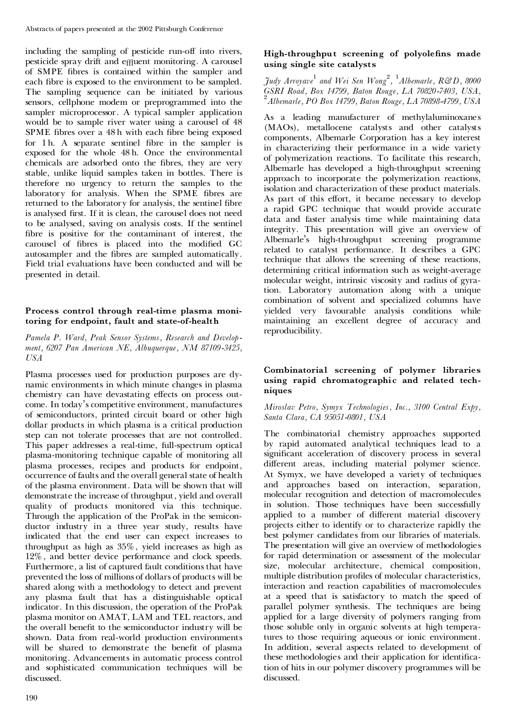including the sampling of pesticide run-off into rivers, pesticide spray drift and e<sub>ffl</sub>uent monitoring. A carousel of SMPE fibres is contained within the sampler and each fibre is exposed to the environment to be sampled. The sampling sequence can be initiated by various sensors, cellphone modem or preprogrammed into the sampler microprocessor. A typical sampler application would be to sample river water using a carousel of 48 SPME fibres over a 48 h with each fibre being exposed for 1 h. A separate sentinel fibre in the sampler is exposed for the whole 48 h. Once the environmental chemicals are adsorbed onto the fibres, they are very stable, unlike liquid samples taken in bottles. There is therefore no urgency to return the samples to the laboratory for analysis. When the SPME fibres are returned to the laboratory for analysis, the sentinel fibre is analysed first. If it is clean, the carousel does not need to be analysed, saving on analysis costs. If the sentinel fibre is positive for the contaminant of interest, the carousel of fibres is placed into the modified GC autosampler and the fibres are sampled automatically. Field trial evaluations have been conducted and will be presented in detail.

# **Process control through real-time plasma moni toring for endpoint, fault and state-of-health**

*Pamela P. Ward, Peak Sensor Systems, Research and Develop ment, 6207 Pan American NE, Albuquerque, NM 87109-3425, USA*

Plasma processes used for production purposes are dy namic environments in which minute changes in plasma chemistry can have devastating effects on process outcome. In today's competitive environment, manufactures of semiconductors, printed circuit board or other high dollar products in which plasma is a critical production step can not tolerate processes that are not controlled. This paper addresses a real-time, full-spectrum optical plasma-monitoring technique capable of monitoring all plasma processes, recipes and products for endpoint, occurrence of faults and the overall general state of health of the plasma environment. Data will be shown that will demonstrate the increase of throughput, yield and overall quality of products monitored via this technique. Through the application of the ProPak in the semicon ductor industry in a three year study, results have indicated that the end user can expect increases to throughput as high as 35%, yield increases as high as 12%, and better device performance and clock speeds. Furthermore, a list of captured fault conditions that have prevented the loss of millions of dollars of products will be shared along with a methodology to detect and prevent any plasma fault that has a distinguishable optical indicator. In this discussion, the operation of the ProPak plasma monitor on AMAT, LAM and TEL reactors, and the overall benefit to the semiconductor industry will be shown. Data from real-world production environments will be shared to demonstrate the benefit of plasma monitoring. Advancements in automatic process control and sophisticated communication techniques will be discussed.

# **High-throughput screening of polyolens made using single site catalysts**

*Judy Arroyave* <sup>1</sup> *and Wei Sen Wong* 2 *,* <sup>1</sup>*Albemarle, R&D, 8000* GSRI Road, Box 14799, Baton Rouge, LA 70820-7403, USA,<br><sup>2</sup> Albemarle, PO Box 14799, Baton Rouge, LA 70898-4799, USA

As a leading manufacturer of methylaluminoxanes (MAOs), metallocene catalysts and other catalysts components, Albemarle Corporation has a key interest in characterizing their performance in a wide variety of polymerization reactions. To facilitate this research, Albemarle has developed a high-throughput screening approach to incorporate the polymerization reactions, isolation and characterization of these product materials. As part of this effort, it became necessary to develop a rapid GPC technique that would provide accurate data and faster analysis time while maintaining data integrity. This presentation will give an overview of Albemarle's high-throughput screening programme related to catalyst performance. It describes a GPC technique that allows the screening of these reactions, determining critical information such as weight-average molecular weight, intrinsic viscosity and radius of gyration. Laboratory automation along with a unique combination of solvent and specialized columns have yielded very favourable analysis conditions while maintaining an excellent degree of accuracy and reproducibility.

# **Combinatorial screening of polymer libraries using rapid chromatographic and related tech niques**

# *Miroslav Petro, Symyx Technologies, Inc., 3100 Central Expy, Santa Clara, CA 95051-0801, USA*

The combinatorial chemistry approaches supported by rapid automated analytical techniques lead to a significant acceleration of discovery process in several different areas, including material polymer science. At Symyx, we have developed a variety of techniques and approaches based on interaction, separation, molecular recognition and detection of macromolecules in solution. Those techniques have been successfully applied to a number of different material discovery projects either to identify or to characterize rapidly the best polymer candidates from our libraries of materials. The presentation will give an overview of methodologies for rapid determination or assessment of the molecular size, molecular architecture, chemical composition, multiple distribution profiles of molecular characteristics, interaction and reaction capabilities of macromolecules at a speed that is satisfactory to match the speed of parallel polymer synthesis. The techniques are being applied for a large diversity of polymers ranging from those soluble only in organic solvents at high temperatures to those requiring aqueous or ionic environment. In addition, several aspects related to development of these methodologies and their application for identification of hits in our polymer discovery programmes will be discussed.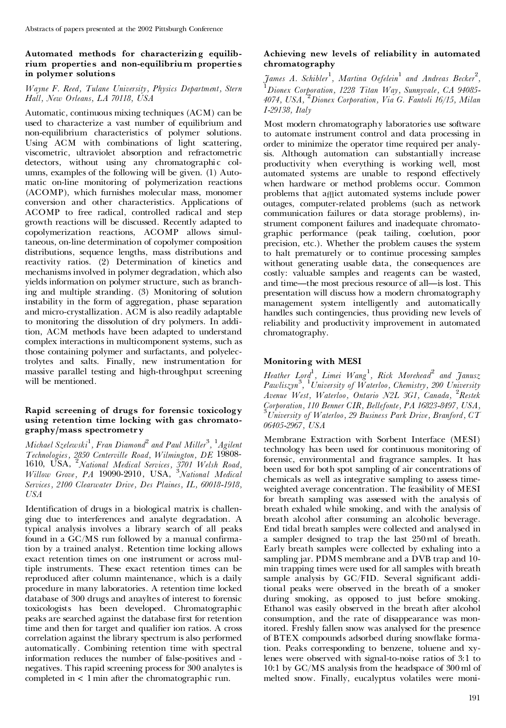# **Automated methods for characterizing equilib rium properties and non-equilibrium properties in polymer solutions**

# *Wayne F. Reed, Tulane University, Physics Department, Stern Hall, New Orleans, LA 70118, USA*

Automatic, continuous mixing techniques (ACM) can be used to characterize a vast number of equilibrium and non-equilibrium characteristics of polymer solutions. Using ACM with combinations of light scattering, viscometric, ultraviolet absorption and refractometric detectors, without using any chromatographic columns, examples of the following will be given. (1) Auto matic on-line monitoring of polymerization reactions (ACOMP), which furnishes molecular mass, monomer conversion and other characteristics. Applications of ACOMP to free radical, controlled radical and step growth reactions will be discussed. Recently adapted to copolymerization reactions, ACOMP allows simultaneous, on-line determination of copolymer composition distributions, sequence lengths, mass distributions and reactivity ratios. (2) Determination of kinetics and mechanisms involved in polymer degradation, which also yields information on polymer structure, such as branching and multiple stranding. (3) Monitoring of solution instability in the form of aggregation, phase separation and micro-crystallization. ACM is also readily adaptable to monitoring the dissolution of dry polymers. In addition, ACM methods have been adapted to understand complex interactions in multicomponent systems, such as those containing polymer and surfactants, and polyelectrolytes and salts. Finally, new instrumentation for massive parallel testing and high-throughput screening will be mentioned.

## **Rapid screening of drugs for forensic toxicology using retention time locking with gas chromato graphy/mass spectrometry**

*Michael Szelewski*<sup>1</sup> *, Fran Diamond* <sup>2</sup> *and Paul Miller* 3 *,* <sup>1</sup>*Agilent Technologies, 2850 Centerville Road, Wilmington, DE* 19808- 1610, USA, <sup>2</sup>*National Medical Services, 3701 Welsh Road, Willow Grove, PA* 19090-2910 , USA, <sup>3</sup>*National Medical Services, 2100 Clearwater Drive, Des Plaines, IL, 60018-1918, USA*

Identification of drugs in a biological matrix is challenging due to interferences and analyte degradation. A typical analysis involves a library search of all peaks found in a  $GC/MS$  run followed by a manual confirmation by a trained analyst. Retention time locking allows exact retention times on one instrument or across multiple instruments. These exact retention times can be reproduced after column maintenance, which is a daily procedure in many laboratories. A retention time locked database of 300 drugs and anayltes of interest to forensic toxicologists has been developed. Chromatographic peaks are searched against the database first for retention time and then for target and qualifier ion ratios. A cross correlation against the library spectrum is also performed automatically. Combining retention time with spectral information reduces the number of false-positives and -negatives. This rapid screening process for <sup>300</sup> analytes is completed in  $< 1$  min after the chromatographic run.

# **Achieving new levels of reliability in automated chromatography**

*James A. Schibler* 1 *, Martina Oefelein* <sup>1</sup> *and Andreas Becker* 2 *,* <sup>1</sup>*Dionex Corporation, 1228 Titan Way, Sunnyvale, CA 94085- 4074, USA,* <sup>2</sup>*Dionex Corporation, Via G. Fantoli 16/15, Milan I-29138, Italy*

Most modern chromatography laboratories use software to automate instrument control and data processing in order to minimize the operator time required per analysis. Although automation can substantially increase productivity when everything is working well, most automated systems are unable to respond effectively when hardware or method problems occur. Common problems that afflict automated systems include power outages, computer-related problems (such as network communication failures or data storage problems), instrument component failures and inadequate chromato graphic performance (peak tailing, coelution, poor precision, etc.). Whether the problem causes the system to halt prematurely or to continue processing samples without generating usable data, the consequences are costly: valuable samples and reagents can be wasted, and time—the most precious resource of all—is lost. This presentation will discuss how a modern chromatography management system intelligently and automatically handles such contingencies, thus providing new levels of reliability and productivity improvement in automated chromatography.

# **Monitoring with MESI**

*Heather Lord* 1 *, Limei Wang*<sup>1</sup> *, Rick Morehead* <sup>2</sup> *and Janusz Pawliszyn*<sup>3</sup> *,* <sup>1</sup>*University of Waterloo, Chemistry, 200 University Avenue West, Waterloo, Ontario N2L 3G1, Canada,* <sup>2</sup>*Restek* Corporation, 110 Benner CIR, Bellefonte, PA 16823-8497, USA,<br><sup>3</sup>University of Waterloo, 29 Business Park Drive, Branford, CT *06405-2967, USA*

Membrane Extraction with Sorbent Interface (MESI) technology has been used for continuous monitoring of forensic, environmental and fragrance samples. It has been used for both spot sampling of air concentrations of chemicals as well as integrative sampling to assess time weighted average concentration. The feasibility of MESI for breath sampling was assessed with the analysis of breath exhaled while smoking, and with the analysis of breath alcohol after consuming an alcoholic beverage. End tidal breath samples were collected and analysed in a sampler designed to trap the last 250 ml of breath. Early breath samples were collected by exhaling into a sampling jar. PDMS membrane and a DVB trap and 10 min trapping times were used for all samples with breath sample analysis by  $GC/FID$ . Several significant additional peaks were observed in the breath of a smoker during smoking, as opposed to just before smoking. Ethanol was easily observed in the breath after alcohol consumption, and the rate of disappearance was monitored. Freshly fallen snow was analysed for the presence of BTEX compounds adsorbed during snowflake formation. Peaks corresponding to benzene, toluene and xylenes were observed with signal-to-noise ratios of 3:1 to 10:1 by GC/MS analysis from the headspace of 300 ml of melted snow. Finally, eucalyptus volatiles were moni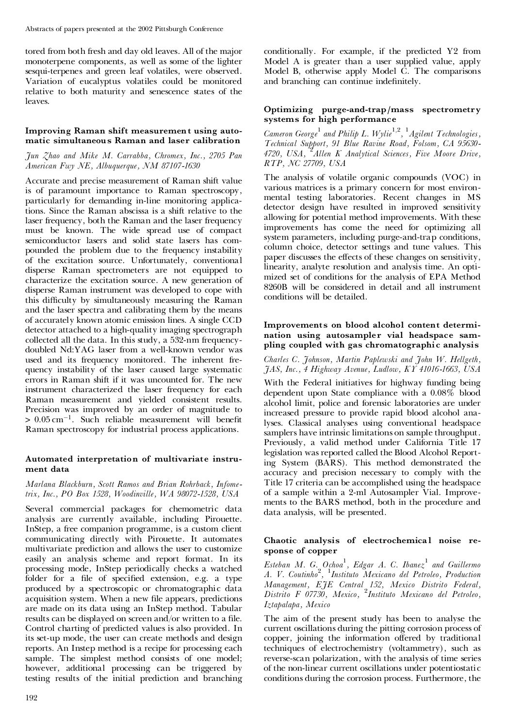tored from both fresh and day old leaves. All of the major monoterpene components, as well as some of the lighter sesqui-terpenes and green leaf volatiles, were observed. Variation of eucalyptus volatiles could be monitored relative to both maturity and senescence states of the leaves.

## **Improving Raman shift measurement using auto matic simultaneous Raman and laser calibration**

## *Jun Zhao and Mike M. Carrabba, Chromex, Inc., 2705 Pan American Fwy NE, Albuquerque, NM 87107-1630*

Accurate and precise measurement of Raman shift value is of paramount importance to Raman spectroscopy, particularly for demanding in-line monitoring applications. Since the Raman abscissa is a shift relative to the laser frequency, both the Raman and the laser frequency must be known. The wide spread use of compact semiconductor lasers and solid state lasers has com pounded the problem due to the frequency instability of the excitation source. Unfortunately, conventional disperse Raman spectrometers are not equipped to characterize the excitation source. A new generation of disperse Raman instrument was developed to cope with this difficulty by simultaneously measuring the Raman and the laser spectra and calibrating them by the means of accurately known atomic emission lines. A single CCD detector attached to a high-quality imaging spectrograph collected all the data. In this study, a 532-nm frequency doubled Nd:YAG laser from a well-known vendor was used and its frequency monitored. The inherent fre quency instability of the laser caused large systematic errors in Raman shift if it was uncounted for. The new instrument characterized the laser frequency for each Raman measurement and yielded consistent results. Precision was improved by an order of magnitude to  $> 0.05 \,\mathrm{cm}^{-1}$ . Such reliable measurement will benefit Raman spectroscopy for industrial process applications.

# **Automated interpretation of multivariate instru ment data**

#### *Marlana Blackburn, Scott Ramos and Brian Rohrback, Infometrix, Inc., PO Box 1528, Woodinville, WA 98072-1528, USA*

Several commercial packages for chemometric data analysis are currently available, including Pirouette. InStep, a free companion programme, is a custom client communicating directly with Pirouette. It automates multivariate prediction and allows the user to customize easily an analysis scheme and report format. In its processing mode, InStep periodically checks a watched folder for a file of specified extension, e.g. a type produced by a spectroscopic or chromatographic data acquisition system. When a new file appears, predictions are made on its data using an InStep method. Tabular results can be displayed on screen and/or written to a file. Control charting of predicted values is also provided. In its set-up mode, the user can create methods and design reports. An Instep method is a recipe for processing each sample. The simplest method consists of one model; however, additional processing can be triggered by testing results of the initial prediction and branching conditionally. For example, if the predicted Y2 from Model A is greater than a user supplied value, apply Model B, otherwise apply Model C. The comparisons and branching can continue indefinitely.

#### **Optimizing purge-and-trap/mass spectrometry systems for high performance**

*Cameron George* <sup>1</sup> *and Philip L. Wylie* 1*,*2 *,* <sup>1</sup>*Agilent Technologies, Technical Support, 91 Blue Ravine Road, Folsom, CA 95630- 4720, USA,* <sup>2</sup>*Allen K Analytical Sciences, Five Moore Drive, RTP, NC 27709, USA*

The analysis of volatile organic compounds (VOC) in various matrices is a primary concern for most environ mental testing laboratories. Recent changes in MS detector design have resulted in improved sensitivity allowing for potential method improvements. With these improvements has come the need for optimizing all system parameters, including purge-and-trap conditions, column choice, detector settings and tune values. This paper discusses the effects of these changes on sensitivity, linearity, analyte resolution and analysis time. An opti mized set of conditions for the analysis of EPA Method 8260B will be considered in detail and all instrument conditions will be detailed.

#### **Improvements on blood alcohol content determi nation using autosampler vial headspace sam pling coupled with gas chromatographic analysis**

*Charles C. Johnson, Martin Paplewski and John W. Hellgeth, JAS, Inc., 4 Highway Avenue, Ludlow, KY 41016-1663, USA*

With the Federal initiatives for highway funding being dependent upon State compliance with a 0.08% blood alcohol limit, police and forensic laboratories are under increased pressure to provide rapid blood alcohol analyses. Classical analyses using conventional headspace samplers have intrinsic limitations on sample throughput. Previously, a valid method under California Title 17 legislation was reported called the Blood Alcohol Reporting System (BARS). This method demonstrated the accuracy and precision necessary to comply with the Title 17 criteria can be accomplished using the headspace of a sample within a 2-ml Autosampler Vial. Improve ments to the BARS method, both in the procedure and data analysis, will be presented.

# **Chaotic analysis of electrochemica l noise re sponse of copper**

*Esteban M. G. Ochoa* 1 *, Edgar A. C. Ibanez* <sup>1</sup> *and Guillermo A. V. Coutinho* 2 *,* <sup>1</sup>*Instituto Mexicano del Petroleo, Production Management, EJE Central 152, Mexico Distrito Federal, Distrito F 07730, Mexico,* <sup>2</sup>*Instituto Mexicano del Petroleo, Iztapalapa, Mexico*

The aim of the present study has been to analyse the current oscillations during the pitting corrosion process of copper, joining the information offered by traditional techniques of electrochemistry (voltammetry), such as reverse-scan polarization, with the analysis of time series of the non-linear current oscillations under potentiostatic conditions during the corrosion process. Furthermore, the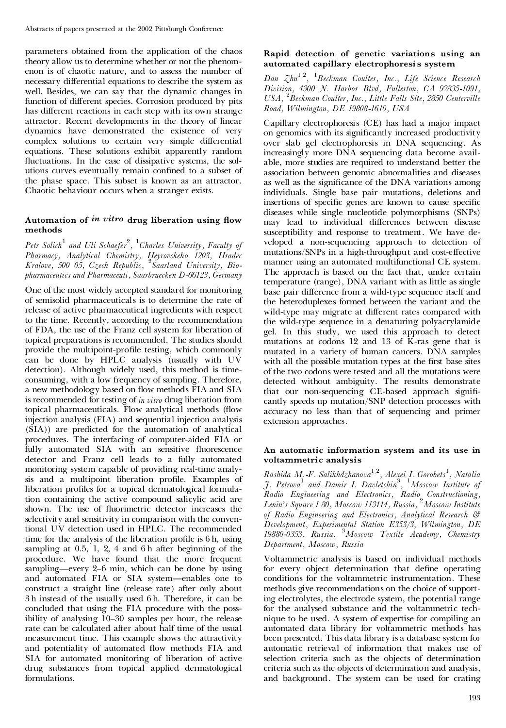parameters obtained from the application of the chaos theory allow us to determine whether or not the phenom enon is of chaotic nature, and to assess the number of necessary differential equations to describe the system as well. Besides, we can say that the dynamic changes in function of different species. Corrosion produced by pits has different reactions in each step with its own strange attractor. Recent developments in the theory of linear dynamics have demonstrated the existence of very complex solutions to certain very simple differential equations. These solutions exhibit apparently random fluctuations. In the case of dissipative systems, the solutions curves eventually remain confined to a subset of the phase space. This subset is known as an attractor. Chaotic behaviour occurs when a stranger exists.

# Automation of *in vitro* drug liberation using flow **methods**

*Petr Solich*<sup>1</sup> *and Uli Schaefer* 2 *,* <sup>1</sup>*Charles University, Faculty of Pharmacy, Analytical Chemistry, Heyrovskeho 1203, Hradec Kralove, 500 05, Czech Republic,* <sup>2</sup>*Saarland University, Bio pharmaceutics and Pharmaceuti, Saarbruecken D-66123, Germany*

One of the most widely accepted standard for monitoring of semisolid pharmaceuticals is to determine the rate of release of active pharmaceutical ingredients with respect to the time. Recently, according to the recommendation of FDA, the use of the Franz cell system for liberation of topical preparations is recommended. The studies should provide the multipoint-profile testing, which commonly can be done by HPLC analysis (usually with UV detection). Although widely used, this method is time consuming, with a low frequency of sampling. Therefore, a new methodology based on flow methods FIA and SIA is recommended for testing of *in vitro* drug liberation from topical pharmaceuticals. Flow analytical methods (flow injection analysis (FIA) and sequential injection analysis (SIA)) are predicted for the automation of analytical procedures. The interfacing of computer-aided FIA or fully automated SIA with an sensitive fluorescence detector and Franz cell leads to a fully automated monitoring system capable of providing real-time analysis and a multipoint liberation profile. Examples of liberation profiles for a topical dermatological formulation containing the active compound salicylic acid are shown. The use of fluorimetric detector increases the selectivity and sensitivity in comparison with the conventional UV detection used in HPLC. The recommended time for the analysis of the liberation profile is  $6 h$ , using sampling at 0.5, 1, 2, 4 and 6 h after beginning of the procedure. We have found that the more frequent sampling—every 2-6 min, which can be done by using and automated FIA or SIA system-enables one to construct a straight line (release rate) after only about 3 h instead of the usually used 6 h. Therefore, it can be concluded that using the FIA procedure with the possibility of analysing 10–30 samples per hour, the release rate can be calculated after about half time of the usual measurement time. This example shows the attractivity and potentiality of automated flow methods FIA and SIA for automated monitoring of liberation of active drug substances from topical applied dermatological formulations.

# **Rapid detection of genetic variations using an automated capillary electrophoresi s system**

*Dan Zhu*1*,*<sup>2</sup> *,* <sup>1</sup>*Beckman Coulter, Inc., Life Science Research Division, 4300 N. Harbor Blvd, Fullerton, CA 92835-1091, USA,* <sup>2</sup>*Beckman Coulter, Inc., Little Falls Site, 2850 Centerville Road, Wilmington, DE 19808-1610, USA*

Capillary electrophoresis (CE) has had a major impact on genomics with its significantly increased productivity over slab gel electrophoresis in DNA sequencing. As increasingly more DNA sequencing data become avail able, more studies are required to understand better the association between genomic abnormalities and diseases as well as the significance of the DNA variations among individuals. Single base pair mutations, deletions and insertions of specific genes are known to cause specific diseases while single nucleotide polymorphisms (SNPs) may lead to individual differences between disease susceptibility and response to treatment. We have de veloped a non-sequencing approach to detection of mutations/SNPs in a high-throughput and cost-effective manner using an automated multifunctional CE system. The approach is based on the fact that, under certain temperature (range), DNA variant with as little as single base pair difference from a wild-type sequence itself and the heteroduplexes formed between the variant and the wild-type may migrate at different rates compared with the wild-type sequence in a denaturing polyacrylamide gel. In this study, we used this approach to detect mutations at codons 12 and 13 of K-ras gene that is mutated in a variety of human cancers. DNA samples with all the possible mutation types at the first base sites of the two codons were tested and all the mutations were detected without ambiguity. The results demonstrate that our non-sequencing CE-based approach significantly speeds up mutation/SNP detection processes with accuracy no less than that of sequencing and primer extension approaches.

#### **An automatic information system and its use in voltammetric analysis**

*Rashida M.-F. Salikhdzhanova* 1*,*2 *, Alexei I. Gorobets* 1 *, Natalia J. Petrova*<sup>1</sup> *and Damir I. Davletchin* 3 *,* <sup>1</sup>*Moscow Institute of Radio Engineering and Electronics, Radio Constructioning, Lenin's Square 1 80, Moscow 113114, Russia,* <sup>2</sup>*Moscow Institute of Radio Engineering and Electronics, Analytical Research & Development, Experimental Station E353/3, Wilmington, DE 19880-0353, Russia,* <sup>3</sup>*Moscow Textile Academy, Chemistry Department, Moscow, Russia*

Voltammetric analysis is based on individual methods for every object determination that define operating conditions for the voltammetric instrumentation. These methods give recommendations on the choice of supporting electrolytes, the electrode system, the potential range for the analysed substance and the voltammetric tech nique to be used. A system of expertise for compiling an automated data library for voltammetric methods has been presented. This data library is a database system for automatic retrieval of information that makes use of selection criteria such as the objects of determination criteria such as the objects of determination and analysis, and background. The system can be used for crating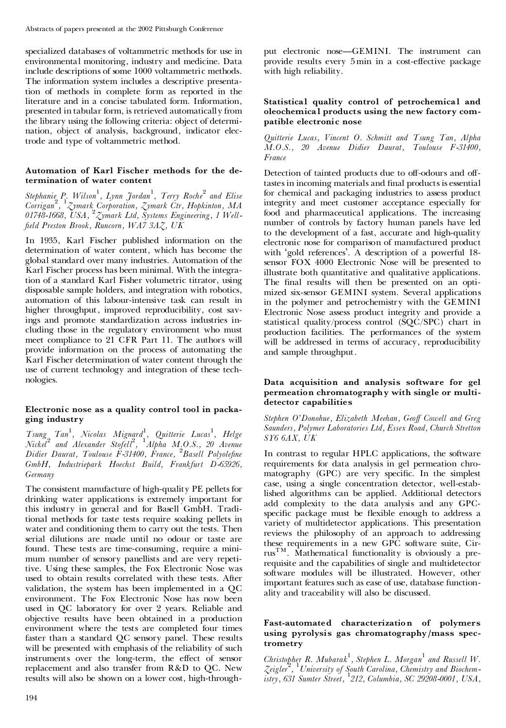specialized databases of voltammetric methods for use in environmental monitoring, industry and medicine. Data include descriptions of some 1000 voltammetric methods. The information system includes a descriptive presentation of methods in complete form as reported in the literature and in a concise tabulated form. Information, presented in tabular form, is retrieved automatically from the library using the following criteria: object of determi nation, object of analysis, background, indicator electrode and type of voltammetric method.

#### **Automation of Karl Fischer methods for the de termination of water content**

*Stephanie P. Wilson* 1 *, Lynn Jordan* 1 *, Terry Roche* <sup>2</sup> *and Elise Corrigan*<sup>2</sup> *,* <sup>1</sup>*Zymark Corporation, Zymark Ctr, Hopkinton, MA 01748-1668, USA,* <sup>2</sup>*Zymark Ltd, Systems Engineering, 1 Well- ¢eld Preston Brook, Runcorn, WA7 3AZ, UK*

In 1935, Karl Fischer published information on the determination of water content, which has become the global standard over many industries. Automation of the Karl Fischer process has been minimal. With the integration of a standard Karl Fisher volumetric titrator, using disposable sample holders, and integration with robotics, automation of this labour-intensive task can result in higher throughput, improved reproducibility, cost savings and promote standardization across industries in cluding those in the regulatory environment who must meet compliance to 21 CFR Part 11. The authors will provide information on the process of automating the Karl Fischer determination of water content through the use of current technology and integration of these tech nologies.

#### **Electronic nose as a quality control tool in packa ging industry**

*Tsung Tan*<sup>1</sup> *, Nicolas Mignard* 1 *, Quitterie Lucas* 1 *, Helge Nickel*<sup>2</sup> *and Alexander Stofell*<sup>2</sup> *,* <sup>1</sup>*Alpha M.O.S., 20 Avenue Didier Daurat, Toulouse F-31400, France,* <sup>2</sup>*Basell Polyole¢ne GmbH, Industriepark Hoechst Build, Frankfurt D-65926, Germany*

The consistent manufacture of high-quality PE pellets for drinking water applications is extremely important for this industry in general and for Basell GmbH. Traditional methods for taste tests require soaking pellets in water and conditioning them to carry out the tests. Then serial dilutions are made until no odour or taste are found. These tests are time-consuming, require a mini mum number of sensory panellists and are very repetitive. Using these samples, the Fox Electronic Nose was used to obtain results correlated with these tests. After validation, the system has been implemented in a QC environment. The Fox Electronic Nose has now been used in QC laboratory for over 2 years. Reliable and objective results have been obtained in a production environment where the tests are completed four times faster than a standard QC sensory panel. These results will be presented with emphasis of the reliability of such instruments over the long-term, the effect of sensor replacement and also transfer from R&D to QC. New results will also be shown on a lower cost, high-throughput electronic nose—GEMINI. The instrument can provide results every 5 min in a cost-effective package with high reliability.

#### **Statistical quality control of petrochemical and oleochemical products using the new factory com patible electronic nose**

*Quitterie Lucas, Vincent O. Schmitt and Tsung Tan, Alpha M.O.S., 20 Avenue Didier Daurat, Toulouse F-31400, France*

Detection of tainted products due to off-odours and offtastes in incoming materials and final products is essential for chemical and packaging industries to assess product integrity and meet customer acceptance especially for food and pharmaceutical applications. The increasing number of controls by factory human panels have led to the development of a fast, accurate and high-quality electronic nose for comparison of manufactured product with `gold references'. A description of a powerful 18 sensor FOX 4000 Electronic Nose will be presented to illustrate both quantitative and qualitative applications. The final results will then be presented on an optimized six-sensor GEMINI system. Several applications in the polymer and petrochemistry with the GEMINI Electronic Nose assess product integrity and provide a statistical quality/process control (SQC/SPC) chart in production facilities. The performances of the system will be addressed in terms of accuracy, reproducibility and sample throughput.

#### **Data acquisition and analysis software for gel permeation chromatography with single or multi detector capabilities**

*Stephen O'Donohue, Elizabeth Meehan, Geo¡ Cowell and Greg Saunders, Polymer Laboratories Ltd, Essex Road, Church Stretton SY6 6AX, UK*

In contrast to regular HPLC applications, the software requirements for data analysis in gel permeation chro matography (GPC) are very specific. In the simplest case, using a single concentration detector, well-established algorithms can be applied. Additional detectors add complexity to the data analysis and any GPCspecific package must be flexible enough to address a variety of multidetector applications. This presentation reviews the philosophy of an approach to addressing these requirements in a new GPC software suite, Cir rusTM. Mathematical functionality is obviously a pre requisite and the capabilities of single and multidetector software modules will be illustrated. However, other important features such as ease of use, database function ality and traceability will also be discussed.

#### **Fast-automated characterization of polymers using pyrolysis gas chromatography/mass spec trometry**

Christopher R. Mubarak<sup>1</sup>, Stephen L. Morgan<sup>1</sup> and Russell W. *Zeigler*<sup>2</sup> *,* <sup>1</sup>*University of South Carolina, Chemistry and Biochemistry, 631 Sumter Street,* <sup>1</sup>*212, Columbia, SC 29208-0001, USA,*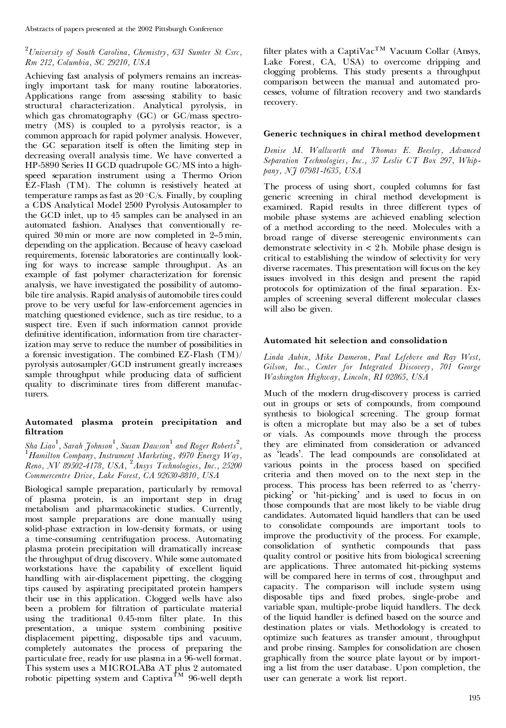# <sup>2</sup>*University of South Carolina, Chemistry, 631 Sumter St Csrc, Rm 212, Columbia, SC 29210, USA*

Achieving fast analysis of polymers remains an increasingly important task for many routine laboratories. Applications range from assessing stability to basic structural characterization. Analytical pyrolysis, in which gas chromatography (GC) or GC/mass spectro metry (MS) is coupled to a pyrolysis reactor, is a common approach for rapid polymer analysis. However, the GC separation itself is often the limiting step in decreasing overall analysis time. We have converted a HP-5890 Series II GCD quadrupole GC/MS into a highspeed separation instrument using a Thermo Orion EZ-Flash (TM). The column is resistively heated at temperature ramps as fast as  $20 °C/s$ . Finally, by coupling a CDS Analytical Model 2500 Pyrolysis Autosampler to the GCD inlet, up to 45 samples can be analysed in an automated fashion. Analyses that conventionally re quired 30 min or more are now completed in 2-5 min, depending on the application. Because of heavy caseload requirements, forensic laboratories are continually looking for ways to increase sample throughput. As an example of fast polymer characterization for forensic analysis, we have investigated the possibility of automo bile tire analysis. Rapid analysis of automobile tires could prove to be very useful for law-enforcement agencies in matching questioned evidence, such as tire residue, to a suspect tire. Even if such information cannot provide definitive identification, information from tire characterization may serve to reduce the number of possibilities in a forensic investigation. The combined EZ-Flash (TM)/ pyrolysis autosampler/GCD instrument greatly increases sample throughput while producing data of sufficient quality to discriminate tires from different manufacturers.

# **Automated plasma protein precipitation and ltration**

Sha Liao<sup>1</sup>, Sarah Johnson<sup>1</sup>, Susan Dawson<sup>1</sup> and Roger Roberts<sup>2</sup>,<br><sup>1</sup> Hamilton Company, Instrument Marketing, 4970 Energy Way, *Reno, NV 89502-4178, USA,* <sup>2</sup>*Ansys Technologies, Inc., 25200 Commercentre Drive, Lake Forest, CA 92630-8810, USA*

Biological sample preparation, particularly by removal of plasma protein, is an important step in drug metabolism and pharmacokinetic studies. Currently, most sample preparations are done manually using solid-phase extraction in low-density formats, or using a time-consuming centrifugation process. Automating plasma protein precipitation will dramatically increase the throughput of drug discovery. While some automated workstations have the capability of excellent liquid handling with air-displacement pipetting, the clogging tips caused by aspirating precipitated protein hampers their use in this application. Clogged wells have also been a problem for filtration of particulate material using the traditional 0.45-mm filter plate. In this presentation, a unique system combining positive displacement pipetting, disposable tips and vacuum, completely automates the process of preparing the particulate free, ready for use plasma in a 96-well format. This system uses a MICROLABa AT plus 2 automated robotic pipetting system and Captiva<sup>TM</sup> 96-well depth

filter plates with a CaptiVac<sup>TM</sup> Vacuum Collar (Ansys, Lake Forest, CA, USA) to overcome dripping and clogging problems. This study presents a throughput comparison between the manual and automated pro cesses, volume of filtration recovery and two standards recovery.

# **Generic techniques in chiral method development**

*Denise M. Wallworth and Thomas E. Beesley, Advanced Separation Technologies, Inc., 37 Leslie CT Box 297, Whip pany, NJ 07981-1635, USA*

The process of using short, coupled columns for fast generic screening in chiral method development is examined. Rapid results in three different types of mobile phase systems are achieved enabling selection of a method according to the need. Molecules with a broad range of diverse stereogenic environments can demonstrate selectivity in < 2 h. Mobile phase design is critical to establishing the window of selectivity for very diverse racemates. This presentation will focus on the key issues involved in this design and present the rapid protocols for optimization of the final separation. Examples of screening several different molecular classes will also be given.

# **Automated hit selection and consolidation**

*Linda Aubin, Mike Dameron, Paul Lefebvre and Ray West, Gilson, Inc., Center for Integrated Discovery, 701 George Washington Highway, Lincoln, RI 02865, USA*

Much of the modern drug-discovery process is carried out in groups or sets of compounds, from compound synthesis to biological screening. The group format is often a microplate but may also be a set of tubes or vials. As compounds move through the process they are eliminated from consideration or advanced as `leads'. The lead compounds are consolidated at various points in the process based on specified criteria and then moved on to the next step in the process. This process has been referred to as ` cherry picking' or `hit-picking' and is used to focus in on those compounds that are most likely to be viable drug candidates. Automated liquid handlers that can be used to consolidate compounds are important tools to improve the productivity of the process. For example, consolidation of synthetic compounds that pass quality control or positive hits from biological screening are applications. Three automated hit-picking systems will be compared here in terms of cost, throughput and capacity. The comparison will include system using disposable tips and fixed probes, single-probe and variable span, multiple-probe liquid handlers. The deck of the liquid handler is defined based on the source and destination plates or vials. Methodology is created to optimize such features as transfer amount, throughput and probe rinsing. Samples for consolidation are chosen graphically from the source plate layout or by importing a list from the user database. Upon completion, the user can generate a work list report.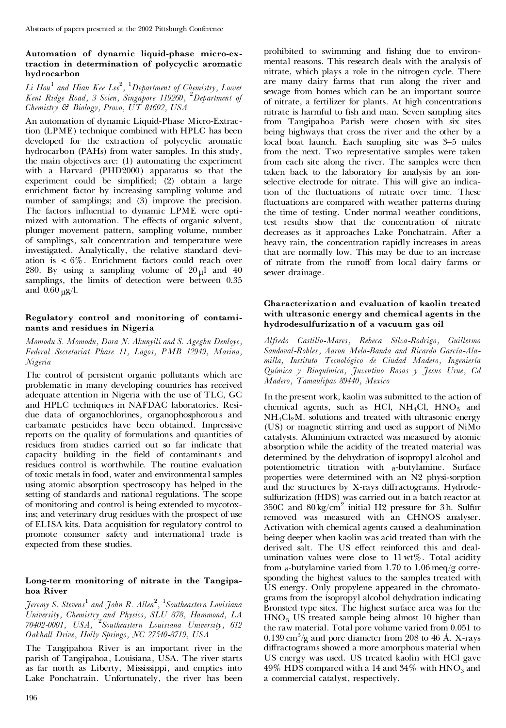# **Automation of dynamic liquid-phase micro-ex traction in determination of polycyclic aromatic hydrocarbon**

# *Li Hou*<sup>1</sup> *and Hian Kee Lee* 2 *,* <sup>1</sup>*Department of Chemistry, Lower Kent Ridge Road, 3 Scien, Singapore 119260,* <sup>2</sup>*Department of Chemistry & Biology, Provo, UT 84602, USA*

An automation of dynamic Liquid-Phase Micro-Extraction (LPME) technique combined with HPLC has been developed for the extraction of polycyclic aromatic hydrocarbon (PAHs) from water samples. In this study, the main objectives are: (1) automating the experiment with a Harvard (PHD2000) apparatus so that the experiment could be simplified; (2) obtain a large enrichment factor by increasing sampling volume and number of samplings; and (3) improve the precision. The factors influential to dynamic LPME were optimized with automation. The effects of organic solvent, plunger movement pattern, sampling volume, number of samplings, salt concentration and temperature were investigated. Analytically, the relative standard devi ation is < 6%. Enrichment factors could reach over 280. By using a sampling volume of  $20 \mu l$  and 40 samplings, the limits of detection were between 0.35 and  $0.60 \text{ }\mu\text{g/l.}$ 

# **Regulatory control and monitoring of contami nants and residues in Nigeria**

*Momodu S. Momodu, Dora N. Akunyili and S. Agegbu Denloye, Federal Secretariat Phase 11, Lagos, PMB 12949, Marina, Nigeria*

The control of persistent organic pollutants which are problematic in many developing countries has received adequate attention in Nigeria with the use of TLC, GC and HPLC techniques in NAFDAC laboratories. Resi due data of organochlorines, organophosphorou s and carbamate pesticides have been obtained. Impressive reports on the quality of formulations and quantities of residues from studies carried out so far indicate that capacity building in the field of contaminants and residues control is worthwhile. The routine evaluation of toxic metals in food, water and environmental samples using atomic absorption spectroscopy has helped in the setting of standards and national regulations. The scope of monitoring and control is being extended to mycotoxins; and veterinary drug residues with the prospect of use of ELISA kits. Data acquisition for regulatory control to promote consumer safety and international trade is expected from these studies.

# **Long-term monitoring of nitrate in the Tangipa hoa River**

*Jeremy S. Stevens* <sup>1</sup> *and John R. Allen* 2 *,* <sup>1</sup>*Southeastern Louisiana University, Chemistry and Physics, SLU 878, Hammond, LA 70402-0001, USA,* <sup>2</sup>*Southeastern Louisiana University, 612 Oakhall Drive, Holly Springs, NC 27540-8719, USA*

The Tangipahoa River is an important river in the parish of Tangipahoa, Louisiana, USA. The river starts as far north as Liberty, Mississippi, and empties into Lake Ponchatrain. Unfortunately, the river has been

prohibited to swimming and fishing due to environmental reasons. This research deals with the analysis of nitrate, which plays a role in the nitrogen cycle. There are many dairy farms that run along the river and sewage from homes which can be an important source of nitrate, a fertilizer for plants. At high concentrations nitrate is harmful to fish and man. Seven sampling sites from Tangipahoa Parish were chosen with six sites being highways that cross the river and the other by a local boat launch. Each sampling site was 3-5 miles from the next. Two representative samples were taken from each site along the river. The samples were then taken back to the laboratory for analysis by an ionselective electrode for nitrate. This will give an indication of the fluctuations of nitrate over time. These fluctuations are compared with weather patterns during the time of testing. Under normal weather conditions, test results show that the concentration of nitrate decreases as it approaches Lake Ponchatrain. After a heavy rain, the concentration rapidly increases in areas that are normally low. This may be due to an increase of nitrate from the runoff from local dairy farms or sewer drainage.

# **Characterization and evaluation of kaolin treated with ultrasonic energy and chemical agents in the hydrodesulfurizatio n of a vacuum gas oil**

*Alfredo Castillo-Mares, Rebeca Silva-Rodrigo, Guillermo Sandoval-Robles, Aaron Melo-Banda and Ricardo Garc| èa-Ala* $milla,$  *Instituto Tecnológico de Ciudad Madero, Ingeniería èa Qu|èmica <sup>y</sup> Bioqu| èmica, Juventino Rosas y Jesus Urue, Cd Madero, Tamaulipas 89440, Mexico*

In the present work, kaolin was submitted to the action of chemical agents, such as HCl,  $NH<sub>4</sub>Cl$ ,  $HNO<sub>3</sub>$  and  $NH<sub>4</sub>Cl<sub>2</sub>M$ . solutions and treated with ultrasonic energy (US) or magnetic stirring and used as support of NiMo catalysts. Aluminium extracted was measured by atomic absorption while the acidity of the treated material was determined by the dehydration of isopropyl alcohol and potentiometric titration with *n*-butylamine. Surface properties were determined with an N2 physi-sorption and the structures by X-rays diffractograms. Hydrodesulfurization (HDS) was carried out in a batch reactor at  $350C$  and  $80 \text{ kg/cm}^2$  initial H2 pressure for 3h. Sulfur removed was measured with an CHNOS analyser. Activation with chemical agents caused a dealumination being deeper when kaolin was acid treated than with the derived salt. The US effect reinforced this and dealumination values were close to  $11 \text{ wt\%}$ . Total acidity from  $n$ -butylamine varied from 1.70 to 1.06 meq/g corresponding the highest values to the samples treated with US energy. Only propylene appeared in the chromato grams from the isopropyl alcohol dehydration indicating Bronsted type sites. The highest surface area was for the  $HNO<sub>3</sub>$  US treated sample being almost 10 higher than the raw material. Total pore volume varied from 0.051 to  $0.139 \text{ cm}^3/\text{g}$  and pore diameter from 208 to 46 Å. X-rays diffractograms showed a more amorphous material when US energy was used. US treated kaolin with HCl gave 49% HDS compared with a 14 and 34% with  $HNO<sub>3</sub>$  and a commercial catalyst, respectively.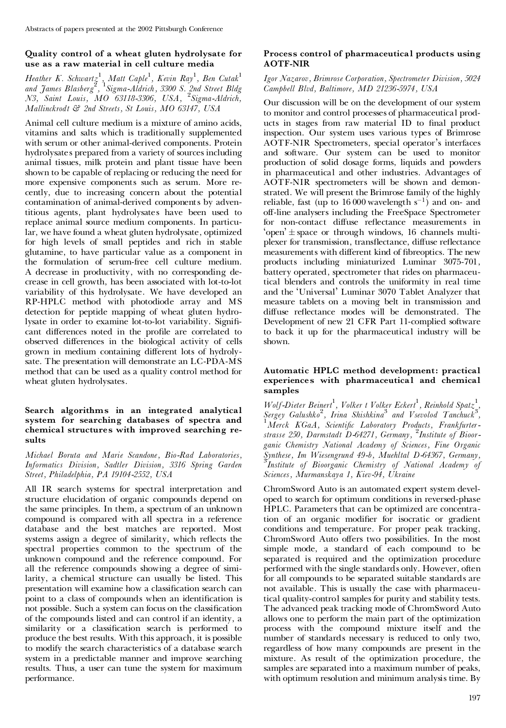# **Quality control of a wheat gluten hydrolysate for use as a raw material in cell culture media**

*Heather K. Schwartz* 1 *, Matt Caple*<sup>1</sup> *, Kevin Ray*<sup>1</sup> *, Ben Cutak*<sup>1</sup> *and James Blasberg* 2 *,* <sup>1</sup>*Sigma-Aldrich, 3300 S. 2nd Street Bldg N3, Saint Louis, MO 63118-3306, USA,* <sup>2</sup>*Sigma-Aldrich, Mallinckrodt & 2nd Streets, St Louis, MO 63147, USA*

Animal cell culture medium is a mixture of amino acids, vitamins and salts which is traditionally supplemented with serum or other animal-derived components. Protein hydrolysate s prepared from a variety of sources including animal tissues, milk protein and plant tissue have been shown to be capable of replacing or reducing the need for more expensive components such as serum. More re cently, due to increasing concern about the potential contamination of animal-derived components by adventitious agents, plant hydrolysates have been used to replace animal source medium components. In particular, we have found a wheat gluten hydrolysate, optimized for high levels of small peptides and rich in stable glutamine, to have particular value as a component in the formulation of serum-free cell culture medium. A decrease in productivity, with no corresponding de crease in cell growth, has been associated with lot-to-lot variability of this hydrolysate. We have developed an RP-HPLC method with photodiode array and MS detection for peptide mapping of wheat gluten hydrolysate in order to examine lot-to-lot variability. Significant differences noted in the profile are correlated to observed differences in the biological activity of cells grown in medium containing different lots of hydrolysate. The presentation will demonstrate an LC-PDA-MS method that can be used as a quality control method for wheat gluten hydrolysates.

#### **Search algorithms in an integrated analytical system for searching databases of spectra and chemical structures with improved searching re sults**

*Michael Boruta and Marie Scandone, Bio-Rad Laboratories, Informatics Division, Sadtler Division, 3316 Spring Garden Street, Philadelphia, PA 19104-2552, USA*

All IR search systems for spectral interpretation and structure elucidation of organic compounds depend on the same principles. In them, a spectrum of an unknown compound is compared with all spectra in a reference database and the best matches are reported. Most systems assign a degree of similarity, which reflects the spectral properties common to the spectrum of the unknown compound and the reference compound. For all the reference compounds showing a degree of similarity, a chemical structure can usually be listed. This presentation will examine how a classification search can point to a class of compounds when an identification is not possible. Such a system can focus on the classification of the compounds listed and can control if an identity, a similarity or a classification search is performed to produce the best results. With this approach, it is possible to modify the search characteristics of a database search system in a predictable manner and improve searching results. Thus, a user can tune the system for maximum performance.

# **Process control of pharmaceutical products using AOTF-NIR**

#### *Igor Nazarov, Brimrose Corporation, Spectrometer Division, 5024 Campbell Blvd, Baltimore, MD 21236-5974, USA*

Our discussion will be on the development of our system to monitor and control processes of pharmaceutical prod ucts in stages from raw material ID to final product inspection. Our system uses various types of Brimrose AOTF-NIR Spectrometers, special operator's interfaces and software. Our system can be used to monitor production of solid dosage forms, liquids and powders in pharmaceutical and other industries. Advantages of AOTF-NIR spectrometers will be shown and demonstrated. We will present the Brimrose family of the highly reliable, fast (up to  $16000$  wavelength  $s^{-1}$ ) and on- and off-line analysers including the FreeSpace Spectrometer for non-contact diffuse reflectance measurements in 'open'  $\pm$  space or through windows, 16 channels multiplexer for transmission, transflectance, diffuse reflectance measurements with different kind of fibreoptics. The new products including miniaturized Luminar 3075-701, battery operated, spectrometer that rides on pharmaceutical blenders and controls the uniformity in real time and the `Universal' Luminar 3070 Tablet Analyzer that measure tablets on a moving belt in transmission and diffuse reflectance modes will be demonstrated. The Development of new 21 CFR Part 11-complied software to back it up for the pharmaceutical industry will be shown.

## **Automatic HPLC method development: practical experiences with pharmaceutical and chemical samples**

*Wolf-Dieter Beinert*<sup>1</sup>, *Volker t Volker Eckert*<sup>1</sup>, *Reinhold Spatz*<sup>1</sup>, *Sergey Galushko* 2 *, Irina Shishkina* <sup>3</sup> *and Vsevolod Tanchuck* 3 *,* <sup>1</sup>*Merck KGaA, Scienti¢c Laboratory Products, Frankfurterstrasse 250, Darmstadt D-64271, Germany,* <sup>2</sup>*Institute of Bioor ganic Chemistry National Academy of Sciences, Fine Organic Synthese, Im Wiesengrund 49-b, Muehltal D-64367, Germany,* <sup>3</sup>*Institute of Bioorganic Chemistry of National Academy of Sciences, Murmanskaya 1, Kiev-94, Ukraine*

ChromSword Auto is an automated expert system devel oped to search for optimum conditions in reversed-phase HPLC. Parameters that can be optimized are concentration of an organic modifier for isocratic or gradient conditions and temperature. For proper peak tracking, ChromSword Auto offers two possibilities. In the most simple mode, a standard of each compound to be separated is required and the optimization procedure performed with the single standards only. However, often for all compounds to be separated suitable standards are not available. This is usually the case with pharmaceutical quality-control samples for purity and stability tests. The advanced peak tracking mode of ChromSword Auto allows one to perform the main part of the optimization process with the compound mixture itself and the number of standards necessary is reduced to only two, regardless of how many compounds are present in the mixture. As result of the optimization procedure, the samples are separated into a maximum number of peaks, with optimum resolution and minimum analysis time. By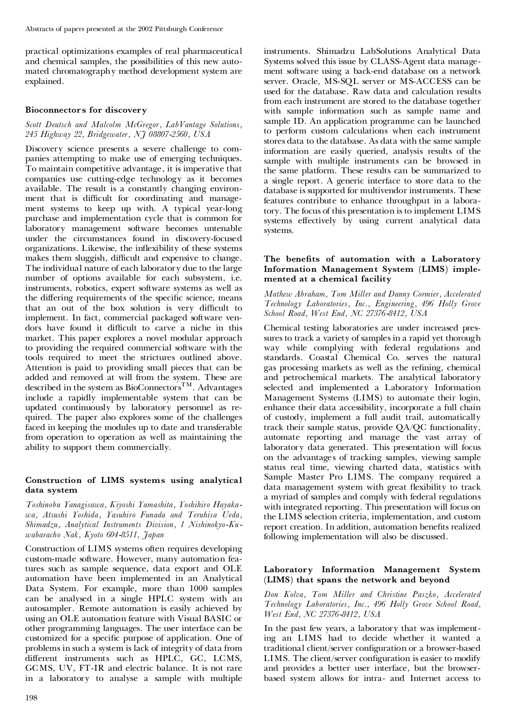practical optimizations examples of real pharmaceutical and chemical samples, the possibilities of this new auto mated chromatography method development system are explained.

#### **Bioconnectors for discovery**

#### *Scott Deutsch and Malcolm McGregor, LabVantage Solutions, 245 Highway 22, Bridgewater, NJ 08807-2560, USA*

Discovery science presents a severe challenge to com panies attempting to make use of emerging techniques. To maintain competitive advantage, it is imperative that companies use cutting-edge technology as it becomes available. The result is a constantly changing environ ment that is difficult for coordinating and management systems to keep up with. A typical year-long purchase and implementation cycle that is common for laboratory management software becomes untenable under the circumstances found in discovery-focused organizations. Likewise, the inflexibility of these systems makes them sluggish, difficult and expensive to change. The individual nature of each laboratory due to the large number of options available for each subsystem, i.e. instruments, robotics, expert software systems as well as the differing requirements of the specific science, means that an out of the box solution is very difficult to implement. In fact, commercial packaged software ven dors have found it difficult to carve a niche in this market. This paper explores a novel modular approach to providing the required commercial software with the tools required to meet the strictures outlined above. Attention is paid to providing small pieces that can be added and removed at will from the system. These are described in the system as BioConnectors<sup>TM</sup>. Advantages include a rapidly implementable system that can be updated continuously by laboratory personnel as re quired. The paper also explores some of the challenges faced in keeping the modules up to date and transferable from operation to operation as well as maintaining the ability to support them commercially.

#### **Construction of LIMS systems using analytical data system**

*Toshinobu Yanagisawa, Kiyoshi Yamashita, Yoshihiro Hayaka wa, Atsushi Yoshida, Yasuhiro Funada and Teruhisa Ueda, Shimadzu, Analytical Instruments Division, 1 Nishinokyo-Ku wabaracho Nak, Kyoto 604-8511, Japan*

Construction of LIMS systems often requires developing custom-made software. However, many automation features such as sample sequence, data export and OLE automation have been implemented in an Analytical Data System. For example, more than 1000 samples can be analysed in a single HPLC system with an autosampler. Remote automation is easily achieved by using an OLE automation feature with Visual BASIC or other programming languages. The user interface can be customized for a specific purpose of application. One of problems in such a system is lack of integrity of data from different instruments such as HPLC, GC, LCMS, GCMS, UV, FT-IR and electric balance. It is not rare in a laboratory to analyse a sample with multiple

instruments. Shimadzu LabSolutions Analytical Data Systems solved this issue by CLASS-Agent data manage ment software using a back-end database on a network server. Oracle, MS-SQL server or MS-ACCESS can be used for the database. Raw data and calculation results from each instrument are stored to the database together with sample information such as sample name and sample ID. An application programme can be launched to perform custom calculations when each instrument stores data to the database. As data with the same sample information are easily queried, analysis results of the sample with multiple instruments can be browsed in the same platform. These results can be summarized to a single report. A generic interface to store data to the database is supported for multivendor instruments. These features contribute to enhance throughput in a laboratory. The focus of this presentation is to implement LIMS systems effectively by using current analytical data systems.

#### **The benets of automation with a Laboratory Information Management System (LIMS) imple mented at a chemical facility**

*Mathew Abraham, Tom Miller and Danny Cormier, Accelerated Technology Laboratories, Inc., Engineering, 496 Holly Grove School Road, West End, NC 27376-8412, USA*

Chemical testing laboratories are under increased pressures to track a variety of samples in a rapid yet thorough way while complying with federal regulations and standards. Coastal Chemical Co. serves the natural gas processing markets as well as the refining, chemical and petrochemical markets. The analytical laboratory selected and implemented a Laboratory Information Management Systems (LIMS) to automate their login, enhance their data accessibility, incorporate a full chain of custody, implement a full audit trail, automatically track their sample status, provide QA/QC functionality, automate reporting and manage the vast array of laboratory data generated. This presentation will focus on the advantages of tracking samples, viewing sample status real time, viewing charted data, statistics with Sample Master Pro LIMS. The company required a data management system with great flexibility to track a myriad of samples and comply with federal regulations with integrated reporting. This presentation will focus on the LIMS selection criteria, implementation, and custom report creation. In addition, automation benefits realized following implementation will also be discussed.

#### **Laboratory Information Management System (LIMS) that spans the network and beyond**

*Don Kolva, Tom Miller and Christine Paszko, Accelerated Technology Laboratories, Inc., 496 Holly Grove School Road, West End, NC 27376-8412, USA*

In the past few years, a laboratory that was implementing an LIMS had to decide whether it wanted a traditional client/server configuration or a browser-based LIMS. The client/server configuration is easier to modify and provides a better user interface, but the browser based system allows for intra- and Internet access to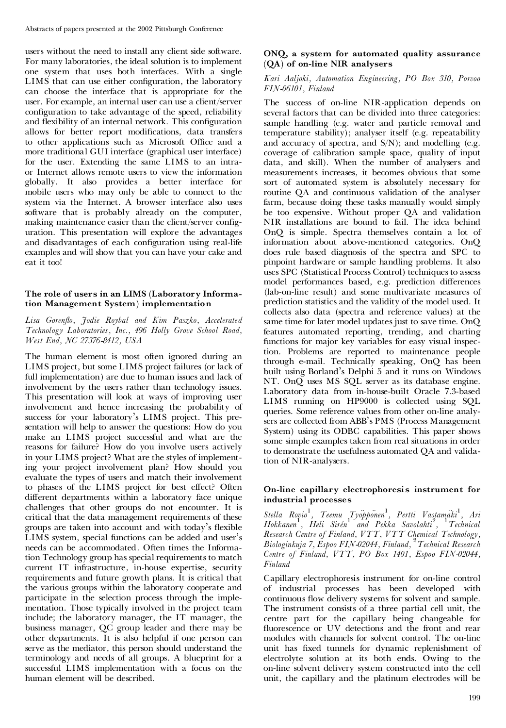users without the need to install any client side software. For many laboratories, the ideal solution is to implement one system that uses both interfaces. With a single LIMS that can use either configuration, the laboratory can choose the interface that is appropriate for the user. For example, an internal user can use a client/server configuration to take advantage of the speed, reliability and flexibility of an internal network. This configuration allows for better report modifications, data transfers to other applications such as Microsoft Office and a more traditional GUI interface (graphical user interface) for the user. Extending the same LIMS to an intra or Internet allows remote users to view the information globally. It also provides a better interface for mobile users who may only be able to connect to the system via the Internet. A browser interface also uses software that is probably already on the computer, making maintenance easier than the client/server configuration. This presentation will explore the advantages and disadvantages of each configuration using real-life examples and will show that you can have your cake and eat it too!

# **The role of users in an LIMS (Laboratory Informa tion Management System) implementation**

*Lisa Goren£o, Jodie Roybal and Kim Paszko, Accelerated Technology Laboratories, Inc., 496 Holly Grove School Road, West End, NC 27376-8412, USA*

The human element is most often ignored during an LIMS project, but some LIMS project failures (or lack of full implementation) are due to human issues and lack of involvement by the users rather than technology issues. This presentation will look at ways of improving user involvement and hence increasing the probability of success for your laboratory's LIMS project. This presentation will help to answer the questions: How do you make an LIMS project successful and what are the reasons for failure? How do you involve users actively in your LIMS project? What are the styles of implementing your project involvement plan? How should you evaluate the types of users and match their involvement to phases of the LIMS project for best effect? Often different departments within a laboratory face unique challenges that other groups do not encounter. It is critical that the data management requirements of these groups are taken into account and with today's flexible LIMS system, special functions can be added and user's needs can be accommodated. Often times the Information Technology group has special requirements to match current IT infrastructure, in-house expertise, security requirements and future growth plans. It is critical that the various groups within the laboratory cooperate and participate in the selection process through the imple mentation. Those typically involved in the project team include; the laboratory manager, the IT manager, the business manager, QC group leader and there may be other departments. It is also helpful if one person can serve as the mediator, this person should understand the terminology and needs of all groups. A blueprint for a successful LIMS implementation with a focus on the human element will be described.

# **ONQ, a system for automated quality assurance (QA) of on-line NIR analysers**

#### *Kari Aaljoki, Automation Engineering, PO Box 310, Porvoo FIN-06101, Finland*

The success of on-line NIR-application depends on several factors that can be divided into three categories: sample handling (e.g. water and particle removal and temperature stability); analyser itself (e.g. repeatability and accuracy of spectra, and  $S/N$ ; and modelling (e.g. coverage of calibration sample space, quality of input data, and skill). When the number of analysers and measurements increases, it becomes obvious that some sort of automated system is absolutely necessary for routine QA and continuous validation of the analyser farm, because doing these tasks manually would simply be too expensive. Without proper QA and validation NIR installations are bound to fail. The idea behind OnQ is simple. Spectra themselves contain a lot of information about above-mentioned categories. OnQ does rule based diagnosis of the spectra and SPC to pinpoint hardware or sample handling problems. It also uses SPC (Statistical Process Control) techniques to assess model performances based, e.g. prediction differences (lab-on-line result) and some multivariate measures of prediction statistics and the validity of the model used. It collects also data (spectra and reference values) at the same time for later model updates just to save time. OnQ features automated reporting, trending, and charting functions for major key variables for easy visual inspection. Problems are reported to maintenance people through e-mail. Technically speaking, OnQ has been built using Borland's Delphi 5 and it runs on Windows NT. OnQ uses MS SQL server as its database engine. Laboratory data from in-house-built Oracle 7.3-based LIMS running on HP9000 is collected using SQL queries. Some reference values from other on-line analysers are collected from ABB's PMS (Process Management System) using its ODBC capabilities. This paper shows some simple examples taken from real situations in order to demonstrate the usefulness automated QA and validation of NIR-analysers.

# **On-line capillary electrophoresis instrument for industrial processes**

*Stella Rovio* 1 *, Teemu Tyoëppoënen* 1 *, Pertti Vastamaëki*<sup>1</sup> *, Ari Hokkanen*<sup>1</sup> *, Heli Sireèn* <sup>1</sup> *and Pekka Savolahti*<sup>2</sup> *,* <sup>1</sup>*Technical Research Centre of Finland, VTT, VTT Chemical Technology, Biologinkuja 7, Espoo FIN-02044, Finland,* <sup>2</sup>*Technical Research Centre of Finland, VTT, PO Box 1401, Espoo FIN-02044, Finland*

Capillary electrophoresis instrument for on-line control of industrial processes has been developed with continuous flow delivery systems for solvent and sample. The instrument consists of a three partial cell unit, the centre part for the capillary being changeable for fluorescence or UV detections and the front and rear modules with channels for solvent control. The on-line unit has fixed tunnels for dynamic replenishment of electrolyte solution at its both ends. Owing to the on-line solvent delivery system constructed into the cell unit, the capillary and the platinum electrodes will be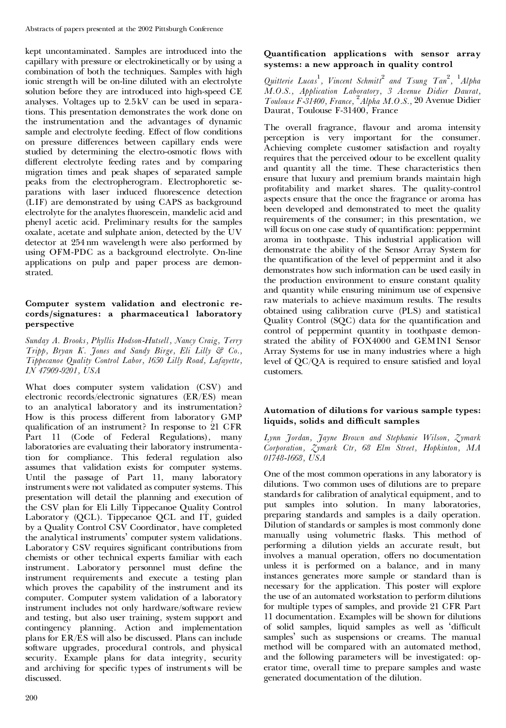kept uncontaminated. Samples are introduced into the capillary with pressure or electrokinetically or by using a combination of both the techniques. Samples with high ionic strength will be on-line diluted with an electrolyte solution before they are introduced into high-speed CE analyses. Voltages up to 2.5 kV can be used in separations. This presentation demonstrates the work done on the instrumentation and the advantages of dynamic sample and electrolyte feeding. Effect of flow conditions on pressure differences between capillary ends were studied by determining the electro-osmotic flows with different electrolyte feeding rates and by comparing migration times and peak shapes of separated sample peaks from the electropherogram. Electrophoretic se parations with laser induced fluorescence detection (LIF) are demonstrated by using CAPS as background electrolyte for the analytes fluorescein, mandelic acid and phenyl acetic acid. Preliminary results for the samples oxalate, acetate and sulphate anion, detected by the UV detector at 254 nm wavelength were also performed by using OFM-PDC as a background electrolyte. On-line applications on pulp and paper process are demonstrated.

## **Computer system validation and electronic re cords/signatures: a pharmaceutical laboratory perspective**

*Sunday A. Brooks, Phyllis Hodson-Hutsell, Nancy Craig, Terry Tripp, Bryan K. Jones and Sandy Birge, Eli Lilly & Co., Tippecanoe Quality Control Labor, 1650 Lilly Road, Lafayette, IN 47909-9201, USA*

What does computer system validation (CSV) and electronic records/electronic signatures (ER/ES) mean to an analytical laboratory and its instrumentation? How is this process different from laboratory GMP qualification of an instrument? In response to 21 CFR Part 11 (Code of Federal Regulations), many laboratories are evaluating their laboratory instrumentation for compliance. This federal regulation also assumes that validation exists for computer systems. Until the passage of Part 11, many laboratory instruments were not validated as computer systems. This presentation will detail the planning and execution of the CSV plan for Eli Lilly Tippecanoe Quality Control Laboratory (QCL). Tippecanoe QCL and IT, guided by a Quality Control CSV Coordinator, have completed the analytical instruments' computer system validations. Laboratory CSV requires significant contributions from chemists or other technical experts familiar with each instrument. Laboratory personnel must define the instrument requirements and execute a testing plan which proves the capability of the instrument and its computer. Computer system validation of a laboratory instrument includes not only hardware/software review and testing, but also user training, system support and contingency planning. Action and implementation plans for ER/ES will also be discussed. Plans can include software upgrades, procedural controls, and physical security. Example plans for data integrity, security and archiving for specific types of instruments will be discussed.

# **Quantication applications with sensor array systems: a new approach in quality control**

*Quitterie Lucas* 1 *, Vincent Schmitt*<sup>2</sup> *and Tsung Tan* 2 *,* <sup>1</sup>*Alpha M.O.S., Application Laboratory, 3 Avenue Didier Daurat, Toulouse F-31400, France,* <sup>2</sup>*Alpha M.O.S.,* 20 Avenue Didier Daurat, Toulouse F-31400, France

The overall fragrance, flavour and aroma intensity perception is very important for the consumer. Achieving complete customer satisfaction and royalty requires that the perceived odour to be excellent quality and quantity all the time. These characteristics then ensure that luxury and premium brands maintain high profitability and market shares. The quality-control aspects ensure that the once the fragrance or aroma has been developed and demonstrated to meet the quality requirements of the consumer; in this presentation, we will focus on one case study of quantification: peppermint aroma in toothpaste. This industrial application will demonstrate the ability of the Sensor Array System for the quantification of the level of peppermint and it also demonstrates how such information can be used easily in the production environment to ensure constant quality and quantity while ensuring minimum use of expensive raw materials to achieve maximum results. The results obtained using calibration curve (PLS) and statistical Quality Control (SQC) data for the quantification and control of peppermint quantity in toothpaste demonstrated the ability of FOX4000 and GEMINI Sensor Array Systems for use in many industries where a high level of  $QC/QA$  is required to ensure satisfied and loyal customers.

# **Automation of dilutions for various sample types: liquids, solids and di³cult samples**

*Lynn Jordan, Jayne Brown and Stephanie Wilson, Zymark Corporation, Zymark Ctr, 68 Elm Street, Hopkinton, MA 01748-1668, USA*

One of the most common operations in any laboratory is dilutions. Two common uses of dilutions are to prepare standards for calibration of analytical equipment, and to put samples into solution. In many laboratories, preparing standards and samples is a daily operation. Dilution of standards or samples is most commonly done manually using volumetric flasks. This method of performing a dilution yields an accurate result, but involves a manual operation, offers no documentation unless it is performed on a balance, and in many instances generates more sample or standard than is necessary for the application. This poster will explore the use of an automated workstation to perform dilutions for multiple types of samples, and provide 21 CFR Part 11 documentation. Examples will be shown for dilutions of solid samples, liquid samples as well as 'difficult samples' such as suspensions or creams. The manual method will be compared with an automated method, and the following parameters will be investigated: op erator time, overall time to prepare samples and waste generated documentation of the dilution.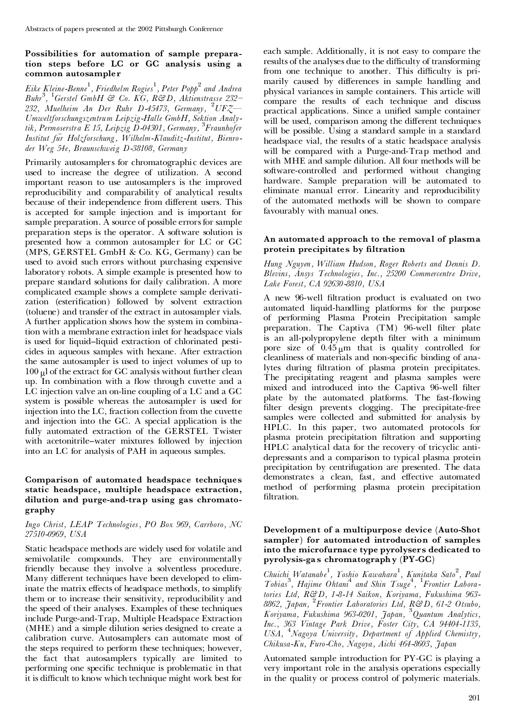# **Possibilities for automation of sample prepara tion steps before LC or GC analysis using a common autosampler**

*Eike Kleine-Benne* 1 *, Friedhelm Rogies* 1 *, Peter Popp*<sup>2</sup> *and Andrea Buhr*<sup>3</sup> *,* <sup>1</sup>*Gerstel GmbH & Co. KG, R&D, Aktienstrasse 232º 232, Muelheim An Der Ruhr D-45473, Germany,* <sup>2</sup>*UFZö Umweltforschungszentrum Leipzig-Halle GmbH, Sektion Analytik, Permoserstra E 15, Leipzig D-04301, Germany,* <sup>3</sup>*Fraunhofer Institut fuër Holzforschung, Wilhelm-Klauditz-Institut, Bienro der Weg 54e, Braunschweig D-38108, Germany*

Primarily autosamplers for chromatographic devices are used to increase the degree of utilization. A second important reason to use autosamplers is the improved reproducibility and comparability of analytical results because of their independence from different users. This is accepted for sample injection and is important for sample preparation. A source of possible errors for sample preparation steps is the operator. A software solution is presented how a common autosampler for LC or GC (MPS, GERSTEL GmbH & Co.KG, Germany) can be used to avoid such errors without purchasing expensive laboratory robots. A simple example is presented how to prepare standard solutions for daily calibration. A more complicated example shows a complete sample derivati zation (esterification) followed by solvent extraction (toluene) and transfer of the extract in autosampler vials. A further application shows how the system in combination with a membrane extraction inlet for headspace vials is used for liquid-liquid extraction of chlorinated pesticides in aqueous samples with hexane. After extraction the same autosampler is used to inject volumes of up to  $100 \mu$ l of the extract for GC analysis without further clean up. In combination with a flow through cuvette and a LC injection valve an on-line coupling of a LC and a GC system is possible whereas the autosampler is used for injection into the LC, fraction collection from the cuvette and injection into the GC. A special application is the fully automated extraction of the GERSTEL Twister with acetonitrile–water mixtures followed by injection into an LC for analysis of PAH in aqueous samples.

## **Comparison of automated headspace techniques static headspace, multiple headspace extraction, dilution and purge-and-trap using gas chromato graphy**

#### *Ingo Christ, LEAP Technologies, PO Box 969, Carrboro, NC 27510-0969, USA*

Static headspace methods are widely used for volatile and semivolatile compounds. They are environmentally friendly because they involve a solventless procedure. Many different techniques have been developed to eliminate the matrix effects of headspace methods, to simplify them or to increase their sensitivity, reproducibility and the speed of their analyses. Examples of these techniques include Purge-and-Trap, Multiple Headspace Extraction (MHE) and a simple dilution series designed to create a calibration curve. Autosamplers can automate most of the steps required to perform these techniques; however, the fact that autosamplers typically are limited to performing one specific technique is problematic in that it is difficult to know which technique might work best for

each sample. Additionally, it is not easy to compare the results of the analyses due to the difficulty of transforming from one technique to another. This difficulty is primarily caused by differences in sample handling and physical variances in sample containers. This article will compare the results of each technique and discuss practical applications. Since a unified sample container will be used, comparison among the different techniques will be possible. Using a standard sample in a standard headspace vial, the results of a static headspace analysis will be compared with a Purge-and-Trap method and with MHE and sample dilution. All four methods will be software-controlled and performed without changing hardware. Sample preparation will be automated to eliminate manual error. Linearity and reproducibility of the automated methods will be shown to compare favourably with manual ones.

# **An automated approach to the removal of plasma protein precipitates by ltration**

*Hung Nguyen, William Hudson, Roger Roberts and Dennis D. Blevins, Ansys Technologies, Inc., 25200 Commercentre Drive, Lake Forest, CA 92630-8810, USA*

A new 96-well filtration product is evaluated on two automated liquid-handling platforms for the purpose of performing Plasma Protein Precipitation sample preparation. The Captiva (TM) 96-well filter plate is an all-polypropylene depth filter with a minimum pore size of  $0.45_{\mu}$ m that is quality controlled for cleanliness of materials and non-specific binding of analytes during filtration of plasma protein precipitates. The precipitating reagent and plasma samples were mixed and introduced into the Captiva 96-well filter plate by the automated platforms. The fast-flowing filter design prevents clogging. The precipitate-free samples were collected and submitted for analysis by HPLC. In this paper, two automated protocols for plasma protein precipitation filtration and supporting HPLC analytical data for the recovery of tricyclic anti depressants and a comparison to typical plasma protein precipitation by centrifugation are presented. The data demonstrates a clean, fast, and effective automated method of performing plasma protein precipitation filtration.

# **Development of a multipurpose device (Auto-Shot sampler) for automated introduction of samples into the microfurnace type pyrolysers dedicated to pyrolysis-gas chromatography (PY-GC)**

*Chuichi Watanabe* 1 *, Yoshio Kawahara* 1 *, Kunitaka Sato* 2 *, Paul Tobias*<sup>3</sup> *, Hajime Ohtani*<sup>4</sup> *and Shin Tsuge* 4 *,* <sup>1</sup>*Frontier Laboratories Ltd, R&D, 1-8-14 Saikon, Koriyama, Fukushima 963- 8862, Japan,* <sup>2</sup>*Frontier Laboratories Ltd, R&D, 61-2 Otsubo, Koriyama, Fukushima 963-0201, Japan,* <sup>3</sup>*Quantum Analytics, Inc., 363 Vintage Park Drive, Foster City, CA 94404-1135, USA,* <sup>4</sup>*Nagoya University, Department of Applied Chemistry, Chikusa-Ku, Furo-Cho, Nagoya, Aichi 464-8603, Japan*

Automated sample introduction for PY-GC is playing a very important role in the analysis operations especially in the quality or process control of polymeric materials.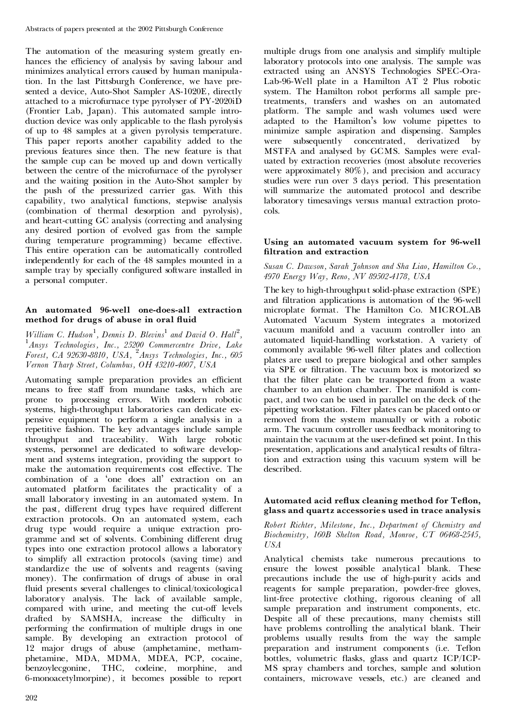The automation of the measuring system greatly en hances the efficiency of analysis by saving labour and minimizes analytical errors caused by human manipulation. In the last Pittsburgh Conference, we have presented a device, Auto-Shot Sampler AS-1020E, directly attached to a microfurnace type pyrolyser of PY-2020iD (Frontier Lab, Japan). This automated sample intro duction device was only applicable to the flash pyrolysis of up to 48 samples at a given pyrolysis temperature. This paper reports another capability added to the previous features since then. The new feature is that the sample cup can be moved up and down vertically between the centre of the microfurnace of the pyrolyser and the waiting position in the Auto-Shot sampler by the push of the pressurized carrier gas. With this capability, two analytical functions, stepwise analysis (combination of thermal desorption and pyrolysis), and heart-cutting GC analysis (correcting and analysing any desired portion of evolved gas from the sample during temperature programming) became effective. This entire operation can be automatically controlled independently for each of the 48 samples mounted in a sample tray by specially configured software installed in a personal computer.

# **An automated 96-well one-does-all extraction method for drugs of abuse in oral uid**

*William C.Hudson* 1 *, Dennis D. Blevins* <sup>1</sup> *and David O. Hall*<sup>2</sup> *,* <sup>1</sup>*Ansys Technologies, Inc., <sup>25200</sup> Commercentre Drive, Lake Forest, CA 92630-8810, USA,* <sup>2</sup>*Ansys Technologies, Inc., 605 Vernon Tharp Street, Columbus, OH 43210-4007, USA*

Automating sample preparation provides an efficient means to free staff from mundane tasks, which are prone to processing errors. With modern robotic systems, high-throughput laboratories can dedicate ex pensive equipment to perform a single analysis in a repetitive fashion. The key advantages include sample throughput and traceability. With large robotic systems, personnel are dedicated to software develop ment and systems integration, providing the support to make the automation requirements cost effective. The combination of a `one does all' extraction on an automated platform facilitates the practicality of a small laboratory investing in an automated system. In the past, different drug types have required different extraction protocols. On an automated system, each drug type would require a unique extraction pro gramme and set of solvents. Combining different drug types into one extraction protocol allows a laboratory to simplify all extraction protocols (saving time) and standardize the use of solvents and reagents (saving money). The confirmation of drugs of abuse in oral fluid presents several challenges to clinical/toxicological laboratory analysis. The lack of available sample, compared with urine, and meeting the cut-off levels drafted by SAMSHA, increase the difficulty in performing the confirmation of multiple drugs in one sample. By developing an extraction protocol of 12 major drugs of abuse (amphetamine, metham phetamine, MDA, MDMA, MDEA, PCP, cocaine, benzoylecgonine, THC, codeine, morphine, and 6-monoacetylmorpine), it becomes possible to report

multiple drugs from one analysis and simplify multiple laboratory protocols into one analysis. The sample was extracted using an ANSYS Technologies SPEC-Ora- Lab-96-Well plate in a Hamilton AT 2 Plus robotic system. The Hamilton robot performs all sample pretreatments, transfers and washes on an automated platform. The sample and wash volumes used were adapted to the Hamilton's low volume pipettes to minimize sample aspiration and dispensing. Samples were subsequently concentrated, derivatized by MSTFA and analysed by GCMS. Samples were eval uated by extraction recoveries (most absolute recoveries were approximately 80%), and precision and accuracy studies were run over 3 days period. This presentation will summarize the automated protocol and describe laboratory timesavings versus manual extraction proto cols.

#### **Using an automated vacuum system for 96-well ltration and extraction**

*Susan C. Dawson, Sarah Johnson and Sha Liao, Hamilton Co., 4970 Energy Way, Reno, NV 89502-4178, USA*

The key to high-throughpu t solid-phase extraction (SPE) and filtration applications is automation of the 96-well microplate format. The Hamilton Co. MICROLAB Automated Vacuum System integrates a motorized vacuum manifold and a vacuum controller into an automated liquid-handling workstation. A variety of commonly available 96-well filter plates and collection plates are used to prepare biological and other samples via SPE or filtration. The vacuum box is motorized so that the filter plate can be transported from a waste chamber to an elution chamber. The manifold is com pact, and two can be used in parallel on the deck of the pipetting workstation. Filter plates can be placed onto or removed from the system manually or with a robotic arm. The vacuum controller uses feedback monitoring to maintain the vacuum at the user-defined set point. In this presentation, applications and analytical results of filtration and extraction using this vacuum system will be described.

# Automated acid reflux cleaning method for Teflon, **glass and quartz accessories used in trace analysis**

*Robert Richter, Milestone, Inc., Department of Chemistry and Biochemistry, 160B Shelton Road, Monroe, CT 06468-2545, USA*

Analytical chemists take numerous precautions to ensure the lowest possible analytical blank. These precautions include the use of high-purity acids and reagents for sample preparation, powder-free gloves, lint-free protective clothing, rigorous cleaning of all sample preparation and instrument components, etc. Despite all of these precautions, many chemists still have problems controlling the analytical blank. Their problems usually results from the way the sample preparation and instrument components (i.e. Teflon bottles, volumetric flasks, glass and quartz ICP/ICP-MS spray chambers and torches, sample and solution containers, microwave vessels, etc.) are cleaned and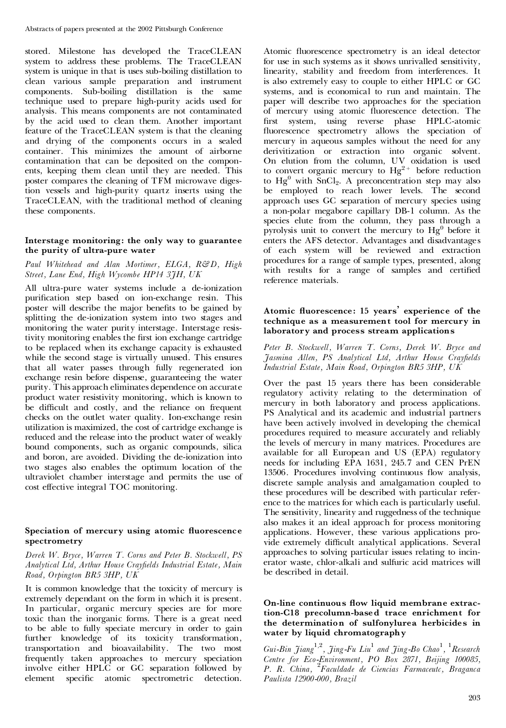stored. Milestone has developed the TraceCLEAN system to address these problems. The TraceCLEAN system is unique in that is uses sub-boiling distillation to clean various sample preparation and instrument components. Sub-boiling distillation is the same technique used to prepare high-purity acids used for analysis. This means components are not contaminated by the acid used to clean them. Another important feature of the TraceCLEAN system is that the cleaning and drying of the components occurs in a sealed container. This minimizes the amount of airborne contamination that can be deposited on the compon ents, keeping them clean until they are needed. This poster compares the cleaning of TFM microwave digestion vessels and high-purity quartz inserts using the TraceCLEAN, with the traditional method of cleaning these components.

#### **Interstage monitoring: the only way to guarantee the purity of ultra-pure water**

#### *Paul Whitehead and Alan Mortimer, ELGA, R&D, High Street, Lane End, High Wycombe HP14 3JH, UK*

All ultra-pure water systems include a de-ionization purification step based on ion-exchange resin. This poster will describe the major benefits to be gained by splitting the de-ionization system into two stages and monitoring the water purity interstage. Interstage resistivity monitoring enables the first ion exchange cartridge to be replaced when its exchange capacity is exhausted while the second stage is virtually unused. This ensures that all water passes through fully regenerated ion exchange resin before dispense, guaranteeing the water purity. This approach eliminates dependence on accurate product water resistivity monitoring, which is known to be difficult and costly, and the reliance on frequent checks on the outlet water quality. Ion-exchange resin utilization is maximized, the cost of cartridge exchange is reduced and the release into the product water of weakly bound components, such as organic compounds, silica and boron, are avoided. Dividing the de-ionization into two stages also enables the optimum location of the ultraviolet chamber interstage and permits the use of cost effective integral TOC monitoring.

#### **Speciation of mercury using atomic uorescence spectrometry**

*Derek W. Bryce, Warren T. Corns and Peter B. Stockwell, PS Analytical Ltd, Arthur House Cray¢elds Industrial Estate, Main Road, Orpington BR5 3HP, UK*

It is common knowledge that the toxicity of mercury is extremely dependant on the form in which it is present. In particular, organic mercury species are for more toxic than the inorganic forms. There is a great need to be able to fully speciate mercury in order to gain further knowledge of its toxicity transformation, transportation and bioavailability. The two most frequently taken approaches to mercury speciation involve either HPLC or GC separation followed by element specific atomic spectrometric detection.

Atomic fluorescence spectrometry is an ideal detector for use in such systems as it shows unrivalled sensitivity, linearity, stability and freedom from interferences. It is also extremely easy to couple to either HPLC or GC systems, and is economical to run and maintain. The paper will describe two approaches for the speciation of mercury using atomic fluorescence detection. The first system, using reverse phase HPLC-atomic fluorescence spectrometry allows the speciation of mercury in aqueous samples without the need for any derivitization or extraction into organic solvent. On elution from the column, UV oxidation is used to convert organic mercury to  $Hg^{2+}$  before reduction to  $Hg^0$  with  $SnCl_2$ . A preconcentration step may also be employed to reach lower levels. The second approach uses GC separation of mercury species using a non-polar megabore capillary DB-1 column. As the species elute from the column, they pass through a pyrolysis unit to convert the mercury to  $Hg^0$  before it enters the AFS detector. Advantages and disadvantages of each system will be reviewed and extraction procedures for a range of sample types, presented, along with results for a range of samples and certified reference materials.

# **Atomic uorescence: 15 years' experience of the technique as a measurement tool for mercury in laboratory and process stream applications**

*Peter B. Stockwell, Warren T. Corns, Derek W. Bryce and Jasmina Allen, PS Analytical Ltd, Arthur House Cray¢elds Industrial Estate, Main Road, Orpington BR5 3HP, UK*

Over the past 15 years there has been considerable regulatory activity relating to the determination of mercury in both laboratory and process applications. PS Analytical and its academic and industrial partners have been actively involved in developing the chemical procedures required to measure accurately and reliably the levels of mercury in many matrices. Procedures are available for all European and US (EPA) regulatory needs for including EPA 1631, 245.7 and CEN PrEN 13506. Procedures involving continuous flow analysis, discrete sample analysis and amalgamation coupled to these procedures will be described with particular refer ence to the matrices for which each is particularly useful. The sensitivity, linearity and ruggedness of the technique also makes it an ideal approach for process monitoring applications. However, these various applications pro vide extremely difficult analytical applications. Several approaches to solving particular issues relating to incin erator waste, chlor-alkali and sulfuric acid matrices will be described in detail.

#### **On-line continuous ow liquid membrane extrac tion-C18 precolumn-based trace enrichment for the determination of sulfonylurea herbicides in water by liquid chromatography**

*Gui-Bin Jiang* 1*,*2 *, Jing-Fu Liu* <sup>1</sup> *and Jing-Bo Chao* 1 *,* <sup>1</sup>*Research Centre for Eco-Environment, PO Box 2871, Beijing 100085, P. R. China,* <sup>2</sup>*Faculdade de Ciencias Farmaceutc, Braganca Paulista 12900-000, Brazil*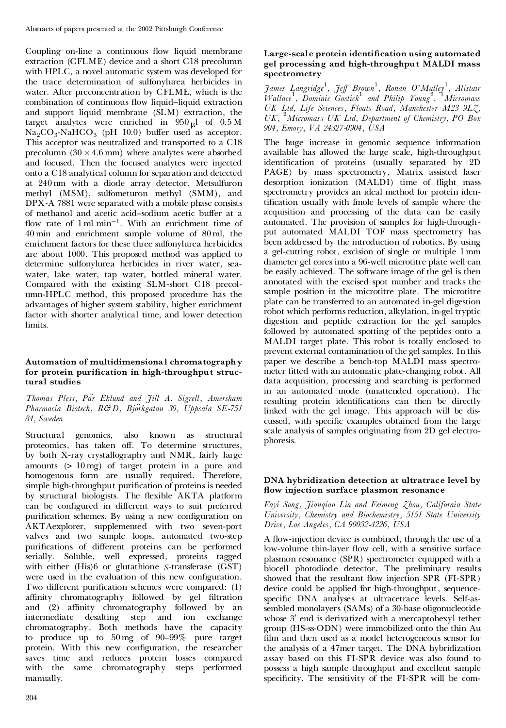Coupling on-line a continuous flow liquid membrane extraction (CFLME) device and a short C18 precolumn with HPLC, a novel automatic system was developed for the trace determination of sulfonylurea herbicides in water. After preconcentration by CFLME, which is the combination of continuous flow liquid-liquid extraction and support liquid membrane (SLM) extraction, the target analytes were enriched in  $950 \mu l$  of 0.5 M<br>Na<sub>2</sub>CO<sub>3</sub>-NaHCO<sub>3</sub> (pH 10.0) buffer used as acceptor. This acceptor was neutralized and transported to a C18. precolumn  $(30 \times 4.6 \text{ mm})$  where analytes were absorbed and focused. Then the focused analytes were injected onto a C18 analytical column for separation and detected at 240 nm with a diode array detector. Metsulfuron methyl (MSM), sulfometuron methyl (SMM), and DPX-A 7881 were separated with a mobile phase consists of methanol and acetic acid-sodium acetic buffer at a flow rate of  $1 \text{ ml min}^{-1}$ . With an enrichment time of 40 min and enrichment sample volume of 80 ml, the enrichment factors for these three sulfonylurea herbicides are about 1000. This proposed method was applied to determine sulfonylurea herbicides in river water, sea water, lake water, tap water, bottled mineral water. Compared with the existing SLM-short C18 precol umn-HPLC method, this proposed procedure has the advantages of higher system stability, higher enrichment factor with shorter analytical time, and lower detection limits.

# **Automation of multidimensional chromatography for protein purication in high-throughput struc tural studies**

*Thomas Pless, Paër Eklund and Jill A. Sigrell, Amersham Pharmacia Biotech, R&D, Bjoërkgatan 30, Uppsala SE-751 84, Sweden*

Structural genomics, also known as structural proteomics, has taken off. To determine structures, by both X-ray crystallography and NMR, fairly large amounts (> 10 mg) of target protein in a pure and homogenous form are usually required. Therefore, simple high-throughput purification of proteins is needed by structural biologists. The flexible AKTA platform can be configured in different ways to suit preferred purification schemes. By using a new configuration on AKTAexplorer, supplemented with two seven-port valves and two sample loops, automated two-step purifications of different proteins can be performed serially. Soluble, well expressed, proteins tagged with either (His)6 or glutathione *S*-transferase (GST) were used in the evaluation of this new configuration. Two different purification schemes were compared: (1) affinity chromatography followed by gel filtration and (2) affinity chromatography followed by an intermediate desalting step and ion exchange chromatography. Both methods have the capacity to produce up to  $50 \text{ mg}$  of  $90-99\%$  pure target protein. With this new configuration, the researcher saves time and reduces protein losses compared with the same chromatography steps performed manually.

# **Large-scale protein identication using automated gel processing and high-throughput MALDI mass spectrometry**

*James Langridge* 1 *, Je¡ Brown*<sup>1</sup> *, Ronan O'Malley* 1 *, Alistair Wallace*<sup>1</sup> *, Dominic Gostick* <sup>1</sup> *and Philip Young* 2 *,* <sup>1</sup>*Micromass UK Ltd, Life Sciences, Floats Road, Manchester M23 9LZ, UK,* <sup>2</sup>*Micromass UK Ltd, Department of Chemistry, PO Box 904, Emory, VA 24327-0904, USA*

The huge increase in genomic sequence information available has allowed the large scale, high-throughpu t identification of proteins (usually separated by 2D PAGE) by mass spectrometry, Matrix assisted laser desorption ionization (MALDI) time of flight mass spectrometry provides an ideal method for protein identification usually with fmole levels of sample where the acquisition and processing of the data can be easily automated. The provision of samples for high-through put automated MALDI TOF mass spectrometry has been addressed by the introduction of robotics. By using a gel-cutting robot, excision of single or multiple 1 mm diameter gel cores into a 96-well microtitre plate well can be easily achieved. The software image of the gel is then annotated with the excised spot number and tracks the sample position in the microtitre plate. The microtitre plate can be transferred to an automated in-gel digestion robot which performs reduction, alkylation, in-gel tryptic digestion and peptide extraction for the gel samples followed by automated spotting of the peptides onto a MALDI target plate. This robot is totally enclosed to prevent external contamination of the gel samples. In this paper we describe a bench-top MALDI mass spectro meter fitted with an automatic plate-changing robot. All data acquisition, processing and searching is performed in an automated mode (unattended operation). The resulting protein identifications can then be directly linked with the gel image. This approach will be dis cussed, with specific examples obtained from the large scale analysis of samples originating from 2D gel electrophoresis.

# **DNA hybridization detection at ultratrace level by ow injection surface plasmon resonance**

*Fayi Song, Jianqiao Lin and Feimeng Zhou, California State University, Chemistry and Biochemistry, 5151 State University Drive, Los Angeles, CA 90032-4226, USA*

A flow-injection device is combined, through the use of a low-volume thin-layer flow cell, with a sensitive surface plasmon resonance (SPR) spectrometer equipped with a biocell photodiode detector. The preliminary results showed that the resultant flow injection SPR (FI-SPR) device could be applied for high-throughput, sequencespecific DNA analyses at ultracetrace levels. Self-assembled monolayers (SAMs) of a 30-base oligonucleotide whose 3' end is derivatized with a mercaptohexyl tether group (HS-ss-ODN) were immobilized onto the thin Au film and then used as a model heterogeneous sensor for the analysis of a 47mer target. The DNA hybridization assay based on this FI-SPR device was also found to possess a high sample throughput and excellent sample specificity. The sensitivity of the FI-SPR will be com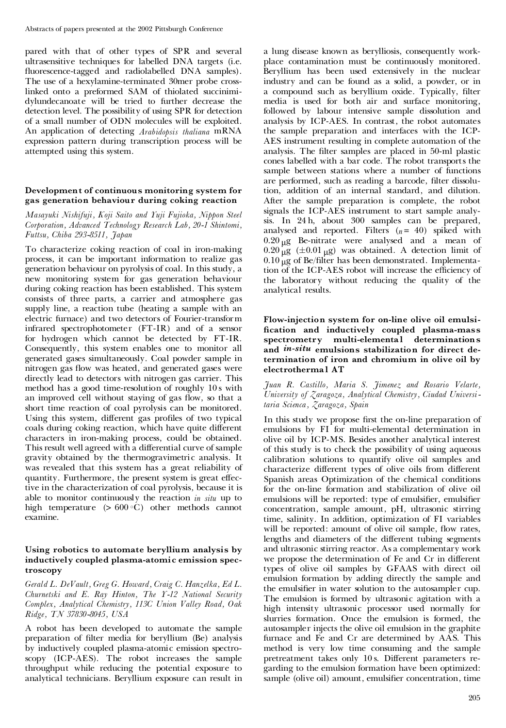pared with that of other types of SPR and several ultrasensitive techniques for labelled DNA targets (i.e. fluorescence-tagged and radiolabelled DNA samples). The use of a hexylamine-terminated 30mer probe crosslinked onto a preformed SAM of thiolated succinimi dylundecanoate will be tried to further decrease the detection level. The possibility of using SPR for detection of a small number of ODN molecules will be exploited. An application of detecting *Arabidopsis thaliana* mRNA expression pattern during transcription process will be attempted using this system.

# **Development of continuous monitoring system for gas generation behaviour during coking reaction**

*Masayuki Nishifuji, Koji Saito and Yuji Fujioka, Nippon Steel Corporation, Advanced Technology Research Lab, 20-1 Shintomi, Futtsu, Chiba 293-8511, Japan*

To characterize coking reaction of coal in iron-making process, it can be important information to realize gas generation behaviour on pyrolysis of coal. In this study, a new monitoring system for gas generation behaviour during coking reaction has been established. This system consists of three parts, a carrier and atmosphere gas supply line, a reaction tube (heating a sample with an electric furnace) and two detectors of Fourier-transform infrared spectrophotometer (FT-IR) and of a sensor for hydrogen which cannot be detected by FT-IR. Consequently, this system enables one to monitor all generated gases simultaneously. Coal powder sample in nitrogen gas flow was heated, and generated gases were directly lead to detectors with nitrogen gas carrier. This method has a good time-resolution of roughly 10 swith an improved cell without staying of gas flow, so that a short time reaction of coal pyrolysis can be monitored. Using this system, different gas profiles of two typical coals during coking reaction, which have quite different characters in iron-making process, could be obtained. This result well agreed with a differential curve of sample gravity obtained by the thermogravimetric analysis. It was revealed that this system has a great reliability of quantity. Furthermore, the present system is great effective in the characterization of coal pyrolysis, because it is able to monitor continuously the reaction *in situ* up to high temperature  $(> 600 °C)$  other methods cannot examine.

# **Using robotics to automate beryllium analysis by inductively coupled plasma-atomic emission spec troscopy**

*Gerald L. DeVault, Greg G. Howard, Craig C. Hanzelka, Ed L. Churnetski and E. Ray Hinton, The Y-12 National Security Complex, Analytical Chemistry, 113C Union Valley Road, Oak Ridge, TN 37830-8045, USA*

A robot has been developed to automate the sample preparation of filter media for beryllium (Be) analysis by inductively coupled plasma-atomic emission spectroscopy (ICP-AES). The robot increases the sample throughput while reducing the potential exposure to analytical technicians. Beryllium exposure can result in a lung disease known as berylliosis, consequently work place contamination must be continuously monitored. Beryllium has been used extensively in the nuclear industry and can be found as a solid, a powder, or in a compound such as beryllium oxide. Typically, filter media is used for both air and surface monitoring, followed by labour intensive sample dissolution and analysis by ICP-AES. In contrast, the robot automates the sample preparation and interfaces with the ICP- AES instrument resulting in complete automation of the analysis. The filter samples are placed in 50-ml plastic cones labelled with a bar code. The robot transports the sample between stations where a number of functions are performed, such as reading a barcode, filter dissolution, addition of an internal standard, and dilution. After the sample preparation is complete, the robot signals the ICP-AES instrument to start sample analysis. In 24 h, about 300 samples can be prepared, analysed and reported. Filters  $(n = 40)$  spiked with  $0.20 \mu g$  Be-nitrate were analysed and a mean of  $0.20 \mu g$  ( $\pm 0.01 \mu g$ ) was obtained. A detection limit of  $0.10 \mu$ g of Be/filter has been demonstrated. Implementation of the ICP-AES robot will increase the efficiency of the laboratory without reducing the quality of the analytical results.

#### **Flow-injection system for on-line olive oil emulsi cation and inductively coupled plasma-mass spectrometry multi-elemental determinations and** *in-situ* **emulsions stabilization for direct de termination of iron and chromium in olive oil by electrothermal AT**

*Juan R. Castillo, Maria S. Jimenez and Rosario Velarte, University of Zaragoza, Analytical Chemistry, Ciudad Universitaria Scienca, Zaragoza, Spain*

In this study we propose first the on-line preparation of emulsions by FI for multi-elemental determination in olive oil by ICP-MS. Besides another analytical interest of this study is to check the possibility of using aqueous calibration solutions to quantify olive oil samples and characterize different types of olive oils from different Spanish areas Optimization of the chemical conditions for the on-line formation and stabilization of olive oil emulsions will be reported: type of emulsifier, emulsifier concentration, sample amount, pH, ultrasonic stirring time, salinity. In addition, optimization of FI variables will be reported: amount of olive oil sample, flow rates, lengths and diameters of the different tubing segments and ultrasonic stirring reactor. As a complementary work we propose the determination of Fe and Cr in different types of olive oil samples by GFAAS with direct oil emulsion formation by adding directly the sample and the emulsifier in water solution to the autosampler cup. The emulsion is formed by ultrasonic agitation with a high intensity ultrasonic processor used normally for slurries formation. Once the emulsion is formed, the autosampler injects the olive oil emulsion in the graphite furnace and Fe and Cr are determined by AAS. This method is very low time consuming and the sample pretreatment takes only 10 s. Different parameters regarding to the emulsion formation have been optimized: sample (olive oil) amount, emulsifier concentration, time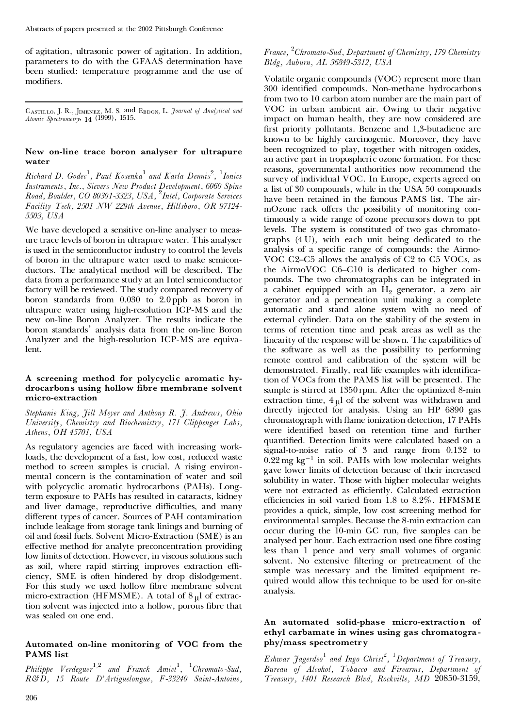of agitation, ultrasonic power of agitation. In addition, parameters to do with the GFAAS determination have been studied: temperature programme and the use of modifiers.

CASTILLO, J. R., JIMENEZ, M. S. and E<sub>BDON</sub>, L. *Journal of Analytical and Atomic Spectrometry*, **14** (1999), 1515.

# **New on-line trace boron analyser for ultrapure water**

*Richard D. Godec* 1 *, Paul Kosenka* <sup>1</sup> *and Karla Dennis* 2 *,* <sup>1</sup>*Ionics Instruments, Inc., Sievers New Product Development, 6060 Spine Road, Boulder, CO 80301-3323, USA,* <sup>2</sup>*Intel, Corporate Services Facility Tech, 2501 NW 229th Avenue, Hillsboro, OR 97124- 5503, USA*

We have developed a sensitive on-line analyser to meas ure trace levels of boron in ultrapure water. This analyser is used in the semiconductor industry to control the levels of boron in the ultrapure water used to make semicon ductors. The analytical method will be described. The data from a performance study at an Intel semiconductor factory will be reviewed. The study compared recovery of boron standards from 0.030 to 2.0 ppb as boron in ultrapure water using high-resolution ICP-MS and the new on-line Boron Analyzer. The results indicate the boron standards' analysis data from the on-line Boron Analyzer and the high-resolution ICP-MS are equivalent.

#### **A screening method for polycyclic aromatic hy drocarbons using hollow bre membrane solvent micro-extraction**

*Stephanie King, Jill Meyer and Anthony R. J. Andrews, Ohio University, Chemistry and Biochemistry, 171 Clippenger Labs, Athens, OH 45701, USA*

As regulatory agencies are faced with increasing workloads, the development of a fast, low cost, reduced waste method to screen samples is crucial. A rising environ mental concern is the contamination of water and soil with polycyclic aromatic hydrocarbons (PAHs). Longterm exposure to PAHs has resulted in cataracts, kidney and liver damage, reproductive difficulties, and many different types of cancer. Sources of PAH contamination include leakage from storage tank linings and burning of oil and fossil fuels. Solvent Micro-Extraction (SME) is an effective method for analyte preconcentration providing low limits of detection. However, in viscous solutions such as soil, where rapid stirring improves extraction efficiency, SME is often hindered by drop dislodgement. For this study we used hollow fibre membrane solvent micro-extraction (HFMSME). A total of  $8 \mu$ l of extraction solvent was injected into a hollow, porous fibre that was sealed on one end.

# **Automated on-line monitoring of VOC from the PAMS list**

*Philippe Verdeguer* <sup>1</sup>*,*<sup>2</sup> *and Franck Amiet*<sup>1</sup> *,* <sup>1</sup>*Chromato-Sud, R&D, 15 Route D'Artiguelongue, F-33240 Saint-Antoine,*

# *France,* <sup>2</sup>*Chromato-Sud, Department of Chemistry, 179 Chemistry Bldg, Auburn, AL 36849-5312, USA*

Volatile organic compounds (VOC) represent more than 300 identified compounds. Non-methane hydrocarbons from two to 10 carbon atom number are the main part of VOC in urban ambient air. Owing to their negative impact on human health, they are now considered are first priority pollutants. Benzene and 1,3-butadiene are known to be highly carcinogenic. Moreover, they have been recognized to play, together with nitrogen oxides, an active part in tropospheric ozone formation. For these reasons, governmental authorities now recommend the survey of individual VOC. In Europe, experts agreed on a list of 30 compounds, while in the USA 50 compounds have been retained in the famous PAMS list. The air mOzone rack offers the possibility of monitoring continuously a wide range of ozone precursors down to ppt levels. The system is constituted of two gas chromato graphs (4 U), with each unit being dedicated to the analysis of a specific range of compounds: the Airmo-VOC C2–C5 allows the analysis of C2 to C5 VOCs, as the AirmoVOC  $C6-C10$  is dedicated to higher compounds. The two chromatographs can be integrated in a cabinet equipped with an  $H_2$  generator, a zero air generator and a permeation unit making a complete automatic and stand alone system with no need of external cylinder. Data on the stability of the system in terms of retention time and peak areas as well as the linearity of the response will be shown. The capabilities of the software as well as the possibility to performing remote control and calibration of the system will be demonstrated. Finally, real life examples with identification of VOCs from the PAMS list will be presented. The sample is stirred at 1350 rpm. After the optimized 8-min extraction time,  $4 \mu l$  of the solvent was withdrawn and directly injected for analysis. Using an HP 6890 gas chromatograph with flame ionization detection, 17 PAHs were identified based on retention time and further quantified. Detection limits were calculated based on a signal-to-noise ratio of 3 and range from 0.132 to  $0.22$  mg kg<sup>-1</sup> in soil. PAHs with low molecular weights gave lower limits of detection because of their increased solubility in water. Those with higher molecular weights were not extracted as efficiently. Calculated extraction efficiencies in soil varied from  $1.8$  to  $8.2\%$ . HFMSME provides a quick, simple, low cost screening method for environmental samples. Because the 8-min extraction can occur during the 10-min GC run, five samples can be analysed per hour. Each extraction used one fibre costing less than 1 pence and very small volumes of organic solvent. No extensive filtering or pretreatment of the sample was necessary and the limited equipment re quired would allow this technique to be used for on-site analysis.

#### **An automated solid-phase micro-extraction of ethyl carbamate in wines using gas chromatogra phy/mass spectrometry**

*Eshwar Jagerdeo* <sup>1</sup> *and Ingo Christ*<sup>2</sup> *,* <sup>1</sup>*Department of Treasury, Bureau of Alcohol, Tobacco and Firearms, Department of Treasury, 1401 Research Blvd, Rockville, MD* 20850-3159,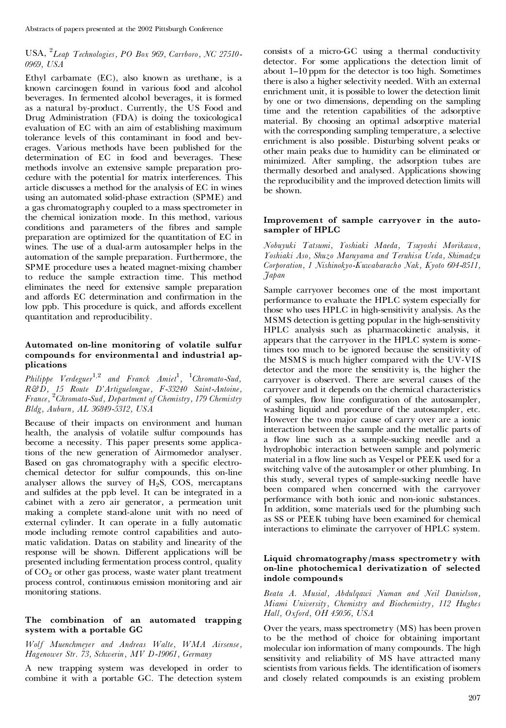## USA, <sup>2</sup>*Leap Technologies, PO Box 969, Carrboro, NC 27510- 0969, USA*

Ethyl carbamate (EC), also known as urethane, is a known carcinogen found in various food and alcohol beverages. In fermented alcohol beverages, it is formed as a natural by-product. Currently, the US Food and Drug Administration (FDA) is doing the toxicological evaluation of EC with an aim of establishing maximum tolerance levels of this contaminant in food and bev erages. Various methods have been published for the determination of EC in food and beverages. These methods involve an extensive sample preparation pro cedure with the potential for matrix interferences. This article discusses a method for the analysis of EC in wines using an automated solid-phase extraction (SPME) and a gas chromatography coupled to a mass spectrometer in the chemical ionization mode. In this method, various conditions and parameters of the fibres and sample preparation are optimized for the quantitation of EC in wines. The use of a dual-arm autosampler helps in the automation of the sample preparation. Furthermore, the SPME procedure uses a heated magnet-mixing chamber to reduce the sample extraction time. This method eliminates the need for extensive sample preparation and affords EC determination and confirmation in the low ppb. This procedure is quick, and affords excellent quantitation and reproducibility.

# **Automated on-line monitoring of volatile sulfur compounds for environmental and industrial ap plications**

*Philippe Verdeguer* <sup>1</sup>*,*<sup>2</sup> *and Franck Amiet*<sup>1</sup> *,* <sup>1</sup>*Chromato-Sud, R&D, 15 Route D'Artiguelongue, F-33240 Saint-Antoine, France,* <sup>2</sup>*Chromato-Sud, Department of Chemistry, 179 Chemistry Bldg, Auburn, AL 36849-5312, USA*

Because of their impacts on environment and human health, the analysis of volatile sulfur compounds has become a necessity. This paper presents some applications of the new generation of Airmomedor analyser. Based on gas chromatography with a specific electrochemical detector for sulfur compounds, this on-line analyser allows the survey of  $H_2S$ , COS, mercaptans and sulfides at the ppb level. It can be integrated in a cabinet with a zero air generator, a permeation unit making a complete stand-alone unit with no need of external cylinder. It can operate in a fully automatic mode including remote control capabilities and auto matic validation. Datas on stability and linearity of the response will be shown. Different applications will be presented including fermentation process control, quality of CO<sup>2</sup> or other gas process, waste water plant treatment process control, continuous emission monitoring and air monitoring stations.

## **The combination of an automated trapping system with a portable GC**

*Wolf Muenchmeyer and Andreas Walte, WMA Airsense, Hagenower Str. 73, Schwerin, MV D-19061, Germany*

A new trapping system was developed in order to combine it with a portable GC. The detection system consists of a micro-GC using a thermal conductivity detector. For some applications the detection limit of about 1-10 ppm for the detector is too high. Sometimes there is also a higher selectivity needed. With an external enrichment unit, it is possible to lower the detection limit by one or two dimensions, depending on the sampling time and the retention capabilities of the adsorptive material. By choosing an optimal adsorptive material with the corresponding sampling temperature, a selective enrichment is also possible. Disturbing solvent peaks or other main peaks due to humidity can be eliminated or minimized. After sampling, the adsorption tubes are thermally desorbed and analysed. Applications showing the reproducibility and the improved detection limits will be shown.

#### **Improvement of sample carryover in the auto sampler of HPLC**

*Nobuyuki Tatsumi, Yoshiaki Maeda, Tsuyoshi Morikawa, Yoshiaki Aso, Shuzo Maruyama and Teruhisa Ueda, Shimadzu Corporation, 1 Nishinokyo-Kuwabaracho Nak, Kyoto 604-8511, Japan*

Sample carryover becomes one of the most important performance to evaluate the HPLC system especially for those who uses HPLC in high-sensitivity analysis. As the MSMS detection is getting popular in the high-sensitivity HPLC analysis such as pharmacokinetic analysis, it appears that the carryover in the HPLC system is sometimes too much to be ignored because the sensitivity of the MSMS is much higher compared with the UV-VIS detector and the more the sensitivity is, the higher the carryover is observed. There are several causes of the carryover and it depends on the chemical characteristics of samples, flow line configuration of the autosampler, washing liquid and procedure of the autosampler, etc. However the two major cause of carry over are a ionic interaction between the sample and the metallic parts of a flow line such as a sample-sucking needle and a hydrophobic interaction between sample and polymeric material in a flow line such as Vespel or PEEK used for a switching valve of the autosampler or other plumbing. In this study, several types of sample-sucking needle have been compared when concerned with the carryover performance with both ionic and non-ionic substances. In addition, some materials used for the plumbing such as SS or PEEK tubing have been examined for chemical interactions to eliminate the carryover of HPLC system.

#### **Liquid chromatography/mass spectrometry with on-line photochemical derivatization of selected indole compounds**

*Beata A. Musial, Abdulqawi Numan and Neil Danielson, Miami University, Chemistry and Biochemistry, 112 Hughes Hall, Oxford, OH 45056, USA*

Over the years, mass spectrometry (MS) has been proven to be the method of choice for obtaining important molecular ion information of many compounds. The high sensitivity and reliability of MS have attracted many scientists from various fields. The identification of isomers and closely related compounds is an existing problem